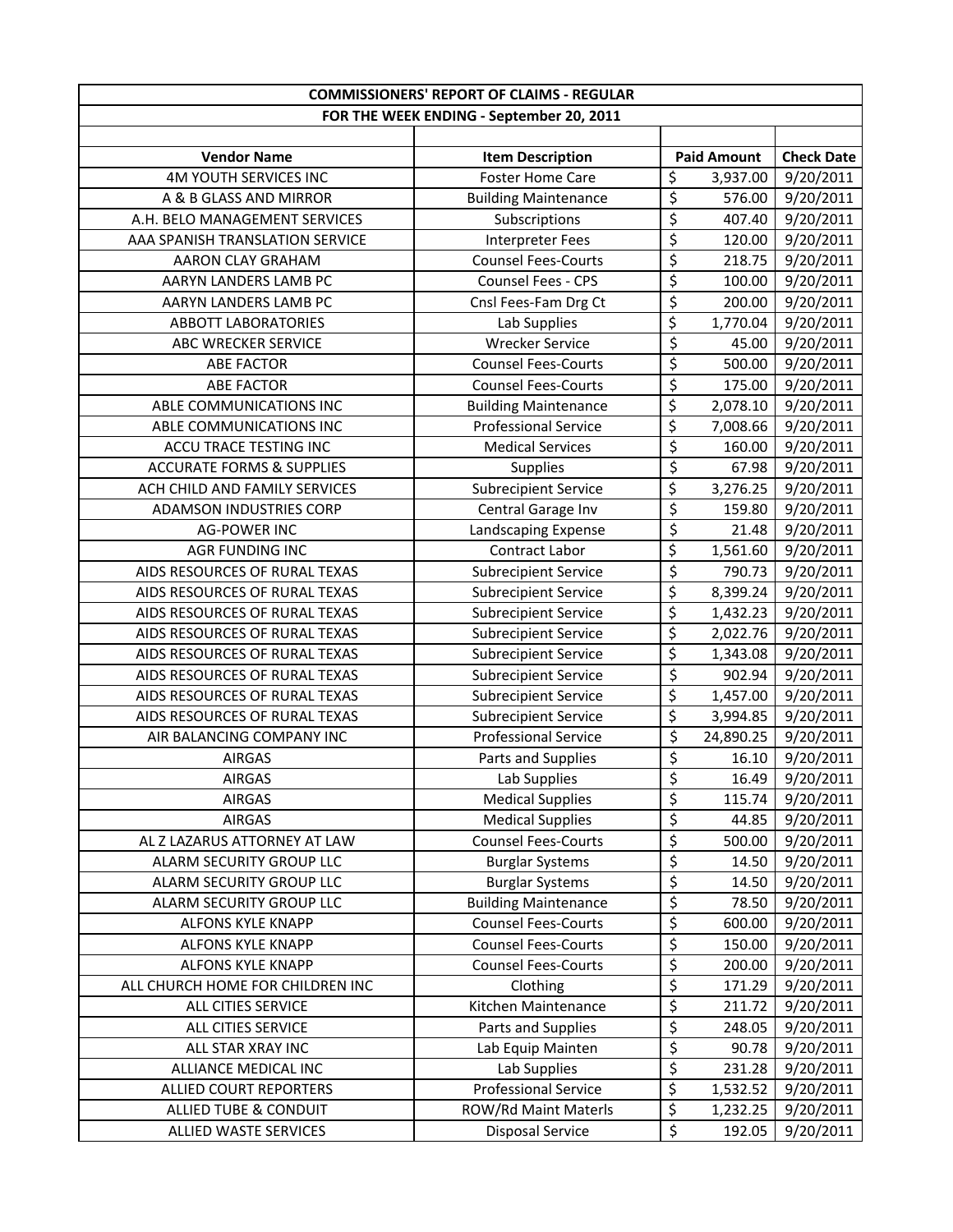|                                      | <b>COMMISSIONERS' REPORT OF CLAIMS - REGULAR</b> |                                              |                   |
|--------------------------------------|--------------------------------------------------|----------------------------------------------|-------------------|
|                                      | FOR THE WEEK ENDING - September 20, 2011         |                                              |                   |
|                                      |                                                  |                                              |                   |
| <b>Vendor Name</b>                   | <b>Item Description</b>                          | <b>Paid Amount</b>                           | <b>Check Date</b> |
| <b>4M YOUTH SERVICES INC</b>         | <b>Foster Home Care</b>                          | \$<br>3,937.00                               | 9/20/2011         |
| A & B GLASS AND MIRROR               | <b>Building Maintenance</b>                      | $\overline{\xi}$<br>576.00                   | 9/20/2011         |
| A.H. BELO MANAGEMENT SERVICES        | Subscriptions                                    | \$<br>407.40                                 | 9/20/2011         |
| AAA SPANISH TRANSLATION SERVICE      | Interpreter Fees                                 | $\overline{\xi}$<br>120.00                   | 9/20/2011         |
| AARON CLAY GRAHAM                    | <b>Counsel Fees-Courts</b>                       | \$<br>218.75                                 | 9/20/2011         |
| AARYN LANDERS LAMB PC                | Counsel Fees - CPS                               | \$<br>100.00                                 | 9/20/2011         |
| AARYN LANDERS LAMB PC                | Cnsl Fees-Fam Drg Ct                             | \$<br>200.00                                 | 9/20/2011         |
| <b>ABBOTT LABORATORIES</b>           | Lab Supplies                                     | \$<br>1,770.04                               | 9/20/2011         |
| ABC WRECKER SERVICE                  | <b>Wrecker Service</b>                           | \$<br>45.00                                  | 9/20/2011         |
| <b>ABE FACTOR</b>                    | <b>Counsel Fees-Courts</b>                       | \$<br>500.00                                 | 9/20/2011         |
| <b>ABE FACTOR</b>                    | <b>Counsel Fees-Courts</b>                       | \$<br>175.00                                 | 9/20/2011         |
| ABLE COMMUNICATIONS INC              | <b>Building Maintenance</b>                      | \$<br>2,078.10                               | 9/20/2011         |
| ABLE COMMUNICATIONS INC              | <b>Professional Service</b>                      | $\overline{\mathcal{L}}$<br>7,008.66         | 9/20/2011         |
| ACCU TRACE TESTING INC               | <b>Medical Services</b>                          | \$<br>160.00                                 | 9/20/2011         |
| <b>ACCURATE FORMS &amp; SUPPLIES</b> | <b>Supplies</b>                                  | $\overline{\xi}$<br>67.98                    | 9/20/2011         |
| ACH CHILD AND FAMILY SERVICES        | <b>Subrecipient Service</b>                      | \$<br>3,276.25                               | 9/20/2011         |
| <b>ADAMSON INDUSTRIES CORP</b>       | Central Garage Inv                               | $\overline{\mathcal{S}}$<br>159.80           | 9/20/2011         |
| <b>AG-POWER INC</b>                  | Landscaping Expense                              | $\overline{\boldsymbol{\zeta}}$<br>21.48     | 9/20/2011         |
| AGR FUNDING INC                      | Contract Labor                                   | \$<br>1,561.60                               | 9/20/2011         |
| AIDS RESOURCES OF RURAL TEXAS        | <b>Subrecipient Service</b>                      | $\overline{\mathcal{S}}$<br>790.73           | 9/20/2011         |
| AIDS RESOURCES OF RURAL TEXAS        | <b>Subrecipient Service</b>                      | \$<br>8,399.24                               | 9/20/2011         |
| AIDS RESOURCES OF RURAL TEXAS        | <b>Subrecipient Service</b>                      | $\overline{\xi}$<br>1,432.23                 | 9/20/2011         |
| AIDS RESOURCES OF RURAL TEXAS        | <b>Subrecipient Service</b>                      | \$<br>2,022.76                               | 9/20/2011         |
| AIDS RESOURCES OF RURAL TEXAS        | <b>Subrecipient Service</b>                      | \$<br>1,343.08                               | 9/20/2011         |
| AIDS RESOURCES OF RURAL TEXAS        | <b>Subrecipient Service</b>                      | \$<br>902.94                                 | 9/20/2011         |
| AIDS RESOURCES OF RURAL TEXAS        | <b>Subrecipient Service</b>                      | \$<br>1,457.00                               | 9/20/2011         |
| AIDS RESOURCES OF RURAL TEXAS        | <b>Subrecipient Service</b>                      | \$<br>3,994.85                               | 9/20/2011         |
| AIR BALANCING COMPANY INC            | <b>Professional Service</b>                      | \$<br>24,890.25                              | 9/20/2011         |
| <b>AIRGAS</b>                        | Parts and Supplies                               | \$<br>16.10                                  | 9/20/2011         |
| AIRGAS                               | Lab Supplies                                     | $\overline{\boldsymbol{\varsigma}}$<br>16.49 | 9/20/2011         |
| <b>AIRGAS</b>                        | <b>Medical Supplies</b>                          | \$<br>115.74                                 | 9/20/2011         |
| <b>AIRGAS</b>                        | <b>Medical Supplies</b>                          | \$<br>44.85                                  | 9/20/2011         |
| AL Z LAZARUS ATTORNEY AT LAW         | <b>Counsel Fees-Courts</b>                       | \$<br>500.00                                 | 9/20/2011         |
| ALARM SECURITY GROUP LLC             | <b>Burglar Systems</b>                           | \$<br>14.50                                  | 9/20/2011         |
| ALARM SECURITY GROUP LLC             | <b>Burglar Systems</b>                           | $\overline{\varsigma}$<br>14.50              | 9/20/2011         |
| ALARM SECURITY GROUP LLC             | <b>Building Maintenance</b>                      | $\overline{\xi}$<br>78.50                    | 9/20/2011         |
| ALFONS KYLE KNAPP                    | <b>Counsel Fees-Courts</b>                       | \$<br>600.00                                 | 9/20/2011         |
| ALFONS KYLE KNAPP                    | <b>Counsel Fees-Courts</b>                       | \$<br>150.00                                 | 9/20/2011         |
| <b>ALFONS KYLE KNAPP</b>             | <b>Counsel Fees-Courts</b>                       | \$<br>200.00                                 | 9/20/2011         |
| ALL CHURCH HOME FOR CHILDREN INC     | Clothing                                         | \$<br>171.29                                 | 9/20/2011         |
| ALL CITIES SERVICE                   | Kitchen Maintenance                              | \$<br>211.72                                 | 9/20/2011         |
| ALL CITIES SERVICE                   | Parts and Supplies                               | \$<br>248.05                                 | 9/20/2011         |
| ALL STAR XRAY INC                    | Lab Equip Mainten                                | $\overline{\xi}$<br>90.78                    | 9/20/2011         |
| ALLIANCE MEDICAL INC                 | Lab Supplies                                     | $\overline{\varsigma}$<br>231.28             | 9/20/2011         |
| ALLIED COURT REPORTERS               | <b>Professional Service</b>                      | \$<br>1,532.52                               | 9/20/2011         |
| ALLIED TUBE & CONDUIT                | ROW/Rd Maint Materls                             | \$<br>1,232.25                               | 9/20/2011         |
| <b>ALLIED WASTE SERVICES</b>         | <b>Disposal Service</b>                          | \$<br>192.05                                 | 9/20/2011         |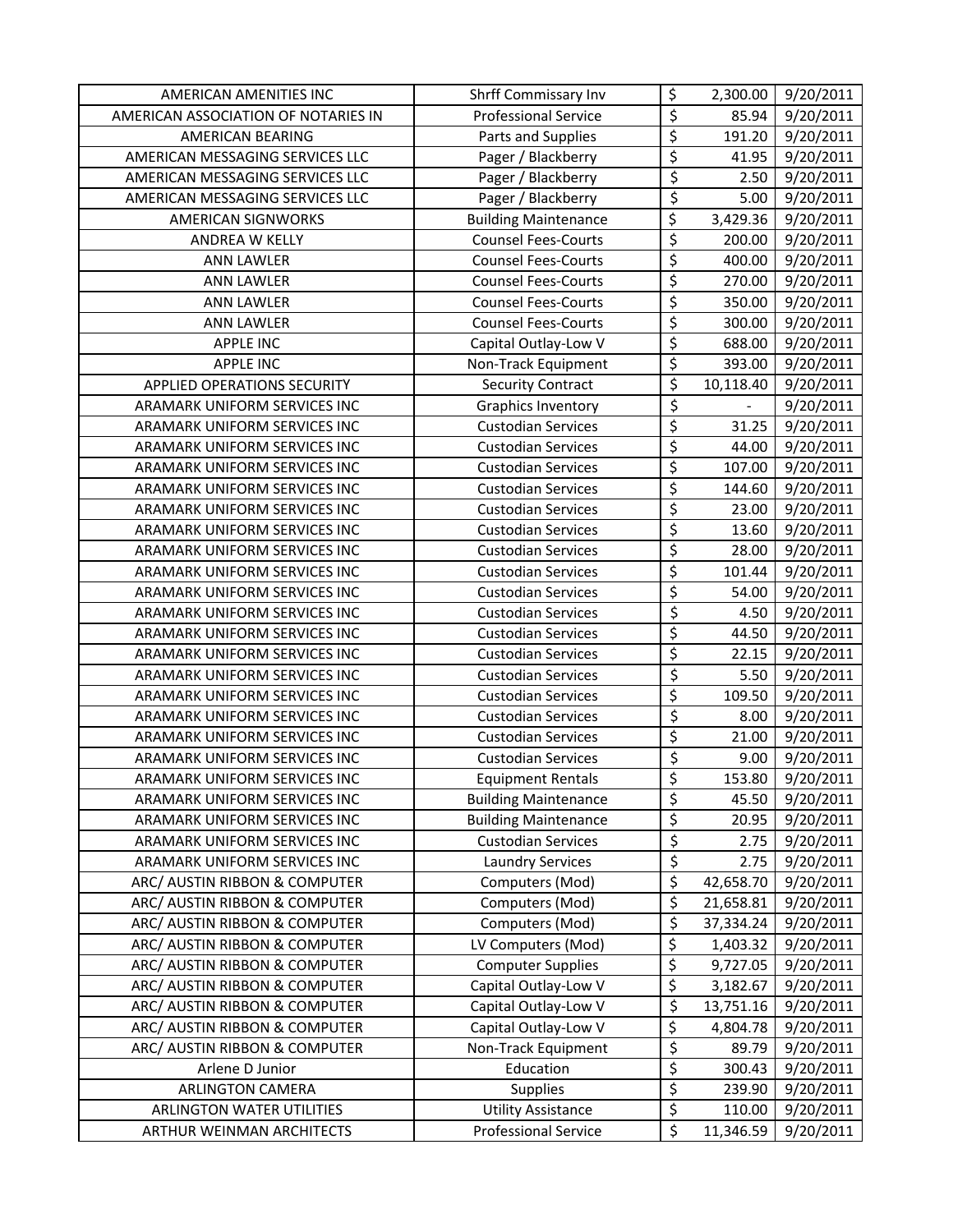| AMERICAN AMENITIES INC              | Shrff Commissary Inv        | \$                     | 2,300.00  | 9/20/2011 |
|-------------------------------------|-----------------------------|------------------------|-----------|-----------|
| AMERICAN ASSOCIATION OF NOTARIES IN | <b>Professional Service</b> | \$                     | 85.94     | 9/20/2011 |
| AMERICAN BEARING                    | Parts and Supplies          | \$                     | 191.20    | 9/20/2011 |
| AMERICAN MESSAGING SERVICES LLC     | Pager / Blackberry          | $\overline{\xi}$       | 41.95     | 9/20/2011 |
| AMERICAN MESSAGING SERVICES LLC     | Pager / Blackberry          | $\overline{\xi}$       | 2.50      | 9/20/2011 |
| AMERICAN MESSAGING SERVICES LLC     | Pager / Blackberry          | $\overline{\varsigma}$ | 5.00      | 9/20/2011 |
| <b>AMERICAN SIGNWORKS</b>           | <b>Building Maintenance</b> | \$                     | 3,429.36  | 9/20/2011 |
| ANDREA W KELLY                      | <b>Counsel Fees-Courts</b>  | $\overline{\xi}$       | 200.00    | 9/20/2011 |
| <b>ANN LAWLER</b>                   | <b>Counsel Fees-Courts</b>  | $\overline{\xi}$       | 400.00    | 9/20/2011 |
| <b>ANN LAWLER</b>                   | <b>Counsel Fees-Courts</b>  | $\overline{\xi}$       | 270.00    | 9/20/2011 |
| <b>ANN LAWLER</b>                   | <b>Counsel Fees-Courts</b>  | \$                     | 350.00    | 9/20/2011 |
| <b>ANN LAWLER</b>                   | <b>Counsel Fees-Courts</b>  | $\overline{\xi}$       | 300.00    | 9/20/2011 |
| <b>APPLE INC</b>                    | Capital Outlay-Low V        | \$                     | 688.00    | 9/20/2011 |
| <b>APPLE INC</b>                    | Non-Track Equipment         | $\overline{\xi}$       | 393.00    | 9/20/2011 |
| APPLIED OPERATIONS SECURITY         | <b>Security Contract</b>    | $\overline{\xi}$       | 10,118.40 | 9/20/2011 |
| ARAMARK UNIFORM SERVICES INC        | <b>Graphics Inventory</b>   | \$                     |           | 9/20/2011 |
| ARAMARK UNIFORM SERVICES INC        | <b>Custodian Services</b>   | $\overline{\varsigma}$ | 31.25     | 9/20/2011 |
| ARAMARK UNIFORM SERVICES INC        | <b>Custodian Services</b>   | $\overline{\xi}$       | 44.00     | 9/20/2011 |
| ARAMARK UNIFORM SERVICES INC        | <b>Custodian Services</b>   | $\overline{\xi}$       | 107.00    | 9/20/2011 |
| ARAMARK UNIFORM SERVICES INC        | <b>Custodian Services</b>   | \$                     | 144.60    | 9/20/2011 |
| ARAMARK UNIFORM SERVICES INC        | <b>Custodian Services</b>   | \$                     | 23.00     | 9/20/2011 |
| ARAMARK UNIFORM SERVICES INC        | <b>Custodian Services</b>   | $\overline{\xi}$       | 13.60     | 9/20/2011 |
| ARAMARK UNIFORM SERVICES INC        | <b>Custodian Services</b>   | $\overline{\xi}$       | 28.00     | 9/20/2011 |
| ARAMARK UNIFORM SERVICES INC        | <b>Custodian Services</b>   | $\overline{\xi}$       | 101.44    | 9/20/2011 |
| ARAMARK UNIFORM SERVICES INC        | <b>Custodian Services</b>   | \$                     | 54.00     | 9/20/2011 |
| ARAMARK UNIFORM SERVICES INC        | <b>Custodian Services</b>   | \$                     | 4.50      | 9/20/2011 |
| ARAMARK UNIFORM SERVICES INC        | <b>Custodian Services</b>   | $\overline{\varsigma}$ | 44.50     | 9/20/2011 |
| ARAMARK UNIFORM SERVICES INC        | <b>Custodian Services</b>   | \$                     | 22.15     | 9/20/2011 |
| ARAMARK UNIFORM SERVICES INC        | <b>Custodian Services</b>   | \$                     | 5.50      | 9/20/2011 |
| ARAMARK UNIFORM SERVICES INC        | <b>Custodian Services</b>   | $\overline{\xi}$       | 109.50    | 9/20/2011 |
| ARAMARK UNIFORM SERVICES INC        | <b>Custodian Services</b>   | $\overline{\xi}$       | 8.00      | 9/20/2011 |
| ARAMARK UNIFORM SERVICES INC        | <b>Custodian Services</b>   | \$                     | 21.00     | 9/20/2011 |
| ARAMARK UNIFORM SERVICES INC        | <b>Custodian Services</b>   | \$                     | 9.00      | 9/20/2011 |
| ARAMARK UNIFORM SERVICES INC        | <b>Equipment Rentals</b>    | $\overline{\xi}$       | 153.80    | 9/20/2011 |
| ARAMARK UNIFORM SERVICES INC        | <b>Building Maintenance</b> | \$                     | 45.50     | 9/20/2011 |
| ARAMARK UNIFORM SERVICES INC        | <b>Building Maintenance</b> | \$                     | 20.95     | 9/20/2011 |
| ARAMARK UNIFORM SERVICES INC        | <b>Custodian Services</b>   | \$                     | 2.75      | 9/20/2011 |
| ARAMARK UNIFORM SERVICES INC        | <b>Laundry Services</b>     | \$                     | 2.75      | 9/20/2011 |
| ARC/ AUSTIN RIBBON & COMPUTER       | Computers (Mod)             | $\overline{\xi}$       | 42,658.70 | 9/20/2011 |
| ARC/ AUSTIN RIBBON & COMPUTER       | Computers (Mod)             | \$                     | 21,658.81 | 9/20/2011 |
| ARC/ AUSTIN RIBBON & COMPUTER       | Computers (Mod)             | \$                     | 37,334.24 | 9/20/2011 |
| ARC/ AUSTIN RIBBON & COMPUTER       | LV Computers (Mod)          | \$                     | 1,403.32  | 9/20/2011 |
| ARC/ AUSTIN RIBBON & COMPUTER       | <b>Computer Supplies</b>    | \$                     | 9,727.05  | 9/20/2011 |
| ARC/ AUSTIN RIBBON & COMPUTER       | Capital Outlay-Low V        | \$                     | 3,182.67  | 9/20/2011 |
| ARC/ AUSTIN RIBBON & COMPUTER       | Capital Outlay-Low V        | \$                     | 13,751.16 | 9/20/2011 |
| ARC/ AUSTIN RIBBON & COMPUTER       | Capital Outlay-Low V        | \$                     | 4,804.78  | 9/20/2011 |
| ARC/ AUSTIN RIBBON & COMPUTER       | Non-Track Equipment         | \$                     | 89.79     | 9/20/2011 |
| Arlene D Junior                     | Education                   | $\overline{\xi}$       | 300.43    | 9/20/2011 |
| <b>ARLINGTON CAMERA</b>             | Supplies                    | \$                     | 239.90    | 9/20/2011 |
| ARLINGTON WATER UTILITIES           | <b>Utility Assistance</b>   | \$                     | 110.00    | 9/20/2011 |
| ARTHUR WEINMAN ARCHITECTS           | <b>Professional Service</b> | \$                     | 11,346.59 | 9/20/2011 |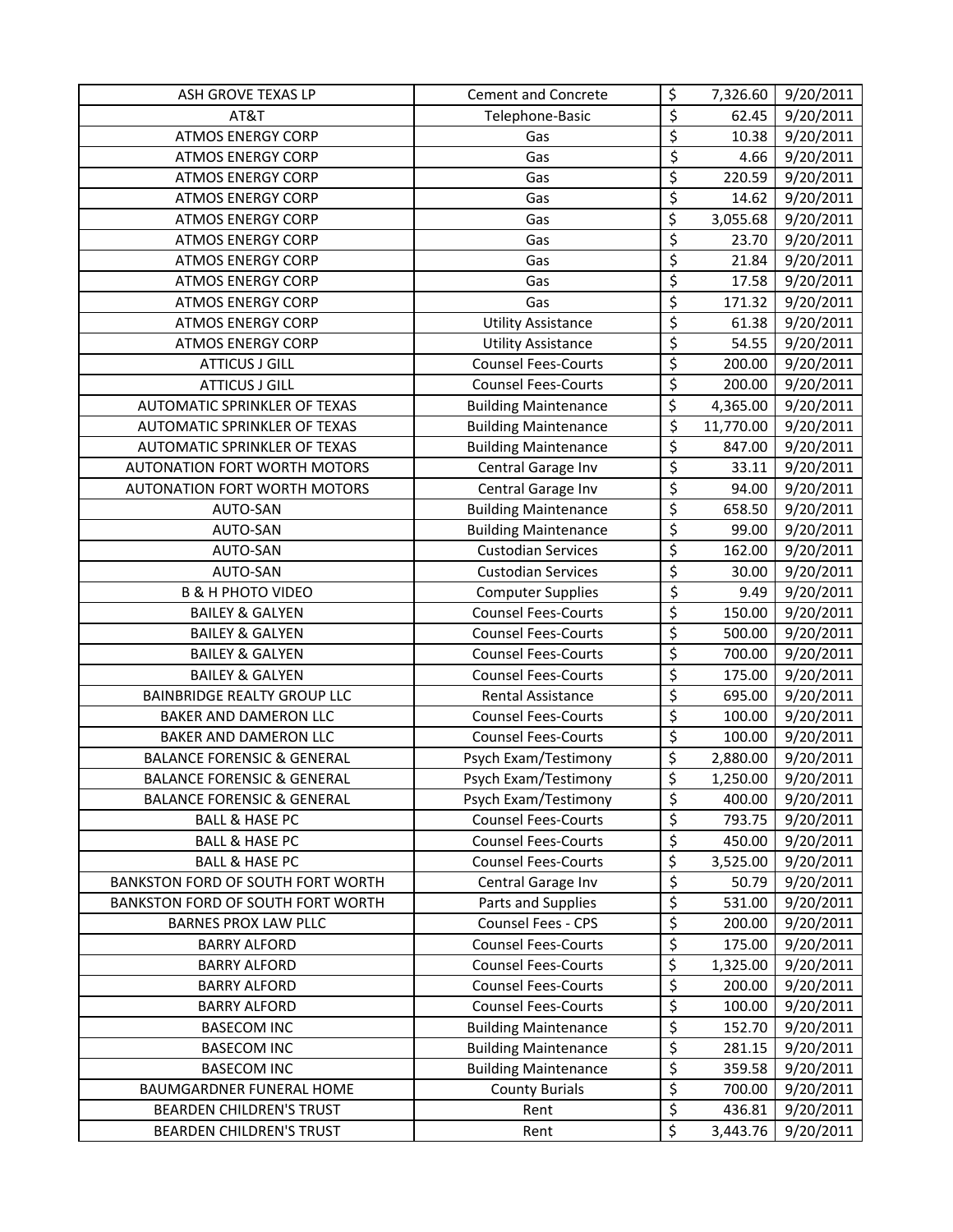| ASH GROVE TEXAS LP                    | <b>Cement and Concrete</b>  | \$                              | 7,326.60  | 9/20/2011 |
|---------------------------------------|-----------------------------|---------------------------------|-----------|-----------|
| AT&T                                  | Telephone-Basic             | \$                              | 62.45     | 9/20/2011 |
| <b>ATMOS ENERGY CORP</b>              | Gas                         | \$                              | 10.38     | 9/20/2011 |
| <b>ATMOS ENERGY CORP</b>              | Gas                         | $\overline{\varsigma}$          | 4.66      | 9/20/2011 |
| <b>ATMOS ENERGY CORP</b>              | Gas                         | $\overline{\xi}$                | 220.59    | 9/20/2011 |
| <b>ATMOS ENERGY CORP</b>              | Gas                         | \$                              | 14.62     | 9/20/2011 |
| <b>ATMOS ENERGY CORP</b>              | Gas                         | \$                              | 3,055.68  | 9/20/2011 |
| <b>ATMOS ENERGY CORP</b>              | Gas                         | \$                              | 23.70     | 9/20/2011 |
| <b>ATMOS ENERGY CORP</b>              | Gas                         | \$                              | 21.84     | 9/20/2011 |
| <b>ATMOS ENERGY CORP</b>              | Gas                         | \$                              | 17.58     | 9/20/2011 |
| <b>ATMOS ENERGY CORP</b>              | Gas                         | \$                              | 171.32    | 9/20/2011 |
| <b>ATMOS ENERGY CORP</b>              | <b>Utility Assistance</b>   | \$                              | 61.38     | 9/20/2011 |
| <b>ATMOS ENERGY CORP</b>              | <b>Utility Assistance</b>   | \$                              | 54.55     | 9/20/2011 |
| <b>ATTICUS J GILL</b>                 | <b>Counsel Fees-Courts</b>  | \$                              | 200.00    | 9/20/2011 |
| <b>ATTICUS J GILL</b>                 | <b>Counsel Fees-Courts</b>  | \$                              | 200.00    | 9/20/2011 |
| <b>AUTOMATIC SPRINKLER OF TEXAS</b>   | <b>Building Maintenance</b> | \$                              | 4,365.00  | 9/20/2011 |
| AUTOMATIC SPRINKLER OF TEXAS          | <b>Building Maintenance</b> | $\overline{\varsigma}$          | 11,770.00 | 9/20/2011 |
| AUTOMATIC SPRINKLER OF TEXAS          | <b>Building Maintenance</b> | \$                              | 847.00    | 9/20/2011 |
| <b>AUTONATION FORT WORTH MOTORS</b>   | Central Garage Inv          | \$                              | 33.11     | 9/20/2011 |
| AUTONATION FORT WORTH MOTORS          | Central Garage Inv          | \$                              | 94.00     | 9/20/2011 |
| AUTO-SAN                              | <b>Building Maintenance</b> | \$                              | 658.50    | 9/20/2011 |
| AUTO-SAN                              | <b>Building Maintenance</b> | $\overline{\mathcal{L}}$        | 99.00     | 9/20/2011 |
| AUTO-SAN                              | <b>Custodian Services</b>   | $\overline{\boldsymbol{\zeta}}$ | 162.00    | 9/20/2011 |
| AUTO-SAN                              | <b>Custodian Services</b>   | \$                              | 30.00     | 9/20/2011 |
| <b>B &amp; H PHOTO VIDEO</b>          | <b>Computer Supplies</b>    | \$                              | 9.49      | 9/20/2011 |
| <b>BAILEY &amp; GALYEN</b>            | <b>Counsel Fees-Courts</b>  | \$                              | 150.00    | 9/20/2011 |
| <b>BAILEY &amp; GALYEN</b>            | <b>Counsel Fees-Courts</b>  | \$                              | 500.00    | 9/20/2011 |
| <b>BAILEY &amp; GALYEN</b>            | <b>Counsel Fees-Courts</b>  | \$                              | 700.00    | 9/20/2011 |
| <b>BAILEY &amp; GALYEN</b>            | <b>Counsel Fees-Courts</b>  | \$                              | 175.00    | 9/20/2011 |
| <b>BAINBRIDGE REALTY GROUP LLC</b>    | Rental Assistance           | \$                              | 695.00    | 9/20/2011 |
| BAKER AND DAMERON LLC                 | <b>Counsel Fees-Courts</b>  | \$                              | 100.00    | 9/20/2011 |
| <b>BAKER AND DAMERON LLC</b>          | <b>Counsel Fees-Courts</b>  | \$                              | 100.00    | 9/20/2011 |
| <b>BALANCE FORENSIC &amp; GENERAL</b> | Psych Exam/Testimony        | \$                              | 2,880.00  | 9/20/2011 |
| <b>BALANCE FORENSIC &amp; GENERAL</b> | Psych Exam/Testimony        | \$                              | 1,250.00  | 9/20/2011 |
| <b>BALANCE FORENSIC &amp; GENERAL</b> | Psych Exam/Testimony        | \$                              | 400.00    | 9/20/2011 |
| <b>BALL &amp; HASE PC</b>             | <b>Counsel Fees-Courts</b>  | \$                              | 793.75    | 9/20/2011 |
| <b>BALL &amp; HASE PC</b>             | <b>Counsel Fees-Courts</b>  | $\overline{\varsigma}$          | 450.00    | 9/20/2011 |
| <b>BALL &amp; HASE PC</b>             | <b>Counsel Fees-Courts</b>  | \$                              | 3,525.00  | 9/20/2011 |
| BANKSTON FORD OF SOUTH FORT WORTH     | Central Garage Inv          | $\overline{\varsigma}$          | 50.79     | 9/20/2011 |
| BANKSTON FORD OF SOUTH FORT WORTH     | Parts and Supplies          | \$                              | 531.00    | 9/20/2011 |
| <b>BARNES PROX LAW PLLC</b>           | Counsel Fees - CPS          | \$                              | 200.00    | 9/20/2011 |
| <b>BARRY ALFORD</b>                   | <b>Counsel Fees-Courts</b>  | \$                              | 175.00    | 9/20/2011 |
| <b>BARRY ALFORD</b>                   | <b>Counsel Fees-Courts</b>  | \$                              | 1,325.00  | 9/20/2011 |
| <b>BARRY ALFORD</b>                   | <b>Counsel Fees-Courts</b>  | \$                              | 200.00    | 9/20/2011 |
| <b>BARRY ALFORD</b>                   | <b>Counsel Fees-Courts</b>  | \$                              | 100.00    | 9/20/2011 |
| <b>BASECOM INC</b>                    | <b>Building Maintenance</b> | \$                              | 152.70    | 9/20/2011 |
| <b>BASECOM INC</b>                    | <b>Building Maintenance</b> | \$                              | 281.15    | 9/20/2011 |
| <b>BASECOM INC</b>                    | <b>Building Maintenance</b> | \$                              | 359.58    | 9/20/2011 |
| <b>BAUMGARDNER FUNERAL HOME</b>       | <b>County Burials</b>       | \$                              | 700.00    | 9/20/2011 |
| <b>BEARDEN CHILDREN'S TRUST</b>       | Rent                        | \$                              | 436.81    | 9/20/2011 |
| BEARDEN CHILDREN'S TRUST              | Rent                        | \$                              | 3,443.76  | 9/20/2011 |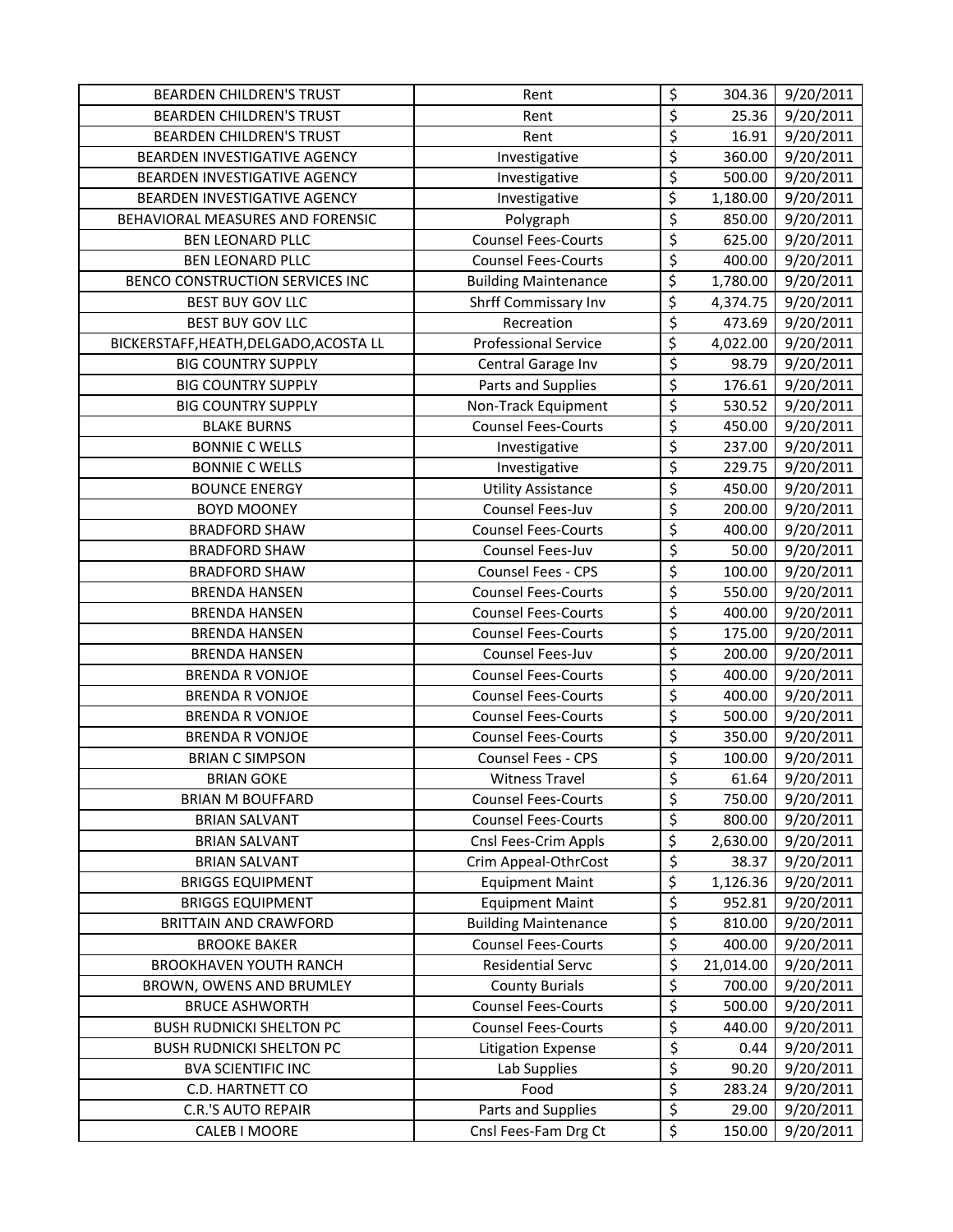| <b>BEARDEN CHILDREN'S TRUST</b>        | Rent                        | \$                      | 304.36    | 9/20/2011 |
|----------------------------------------|-----------------------------|-------------------------|-----------|-----------|
| <b>BEARDEN CHILDREN'S TRUST</b>        | Rent                        | \$                      | 25.36     | 9/20/2011 |
| <b>BEARDEN CHILDREN'S TRUST</b>        | Rent                        | $\overline{\xi}$        | 16.91     | 9/20/2011 |
| BEARDEN INVESTIGATIVE AGENCY           | Investigative               | \$                      | 360.00    | 9/20/2011 |
| BEARDEN INVESTIGATIVE AGENCY           | Investigative               | \$                      | 500.00    | 9/20/2011 |
| BEARDEN INVESTIGATIVE AGENCY           | Investigative               | \$                      | 1,180.00  | 9/20/2011 |
| BEHAVIORAL MEASURES AND FORENSIC       | Polygraph                   | \$                      | 850.00    | 9/20/2011 |
| <b>BEN LEONARD PLLC</b>                | <b>Counsel Fees-Courts</b>  | \$                      | 625.00    | 9/20/2011 |
| <b>BEN LEONARD PLLC</b>                | <b>Counsel Fees-Courts</b>  | $\overline{\xi}$        | 400.00    | 9/20/2011 |
| BENCO CONSTRUCTION SERVICES INC        | <b>Building Maintenance</b> | $\overline{\varsigma}$  | 1,780.00  | 9/20/2011 |
| <b>BEST BUY GOV LLC</b>                | Shrff Commissary Inv        | $\overline{\xi}$        | 4,374.75  | 9/20/2011 |
| <b>BEST BUY GOV LLC</b>                | Recreation                  | \$                      | 473.69    | 9/20/2011 |
| BICKERSTAFF, HEATH, DELGADO, ACOSTA LL | <b>Professional Service</b> | \$                      | 4,022.00  | 9/20/2011 |
| <b>BIG COUNTRY SUPPLY</b>              | Central Garage Inv          | \$                      | 98.79     | 9/20/2011 |
| <b>BIG COUNTRY SUPPLY</b>              | Parts and Supplies          | \$                      | 176.61    | 9/20/2011 |
| <b>BIG COUNTRY SUPPLY</b>              | Non-Track Equipment         | \$                      | 530.52    | 9/20/2011 |
| <b>BLAKE BURNS</b>                     | <b>Counsel Fees-Courts</b>  | \$                      | 450.00    | 9/20/2011 |
| <b>BONNIE C WELLS</b>                  | Investigative               | \$                      | 237.00    | 9/20/2011 |
| <b>BONNIE C WELLS</b>                  | Investigative               | \$                      | 229.75    | 9/20/2011 |
| <b>BOUNCE ENERGY</b>                   | <b>Utility Assistance</b>   | \$                      | 450.00    | 9/20/2011 |
| <b>BOYD MOONEY</b>                     | Counsel Fees-Juv            | \$                      | 200.00    | 9/20/2011 |
| <b>BRADFORD SHAW</b>                   | <b>Counsel Fees-Courts</b>  | \$                      | 400.00    | 9/20/2011 |
| <b>BRADFORD SHAW</b>                   | Counsel Fees-Juv            | \$                      | 50.00     | 9/20/2011 |
| <b>BRADFORD SHAW</b>                   | Counsel Fees - CPS          | \$                      | 100.00    | 9/20/2011 |
| <b>BRENDA HANSEN</b>                   | <b>Counsel Fees-Courts</b>  | \$                      | 550.00    | 9/20/2011 |
| <b>BRENDA HANSEN</b>                   | <b>Counsel Fees-Courts</b>  | \$                      | 400.00    | 9/20/2011 |
| <b>BRENDA HANSEN</b>                   | <b>Counsel Fees-Courts</b>  | \$                      | 175.00    | 9/20/2011 |
| <b>BRENDA HANSEN</b>                   | Counsel Fees-Juv            | $\overline{\xi}$        | 200.00    | 9/20/2011 |
| <b>BRENDA R VONJOE</b>                 | <b>Counsel Fees-Courts</b>  | \$                      | 400.00    | 9/20/2011 |
| <b>BRENDA R VONJOE</b>                 | <b>Counsel Fees-Courts</b>  | \$                      | 400.00    | 9/20/2011 |
| <b>BRENDA R VONJOE</b>                 | <b>Counsel Fees-Courts</b>  | \$                      | 500.00    | 9/20/2011 |
| <b>BRENDA R VONJOE</b>                 | <b>Counsel Fees-Courts</b>  | \$                      | 350.00    | 9/20/2011 |
| <b>BRIAN C SIMPSON</b>                 | Counsel Fees - CPS          | \$                      | 100.00    | 9/20/2011 |
| <b>BRIAN GOKE</b>                      | <b>Witness Travel</b>       | $\overline{\mathsf{S}}$ | 61.64     | 9/20/2011 |
| <b>BRIAN M BOUFFARD</b>                | <b>Counsel Fees-Courts</b>  | \$                      | 750.00    | 9/20/2011 |
| <b>BRIAN SALVANT</b>                   | <b>Counsel Fees-Courts</b>  | \$                      | 800.00    | 9/20/2011 |
| <b>BRIAN SALVANT</b>                   | Cnsl Fees-Crim Appls        | $\overline{\varsigma}$  | 2,630.00  | 9/20/2011 |
| <b>BRIAN SALVANT</b>                   | Crim Appeal-OthrCost        | \$                      | 38.37     | 9/20/2011 |
| <b>BRIGGS EQUIPMENT</b>                | <b>Equipment Maint</b>      | \$                      | 1,126.36  | 9/20/2011 |
| <b>BRIGGS EQUIPMENT</b>                | <b>Equipment Maint</b>      | \$                      | 952.81    | 9/20/2011 |
| <b>BRITTAIN AND CRAWFORD</b>           | <b>Building Maintenance</b> | \$                      | 810.00    | 9/20/2011 |
| <b>BROOKE BAKER</b>                    | <b>Counsel Fees-Courts</b>  | \$                      | 400.00    | 9/20/2011 |
| <b>BROOKHAVEN YOUTH RANCH</b>          | Residential Servc           | \$                      | 21,014.00 | 9/20/2011 |
| BROWN, OWENS AND BRUMLEY               | <b>County Burials</b>       | \$                      | 700.00    | 9/20/2011 |
| <b>BRUCE ASHWORTH</b>                  | <b>Counsel Fees-Courts</b>  | \$                      | 500.00    | 9/20/2011 |
| <b>BUSH RUDNICKI SHELTON PC</b>        | <b>Counsel Fees-Courts</b>  | \$                      | 440.00    | 9/20/2011 |
| <b>BUSH RUDNICKI SHELTON PC</b>        | <b>Litigation Expense</b>   | \$                      | 0.44      | 9/20/2011 |
| <b>BVA SCIENTIFIC INC</b>              | Lab Supplies                | $\overline{\xi}$        | 90.20     | 9/20/2011 |
| C.D. HARTNETT CO                       | Food                        | \$                      | 283.24    | 9/20/2011 |
| <b>C.R.'S AUTO REPAIR</b>              | Parts and Supplies          | \$                      | 29.00     | 9/20/2011 |
| CALEB I MOORE                          | Cnsl Fees-Fam Drg Ct        | \$                      | 150.00    | 9/20/2011 |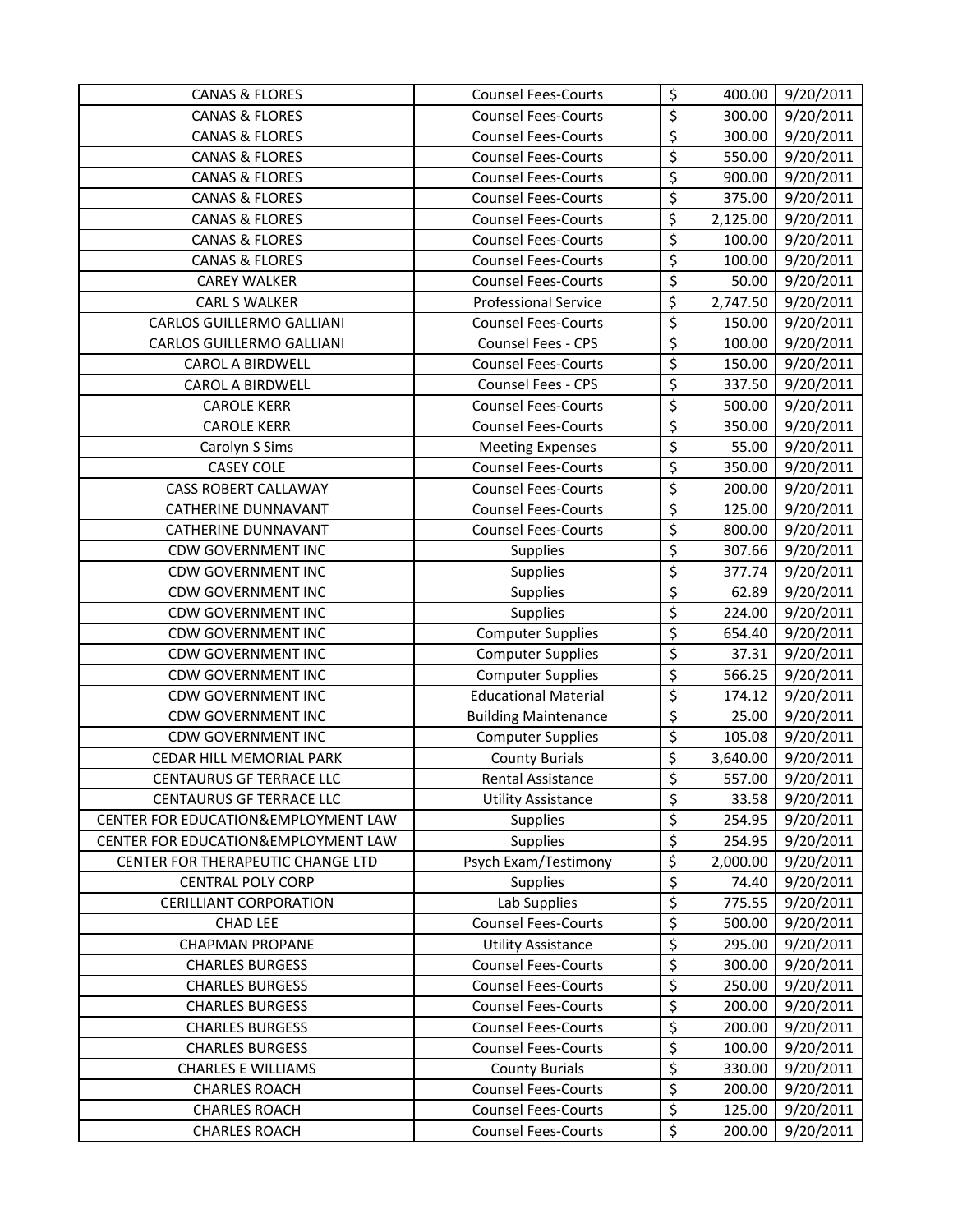| <b>CANAS &amp; FLORES</b>           | <b>Counsel Fees-Courts</b>  | \$                              | 400.00   | 9/20/2011 |
|-------------------------------------|-----------------------------|---------------------------------|----------|-----------|
| <b>CANAS &amp; FLORES</b>           | <b>Counsel Fees-Courts</b>  | \$                              | 300.00   | 9/20/2011 |
| <b>CANAS &amp; FLORES</b>           | <b>Counsel Fees-Courts</b>  | \$                              | 300.00   | 9/20/2011 |
| <b>CANAS &amp; FLORES</b>           | <b>Counsel Fees-Courts</b>  | \$                              | 550.00   | 9/20/2011 |
| <b>CANAS &amp; FLORES</b>           | <b>Counsel Fees-Courts</b>  | \$                              | 900.00   | 9/20/2011 |
| <b>CANAS &amp; FLORES</b>           | <b>Counsel Fees-Courts</b>  | $\overline{\mathcal{S}}$        | 375.00   | 9/20/2011 |
| <b>CANAS &amp; FLORES</b>           | <b>Counsel Fees-Courts</b>  | $\overline{\xi}$                | 2,125.00 | 9/20/2011 |
| <b>CANAS &amp; FLORES</b>           | <b>Counsel Fees-Courts</b>  | \$                              | 100.00   | 9/20/2011 |
| <b>CANAS &amp; FLORES</b>           | <b>Counsel Fees-Courts</b>  | \$                              | 100.00   | 9/20/2011 |
| <b>CAREY WALKER</b>                 | <b>Counsel Fees-Courts</b>  | \$                              | 50.00    | 9/20/2011 |
| <b>CARL S WALKER</b>                | <b>Professional Service</b> | \$                              | 2,747.50 | 9/20/2011 |
| CARLOS GUILLERMO GALLIANI           | <b>Counsel Fees-Courts</b>  | \$                              | 150.00   | 9/20/2011 |
| CARLOS GUILLERMO GALLIANI           | Counsel Fees - CPS          | \$                              | 100.00   | 9/20/2011 |
| <b>CAROL A BIRDWELL</b>             | <b>Counsel Fees-Courts</b>  | $\overline{\varsigma}$          | 150.00   | 9/20/2011 |
| <b>CAROL A BIRDWELL</b>             | Counsel Fees - CPS          | \$                              | 337.50   | 9/20/2011 |
| <b>CAROLE KERR</b>                  | <b>Counsel Fees-Courts</b>  | $\overline{\varsigma}$          | 500.00   | 9/20/2011 |
| <b>CAROLE KERR</b>                  | <b>Counsel Fees-Courts</b>  | \$                              | 350.00   | 9/20/2011 |
| Carolyn S Sims                      | <b>Meeting Expenses</b>     | $\overline{\varsigma}$          | 55.00    | 9/20/2011 |
| <b>CASEY COLE</b>                   | <b>Counsel Fees-Courts</b>  | \$                              | 350.00   | 9/20/2011 |
| <b>CASS ROBERT CALLAWAY</b>         | <b>Counsel Fees-Courts</b>  | \$                              | 200.00   | 9/20/2011 |
| <b>CATHERINE DUNNAVANT</b>          | <b>Counsel Fees-Courts</b>  | \$                              | 125.00   | 9/20/2011 |
| CATHERINE DUNNAVANT                 | <b>Counsel Fees-Courts</b>  | \$                              | 800.00   | 9/20/2011 |
| <b>CDW GOVERNMENT INC</b>           | <b>Supplies</b>             | $\overline{\varsigma}$          | 307.66   | 9/20/2011 |
| <b>CDW GOVERNMENT INC</b>           | <b>Supplies</b>             | \$                              | 377.74   | 9/20/2011 |
| <b>CDW GOVERNMENT INC</b>           | Supplies                    | $\overline{\varsigma}$          | 62.89    | 9/20/2011 |
| <b>CDW GOVERNMENT INC</b>           | Supplies                    | \$                              | 224.00   | 9/20/2011 |
| <b>CDW GOVERNMENT INC</b>           | <b>Computer Supplies</b>    | \$                              | 654.40   | 9/20/2011 |
| <b>CDW GOVERNMENT INC</b>           | <b>Computer Supplies</b>    | \$                              | 37.31    | 9/20/2011 |
| <b>CDW GOVERNMENT INC</b>           | <b>Computer Supplies</b>    | \$                              | 566.25   | 9/20/2011 |
| <b>CDW GOVERNMENT INC</b>           | <b>Educational Material</b> | \$                              | 174.12   | 9/20/2011 |
| <b>CDW GOVERNMENT INC</b>           | <b>Building Maintenance</b> | $\overline{\mathcal{L}}$        | 25.00    | 9/20/2011 |
| <b>CDW GOVERNMENT INC</b>           | <b>Computer Supplies</b>    | $\overline{\boldsymbol{\zeta}}$ | 105.08   | 9/20/2011 |
| CEDAR HILL MEMORIAL PARK            | <b>County Burials</b>       | $\overline{\xi}$                | 3,640.00 | 9/20/2011 |
| CENTAURUS GF TERRACE LLC            | Rental Assistance           | \$                              | 557.00   | 9/20/2011 |
| CENTAURUS GF TERRACE LLC            | <b>Utility Assistance</b>   | \$                              | 33.58    | 9/20/2011 |
| CENTER FOR EDUCATION&EMPLOYMENT LAW | Supplies                    | \$                              | 254.95   | 9/20/2011 |
| CENTER FOR EDUCATION&EMPLOYMENT LAW | Supplies                    | \$                              | 254.95   | 9/20/2011 |
| CENTER FOR THERAPEUTIC CHANGE LTD   | Psych Exam/Testimony        | \$                              | 2,000.00 | 9/20/2011 |
| <b>CENTRAL POLY CORP</b>            | <b>Supplies</b>             | \$                              | 74.40    | 9/20/2011 |
| <b>CERILLIANT CORPORATION</b>       | Lab Supplies                | \$                              | 775.55   | 9/20/2011 |
| <b>CHAD LEE</b>                     | <b>Counsel Fees-Courts</b>  | $\overline{\xi}$                | 500.00   | 9/20/2011 |
| <b>CHAPMAN PROPANE</b>              | <b>Utility Assistance</b>   | \$                              | 295.00   | 9/20/2011 |
| <b>CHARLES BURGESS</b>              | <b>Counsel Fees-Courts</b>  | \$                              | 300.00   | 9/20/2011 |
| <b>CHARLES BURGESS</b>              | <b>Counsel Fees-Courts</b>  | \$                              | 250.00   | 9/20/2011 |
| <b>CHARLES BURGESS</b>              | <b>Counsel Fees-Courts</b>  | \$                              | 200.00   | 9/20/2011 |
| <b>CHARLES BURGESS</b>              | <b>Counsel Fees-Courts</b>  | \$                              | 200.00   | 9/20/2011 |
| <b>CHARLES BURGESS</b>              | <b>Counsel Fees-Courts</b>  | \$                              | 100.00   | 9/20/2011 |
| <b>CHARLES E WILLIAMS</b>           | <b>County Burials</b>       | \$                              | 330.00   | 9/20/2011 |
| <b>CHARLES ROACH</b>                | <b>Counsel Fees-Courts</b>  | \$                              | 200.00   | 9/20/2011 |
| <b>CHARLES ROACH</b>                | <b>Counsel Fees-Courts</b>  | $\overline{\xi}$                | 125.00   | 9/20/2011 |
| <b>CHARLES ROACH</b>                | <b>Counsel Fees-Courts</b>  | \$                              | 200.00   | 9/20/2011 |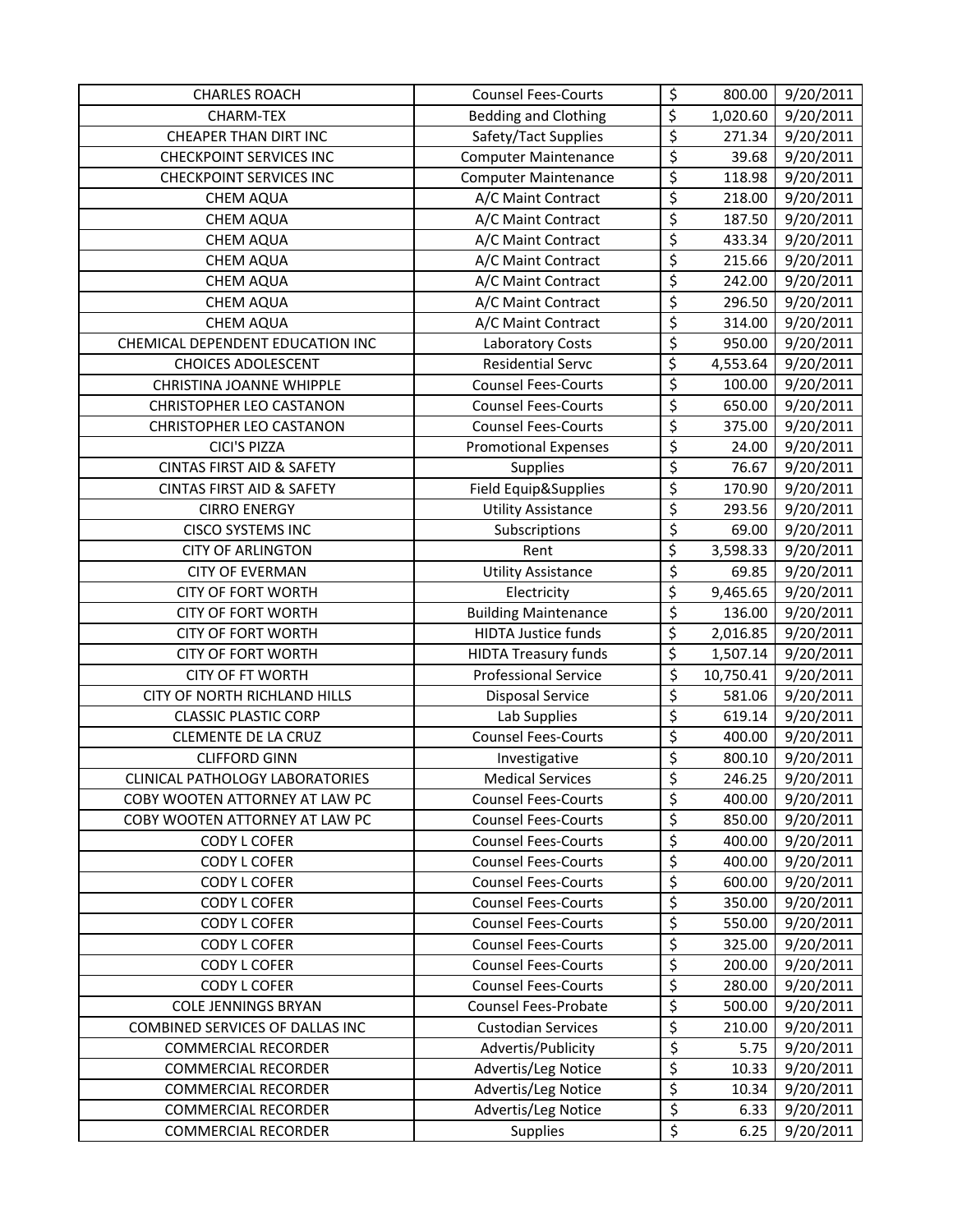| <b>CHARLES ROACH</b>                 | <b>Counsel Fees-Courts</b>  | \$                              | 800.00    | 9/20/2011              |
|--------------------------------------|-----------------------------|---------------------------------|-----------|------------------------|
| <b>CHARM-TEX</b>                     | <b>Bedding and Clothing</b> | $\overline{\varsigma}$          | 1,020.60  | 9/20/2011              |
| <b>CHEAPER THAN DIRT INC</b>         | Safety/Tact Supplies        | \$                              | 271.34    | 9/20/2011              |
| <b>CHECKPOINT SERVICES INC</b>       | <b>Computer Maintenance</b> | $\overline{\mathcal{L}}$        | 39.68     | 9/20/2011              |
| <b>CHECKPOINT SERVICES INC</b>       | <b>Computer Maintenance</b> | $\overline{\boldsymbol{\zeta}}$ | 118.98    | 9/20/2011              |
| <b>CHEM AQUA</b>                     | A/C Maint Contract          | \$                              | 218.00    | 9/20/2011              |
| <b>CHEM AQUA</b>                     | A/C Maint Contract          | \$                              | 187.50    | 9/20/2011              |
| <b>CHEM AQUA</b>                     | A/C Maint Contract          | \$                              | 433.34    | 9/20/2011              |
| <b>CHEM AQUA</b>                     | A/C Maint Contract          | $\overline{\boldsymbol{\zeta}}$ | 215.66    | 9/20/2011              |
| <b>CHEM AQUA</b>                     | A/C Maint Contract          | \$                              | 242.00    | 9/20/2011              |
| <b>CHEM AQUA</b>                     | A/C Maint Contract          | \$                              | 296.50    | 9/20/2011              |
| <b>CHEM AQUA</b>                     | A/C Maint Contract          | \$                              | 314.00    | 9/20/2011              |
| CHEMICAL DEPENDENT EDUCATION INC     | Laboratory Costs            | \$                              | 950.00    | 9/20/2011              |
| <b>CHOICES ADOLESCENT</b>            | <b>Residential Servc</b>    | $\overline{\xi}$                | 4,553.64  | $\frac{1}{9}$ /20/2011 |
| <b>CHRISTINA JOANNE WHIPPLE</b>      | <b>Counsel Fees-Courts</b>  | \$                              | 100.00    | 9/20/2011              |
| CHRISTOPHER LEO CASTANON             | <b>Counsel Fees-Courts</b>  | \$                              | 650.00    | 9/20/2011              |
| CHRISTOPHER LEO CASTANON             | <b>Counsel Fees-Courts</b>  | \$                              | 375.00    | 9/20/2011              |
| <b>CICI'S PIZZA</b>                  | <b>Promotional Expenses</b> | \$                              | 24.00     | 9/20/2011              |
| <b>CINTAS FIRST AID &amp; SAFETY</b> | Supplies                    | \$                              | 76.67     | 9/20/2011              |
| <b>CINTAS FIRST AID &amp; SAFETY</b> | Field Equip&Supplies        | \$                              | 170.90    | 9/20/2011              |
| <b>CIRRO ENERGY</b>                  | <b>Utility Assistance</b>   | \$                              | 293.56    | 9/20/2011              |
| <b>CISCO SYSTEMS INC</b>             | Subscriptions               | $\overline{\mathcal{L}}$        | 69.00     | 9/20/2011              |
| <b>CITY OF ARLINGTON</b>             | Rent                        | \$                              | 3,598.33  | 9/20/2011              |
| <b>CITY OF EVERMAN</b>               | <b>Utility Assistance</b>   | \$                              | 69.85     | 9/20/2011              |
| <b>CITY OF FORT WORTH</b>            | Electricity                 | \$                              | 9,465.65  | 9/20/2011              |
| <b>CITY OF FORT WORTH</b>            | <b>Building Maintenance</b> | \$                              | 136.00    | 9/20/2011              |
| <b>CITY OF FORT WORTH</b>            | HIDTA Justice funds         | \$                              | 2,016.85  | 9/20/2011              |
| <b>CITY OF FORT WORTH</b>            | <b>HIDTA Treasury funds</b> | \$                              | 1,507.14  | 9/20/2011              |
| <b>CITY OF FT WORTH</b>              | <b>Professional Service</b> | $\overline{\xi}$                | 10,750.41 | 9/20/2011              |
| CITY OF NORTH RICHLAND HILLS         | <b>Disposal Service</b>     | \$                              | 581.06    | 9/20/2011              |
| <b>CLASSIC PLASTIC CORP</b>          | Lab Supplies                | \$                              | 619.14    | 9/20/2011              |
| <b>CLEMENTE DE LA CRUZ</b>           | <b>Counsel Fees-Courts</b>  | \$                              | 400.00    | 9/20/2011              |
| <b>CLIFFORD GINN</b>                 | Investigative               | \$                              | 800.10    | 9/20/2011              |
| CLINICAL PATHOLOGY LABORATORIES      | <b>Medical Services</b>     | \$                              | 246.25    | 9/20/2011              |
| COBY WOOTEN ATTORNEY AT LAW PC       | <b>Counsel Fees-Courts</b>  | \$                              | 400.00    | 9/20/2011              |
| COBY WOOTEN ATTORNEY AT LAW PC       | <b>Counsel Fees-Courts</b>  | \$                              | 850.00    | 9/20/2011              |
| <b>CODY L COFER</b>                  | <b>Counsel Fees-Courts</b>  | \$                              | 400.00    | 9/20/2011              |
| <b>CODY L COFER</b>                  | <b>Counsel Fees-Courts</b>  | \$                              | 400.00    | 9/20/2011              |
| <b>CODY L COFER</b>                  | <b>Counsel Fees-Courts</b>  | $\overline{\xi}$                | 600.00    | 9/20/2011              |
| <b>CODY L COFER</b>                  | <b>Counsel Fees-Courts</b>  | \$                              | 350.00    | 9/20/2011              |
| <b>CODY L COFER</b>                  | <b>Counsel Fees-Courts</b>  | \$                              | 550.00    | 9/20/2011              |
| <b>CODY L COFER</b>                  | <b>Counsel Fees-Courts</b>  | \$                              | 325.00    | 9/20/2011              |
| <b>CODY L COFER</b>                  | <b>Counsel Fees-Courts</b>  | \$                              | 200.00    | 9/20/2011              |
| <b>CODY L COFER</b>                  | <b>Counsel Fees-Courts</b>  | \$                              | 280.00    | 9/20/2011              |
| <b>COLE JENNINGS BRYAN</b>           | Counsel Fees-Probate        | \$                              | 500.00    | 9/20/2011              |
| COMBINED SERVICES OF DALLAS INC      | <b>Custodian Services</b>   | \$                              | 210.00    | 9/20/2011              |
| <b>COMMERCIAL RECORDER</b>           | Advertis/Publicity          | $\overline{\xi}$                | 5.75      | 9/20/2011              |
| <b>COMMERCIAL RECORDER</b>           | Advertis/Leg Notice         | $\overline{\varsigma}$          | 10.33     | 9/20/2011              |
| <b>COMMERCIAL RECORDER</b>           | Advertis/Leg Notice         | \$                              | 10.34     | 9/20/2011              |
| <b>COMMERCIAL RECORDER</b>           | Advertis/Leg Notice         | \$                              | 6.33      | 9/20/2011              |
| <b>COMMERCIAL RECORDER</b>           | Supplies                    | \$                              | 6.25      | 9/20/2011              |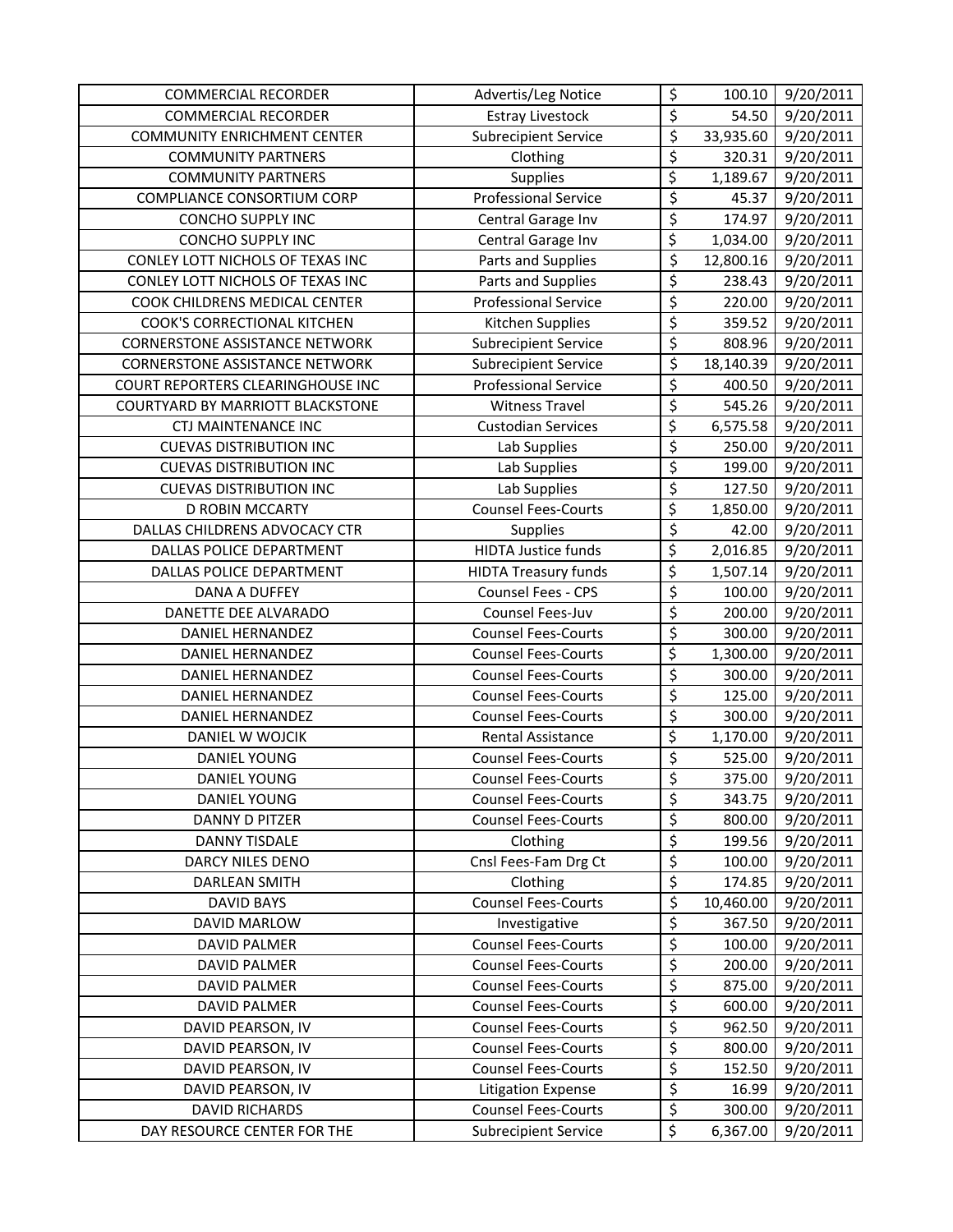| <b>COMMERCIAL RECORDER</b>            | Advertis/Leg Notice         | \$                              | 100.10    | 9/20/2011 |
|---------------------------------------|-----------------------------|---------------------------------|-----------|-----------|
| <b>COMMERCIAL RECORDER</b>            | <b>Estray Livestock</b>     | \$                              | 54.50     | 9/20/2011 |
| <b>COMMUNITY ENRICHMENT CENTER</b>    | <b>Subrecipient Service</b> | \$                              | 33,935.60 | 9/20/2011 |
| <b>COMMUNITY PARTNERS</b>             | Clothing                    | $\overline{\boldsymbol{\zeta}}$ | 320.31    | 9/20/2011 |
| <b>COMMUNITY PARTNERS</b>             | Supplies                    | $\overline{\xi}$                | 1,189.67  | 9/20/2011 |
| COMPLIANCE CONSORTIUM CORP            | <b>Professional Service</b> | $\overline{\xi}$                | 45.37     | 9/20/2011 |
| <b>CONCHO SUPPLY INC</b>              | Central Garage Inv          | \$                              | 174.97    | 9/20/2011 |
| <b>CONCHO SUPPLY INC</b>              | Central Garage Inv          | \$                              | 1,034.00  | 9/20/2011 |
| CONLEY LOTT NICHOLS OF TEXAS INC      | Parts and Supplies          | $\overline{\xi}$                | 12,800.16 | 9/20/2011 |
| CONLEY LOTT NICHOLS OF TEXAS INC      | Parts and Supplies          | \$                              | 238.43    | 9/20/2011 |
| COOK CHILDRENS MEDICAL CENTER         | <b>Professional Service</b> | \$                              | 220.00    | 9/20/2011 |
| COOK'S CORRECTIONAL KITCHEN           | Kitchen Supplies            | $\overline{\varsigma}$          | 359.52    | 9/20/2011 |
| <b>CORNERSTONE ASSISTANCE NETWORK</b> | <b>Subrecipient Service</b> | $\overline{\boldsymbol{\zeta}}$ | 808.96    | 9/20/2011 |
| <b>CORNERSTONE ASSISTANCE NETWORK</b> | <b>Subrecipient Service</b> | $\overline{\xi}$                | 18,140.39 | 9/20/2011 |
| COURT REPORTERS CLEARINGHOUSE INC     | <b>Professional Service</b> | \$                              | 400.50    | 9/20/2011 |
| COURTYARD BY MARRIOTT BLACKSTONE      | <b>Witness Travel</b>       | \$                              | 545.26    | 9/20/2011 |
| CTJ MAINTENANCE INC                   | <b>Custodian Services</b>   | \$                              | 6,575.58  | 9/20/2011 |
| <b>CUEVAS DISTRIBUTION INC</b>        | Lab Supplies                | \$                              | 250.00    | 9/20/2011 |
| <b>CUEVAS DISTRIBUTION INC</b>        | Lab Supplies                | \$                              | 199.00    | 9/20/2011 |
| <b>CUEVAS DISTRIBUTION INC</b>        | Lab Supplies                | $\overline{\varsigma}$          | 127.50    | 9/20/2011 |
| <b>D ROBIN MCCARTY</b>                | <b>Counsel Fees-Courts</b>  | \$                              | 1,850.00  | 9/20/2011 |
| DALLAS CHILDRENS ADVOCACY CTR         | Supplies                    | $\overline{\varsigma}$          | 42.00     | 9/20/2011 |
| DALLAS POLICE DEPARTMENT              | <b>HIDTA Justice funds</b>  | \$                              | 2,016.85  | 9/20/2011 |
| DALLAS POLICE DEPARTMENT              | <b>HIDTA Treasury funds</b> | \$                              | 1,507.14  | 9/20/2011 |
| <b>DANA A DUFFEY</b>                  | Counsel Fees - CPS          | $\overline{\boldsymbol{\zeta}}$ | 100.00    | 9/20/2011 |
| DANETTE DEE ALVARADO                  | Counsel Fees-Juv            | $\overline{\xi}$                | 200.00    | 9/20/2011 |
| DANIEL HERNANDEZ                      | <b>Counsel Fees-Courts</b>  | $\overline{\mathcal{L}}$        | 300.00    | 9/20/2011 |
| DANIEL HERNANDEZ                      | <b>Counsel Fees-Courts</b>  | \$                              | 1,300.00  | 9/20/2011 |
| DANIEL HERNANDEZ                      | <b>Counsel Fees-Courts</b>  | $\overline{\varsigma}$          | 300.00    | 9/20/2011 |
| DANIEL HERNANDEZ                      | <b>Counsel Fees-Courts</b>  | $\overline{\xi}$                | 125.00    | 9/20/2011 |
| DANIEL HERNANDEZ                      | <b>Counsel Fees-Courts</b>  | \$                              | 300.00    | 9/20/2011 |
| DANIEL W WOJCIK                       | <b>Rental Assistance</b>    | \$                              | 1,170.00  | 9/20/2011 |
| DANIEL YOUNG                          | <b>Counsel Fees-Courts</b>  | \$                              | 525.00    | 9/20/2011 |
| DANIEL YOUNG                          | <b>Counsel Fees-Courts</b>  | $\overline{\xi}$                | 375.00    | 9/20/2011 |
| DANIEL YOUNG                          | <b>Counsel Fees-Courts</b>  | \$                              | 343.75    | 9/20/2011 |
| DANNY D PITZER                        | <b>Counsel Fees-Courts</b>  | \$                              | 800.00    | 9/20/2011 |
| <b>DANNY TISDALE</b>                  | Clothing                    | \$                              | 199.56    | 9/20/2011 |
| <b>DARCY NILES DENO</b>               | Cnsl Fees-Fam Drg Ct        | \$                              | 100.00    | 9/20/2011 |
| <b>DARLEAN SMITH</b>                  | Clothing                    | $\overline{\xi}$                | 174.85    | 9/20/2011 |
| <b>DAVID BAYS</b>                     | <b>Counsel Fees-Courts</b>  | $\overline{\varsigma}$          | 10,460.00 | 9/20/2011 |
| DAVID MARLOW                          | Investigative               | \$                              | 367.50    | 9/20/2011 |
| <b>DAVID PALMER</b>                   | <b>Counsel Fees-Courts</b>  | \$                              | 100.00    | 9/20/2011 |
| <b>DAVID PALMER</b>                   | <b>Counsel Fees-Courts</b>  | \$                              | 200.00    | 9/20/2011 |
| <b>DAVID PALMER</b>                   | <b>Counsel Fees-Courts</b>  | \$                              | 875.00    | 9/20/2011 |
| <b>DAVID PALMER</b>                   | <b>Counsel Fees-Courts</b>  | \$                              | 600.00    | 9/20/2011 |
| DAVID PEARSON, IV                     | <b>Counsel Fees-Courts</b>  | \$                              | 962.50    | 9/20/2011 |
| DAVID PEARSON, IV                     | <b>Counsel Fees-Courts</b>  | \$                              | 800.00    | 9/20/2011 |
| DAVID PEARSON, IV                     | <b>Counsel Fees-Courts</b>  | \$                              | 152.50    | 9/20/2011 |
| DAVID PEARSON, IV                     | <b>Litigation Expense</b>   | $\overline{\xi}$                | 16.99     | 9/20/2011 |
| <b>DAVID RICHARDS</b>                 | <b>Counsel Fees-Courts</b>  | $\overline{\xi}$                | 300.00    | 9/20/2011 |
| DAY RESOURCE CENTER FOR THE           | <b>Subrecipient Service</b> | \$                              | 6,367.00  | 9/20/2011 |
|                                       |                             |                                 |           |           |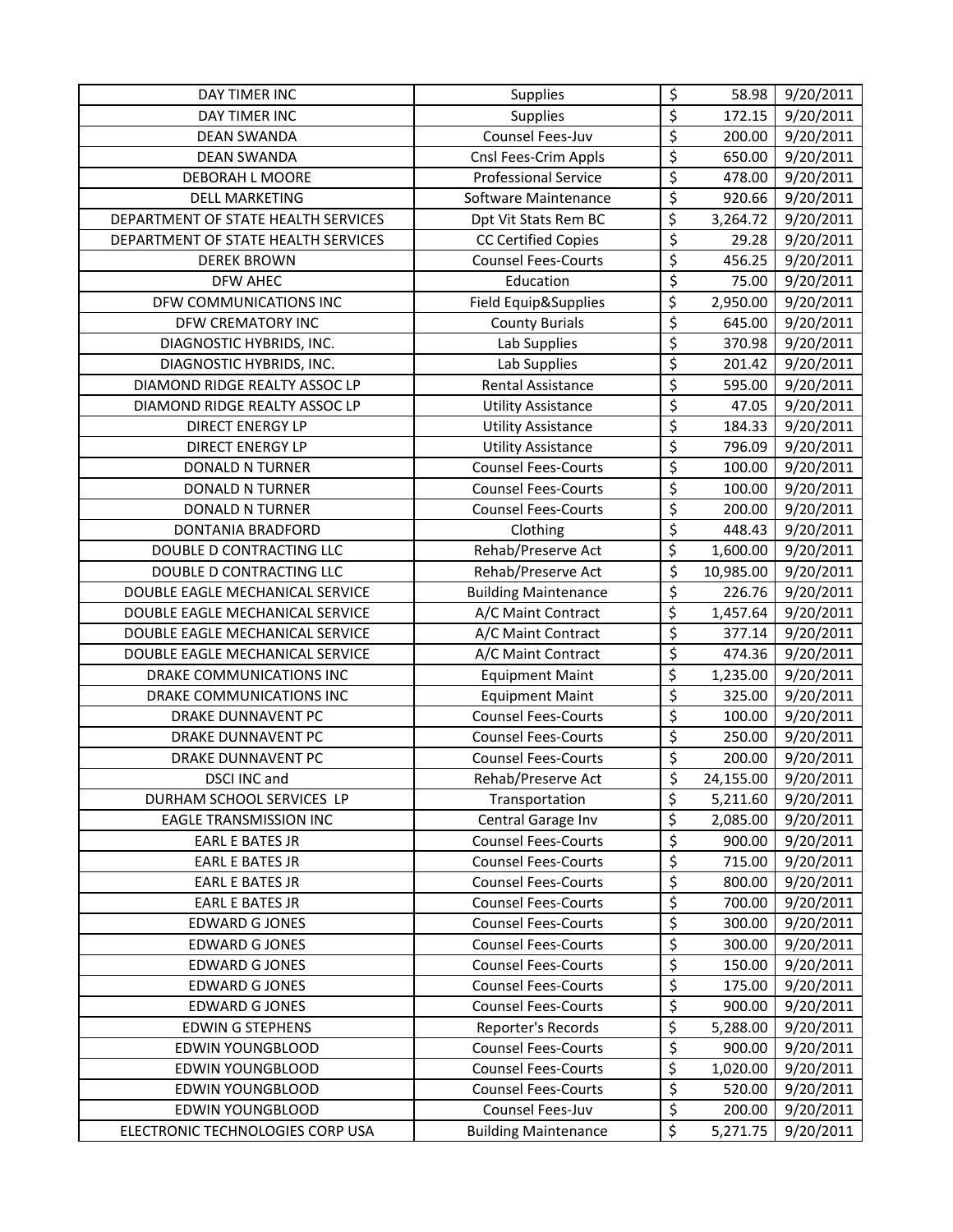| DAY TIMER INC                       | <b>Supplies</b>             | \$                              | 58.98     | 9/20/2011 |
|-------------------------------------|-----------------------------|---------------------------------|-----------|-----------|
| <b>DAY TIMER INC</b>                | Supplies                    | \$                              | 172.15    | 9/20/2011 |
| <b>DEAN SWANDA</b>                  | Counsel Fees-Juv            | \$                              | 200.00    | 9/20/2011 |
| <b>DEAN SWANDA</b>                  | Cnsl Fees-Crim Appls        | \$                              | 650.00    | 9/20/2011 |
| DEBORAH L MOORE                     | <b>Professional Service</b> | \$                              | 478.00    | 9/20/2011 |
| <b>DELL MARKETING</b>               | Software Maintenance        | $\overline{\mathcal{S}}$        | 920.66    | 9/20/2011 |
| DEPARTMENT OF STATE HEALTH SERVICES | Dpt Vit Stats Rem BC        | $\overline{\xi}$                | 3,264.72  | 9/20/2011 |
| DEPARTMENT OF STATE HEALTH SERVICES | <b>CC Certified Copies</b>  | $\overline{\mathcal{L}}$        | 29.28     | 9/20/2011 |
| <b>DEREK BROWN</b>                  | <b>Counsel Fees-Courts</b>  | \$                              | 456.25    | 9/20/2011 |
| <b>DFW AHEC</b>                     | Education                   | \$                              | 75.00     | 9/20/2011 |
| DFW COMMUNICATIONS INC              | Field Equip&Supplies        | \$                              | 2,950.00  | 9/20/2011 |
| DFW CREMATORY INC                   | <b>County Burials</b>       | \$                              | 645.00    | 9/20/2011 |
| DIAGNOSTIC HYBRIDS, INC.            | Lab Supplies                | \$                              | 370.98    | 9/20/2011 |
| DIAGNOSTIC HYBRIDS, INC.            | Lab Supplies                | \$                              | 201.42    | 9/20/2011 |
| DIAMOND RIDGE REALTY ASSOC LP       | Rental Assistance           | \$                              | 595.00    | 9/20/2011 |
| DIAMOND RIDGE REALTY ASSOC LP       | <b>Utility Assistance</b>   | \$                              | 47.05     | 9/20/2011 |
| <b>DIRECT ENERGY LP</b>             | <b>Utility Assistance</b>   | \$                              | 184.33    | 9/20/2011 |
| <b>DIRECT ENERGY LP</b>             | <b>Utility Assistance</b>   | $\overline{\mathcal{S}}$        | 796.09    | 9/20/2011 |
| <b>DONALD N TURNER</b>              | <b>Counsel Fees-Courts</b>  | \$                              | 100.00    | 9/20/2011 |
| <b>DONALD N TURNER</b>              | <b>Counsel Fees-Courts</b>  | \$                              | 100.00    | 9/20/2011 |
| DONALD N TURNER                     | <b>Counsel Fees-Courts</b>  | \$                              | 200.00    | 9/20/2011 |
| DONTANIA BRADFORD                   | Clothing                    | \$                              | 448.43    | 9/20/2011 |
| DOUBLE D CONTRACTING LLC            | Rehab/Preserve Act          | $\overline{\varsigma}$          | 1,600.00  | 9/20/2011 |
| DOUBLE D CONTRACTING LLC            | Rehab/Preserve Act          | $\overline{\varsigma}$          | 10,985.00 | 9/20/2011 |
| DOUBLE EAGLE MECHANICAL SERVICE     | <b>Building Maintenance</b> | \$                              | 226.76    | 9/20/2011 |
| DOUBLE EAGLE MECHANICAL SERVICE     | A/C Maint Contract          | \$                              | 1,457.64  | 9/20/2011 |
| DOUBLE EAGLE MECHANICAL SERVICE     | A/C Maint Contract          | $\overline{\mathcal{S}}$        | 377.14    | 9/20/2011 |
| DOUBLE EAGLE MECHANICAL SERVICE     | A/C Maint Contract          | \$                              | 474.36    | 9/20/2011 |
| DRAKE COMMUNICATIONS INC            | <b>Equipment Maint</b>      | $\overline{\varsigma}$          | 1,235.00  | 9/20/2011 |
| DRAKE COMMUNICATIONS INC            | <b>Equipment Maint</b>      | \$                              | 325.00    | 9/20/2011 |
| DRAKE DUNNAVENT PC                  | <b>Counsel Fees-Courts</b>  | \$                              | 100.00    | 9/20/2011 |
| <b>DRAKE DUNNAVENT PC</b>           | <b>Counsel Fees-Courts</b>  | $\overline{\boldsymbol{\zeta}}$ | 250.00    | 9/20/2011 |
| DRAKE DUNNAVENT PC                  | <b>Counsel Fees-Courts</b>  | \$                              | 200.00    | 9/20/2011 |
| DSCI INC and                        | Rehab/Preserve Act          | \$                              | 24,155.00 | 9/20/2011 |
| DURHAM SCHOOL SERVICES LP           | Transportation              | \$                              | 5,211.60  | 9/20/2011 |
| <b>EAGLE TRANSMISSION INC</b>       | Central Garage Inv          | \$                              | 2,085.00  | 9/20/2011 |
| <b>EARL E BATES JR</b>              | <b>Counsel Fees-Courts</b>  | \$                              | 900.00    | 9/20/2011 |
| <b>EARL E BATES JR</b>              | <b>Counsel Fees-Courts</b>  | \$                              | 715.00    | 9/20/2011 |
| <b>EARL E BATES JR</b>              | <b>Counsel Fees-Courts</b>  | \$                              | 800.00    | 9/20/2011 |
| <b>EARL E BATES JR</b>              | <b>Counsel Fees-Courts</b>  | \$                              | 700.00    | 9/20/2011 |
| <b>EDWARD G JONES</b>               | <b>Counsel Fees-Courts</b>  | $\overline{\xi}$                | 300.00    | 9/20/2011 |
| <b>EDWARD G JONES</b>               | <b>Counsel Fees-Courts</b>  | \$                              | 300.00    | 9/20/2011 |
| <b>EDWARD G JONES</b>               | <b>Counsel Fees-Courts</b>  | \$                              | 150.00    | 9/20/2011 |
| <b>EDWARD G JONES</b>               | <b>Counsel Fees-Courts</b>  | \$                              | 175.00    | 9/20/2011 |
| <b>EDWARD G JONES</b>               | <b>Counsel Fees-Courts</b>  | \$                              | 900.00    | 9/20/2011 |
| <b>EDWIN G STEPHENS</b>             | Reporter's Records          | \$                              | 5,288.00  | 9/20/2011 |
| EDWIN YOUNGBLOOD                    | <b>Counsel Fees-Courts</b>  | \$                              | 900.00    | 9/20/2011 |
| <b>EDWIN YOUNGBLOOD</b>             | <b>Counsel Fees-Courts</b>  | \$                              | 1,020.00  | 9/20/2011 |
| EDWIN YOUNGBLOOD                    | <b>Counsel Fees-Courts</b>  | $\overline{\boldsymbol{\zeta}}$ | 520.00    | 9/20/2011 |
| EDWIN YOUNGBLOOD                    | Counsel Fees-Juv            | $\overline{\xi}$                | 200.00    | 9/20/2011 |
| ELECTRONIC TECHNOLOGIES CORP USA    | <b>Building Maintenance</b> | \$                              | 5,271.75  | 9/20/2011 |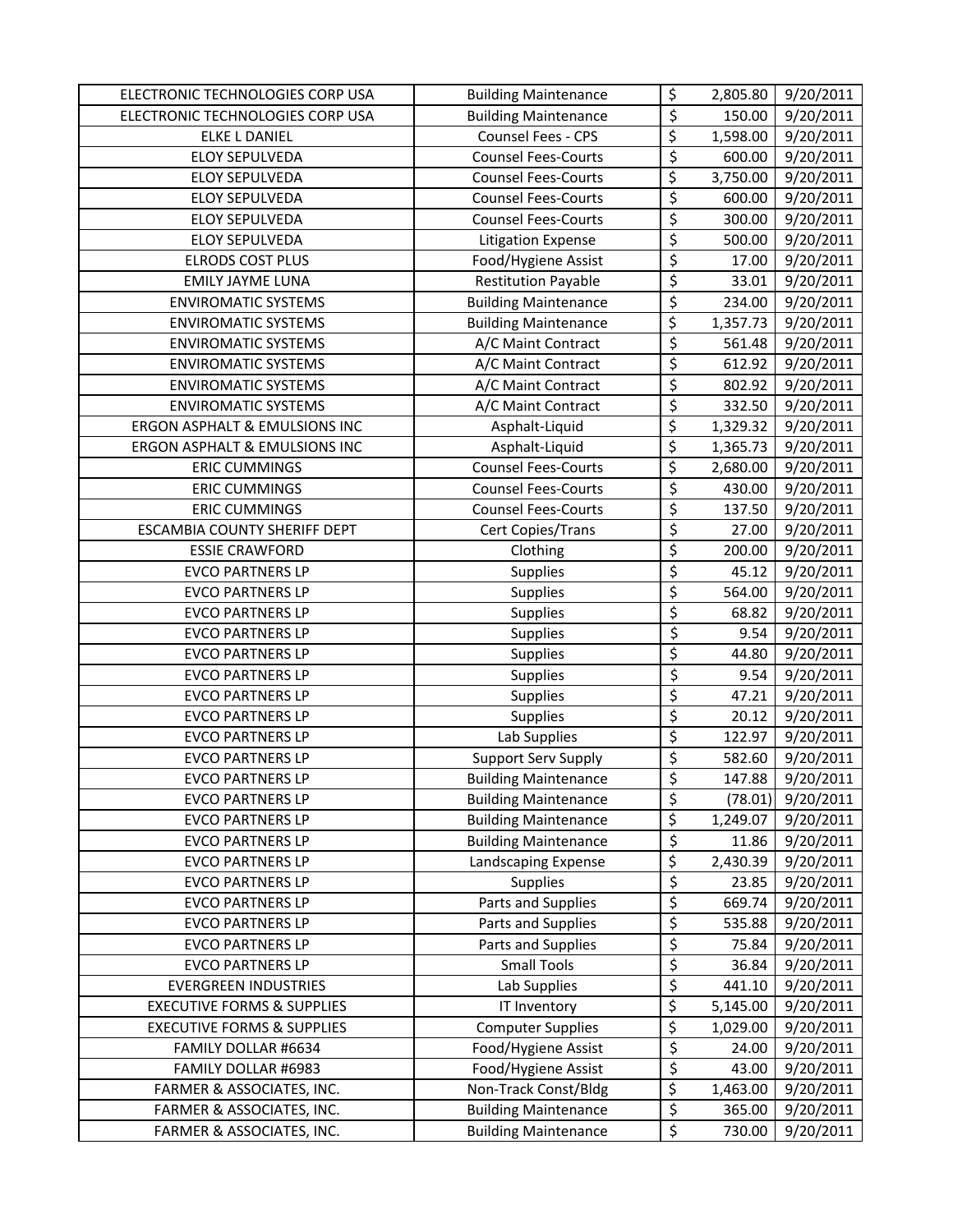| ELECTRONIC TECHNOLOGIES CORP USA      | <b>Building Maintenance</b> | \$                              | 2,805.80 | 9/20/2011 |
|---------------------------------------|-----------------------------|---------------------------------|----------|-----------|
| ELECTRONIC TECHNOLOGIES CORP USA      | <b>Building Maintenance</b> | \$                              | 150.00   | 9/20/2011 |
| <b>ELKE L DANIEL</b>                  | Counsel Fees - CPS          | \$                              | 1,598.00 | 9/20/2011 |
| <b>ELOY SEPULVEDA</b>                 | <b>Counsel Fees-Courts</b>  | \$                              | 600.00   | 9/20/2011 |
| <b>ELOY SEPULVEDA</b>                 | <b>Counsel Fees-Courts</b>  | \$                              | 3,750.00 | 9/20/2011 |
| <b>ELOY SEPULVEDA</b>                 | <b>Counsel Fees-Courts</b>  | \$                              | 600.00   | 9/20/2011 |
| <b>ELOY SEPULVEDA</b>                 | <b>Counsel Fees-Courts</b>  | \$                              | 300.00   | 9/20/2011 |
| <b>ELOY SEPULVEDA</b>                 | <b>Litigation Expense</b>   | $\overline{\varsigma}$          | 500.00   | 9/20/2011 |
| <b>ELRODS COST PLUS</b>               | Food/Hygiene Assist         | \$                              | 17.00    | 9/20/2011 |
| <b>EMILY JAYME LUNA</b>               | <b>Restitution Payable</b>  | \$                              | 33.01    | 9/20/2011 |
| <b>ENVIROMATIC SYSTEMS</b>            | <b>Building Maintenance</b> | \$                              | 234.00   | 9/20/2011 |
| <b>ENVIROMATIC SYSTEMS</b>            | <b>Building Maintenance</b> | \$                              | 1,357.73 | 9/20/2011 |
| <b>ENVIROMATIC SYSTEMS</b>            | A/C Maint Contract          | \$                              | 561.48   | 9/20/2011 |
| <b>ENVIROMATIC SYSTEMS</b>            | A/C Maint Contract          | $\overline{\boldsymbol{\zeta}}$ | 612.92   | 9/20/2011 |
| <b>ENVIROMATIC SYSTEMS</b>            | A/C Maint Contract          | \$                              | 802.92   | 9/20/2011 |
| <b>ENVIROMATIC SYSTEMS</b>            | A/C Maint Contract          | \$                              | 332.50   | 9/20/2011 |
| ERGON ASPHALT & EMULSIONS INC         | Asphalt-Liquid              | \$                              | 1,329.32 | 9/20/2011 |
| ERGON ASPHALT & EMULSIONS INC         | Asphalt-Liquid              | \$                              | 1,365.73 | 9/20/2011 |
| <b>ERIC CUMMINGS</b>                  | <b>Counsel Fees-Courts</b>  | \$                              | 2,680.00 | 9/20/2011 |
| <b>ERIC CUMMINGS</b>                  | <b>Counsel Fees-Courts</b>  | \$                              | 430.00   | 9/20/2011 |
| <b>ERIC CUMMINGS</b>                  | <b>Counsel Fees-Courts</b>  | \$                              | 137.50   | 9/20/2011 |
| <b>ESCAMBIA COUNTY SHERIFF DEPT</b>   | Cert Copies/Trans           | $\overline{\xi}$                | 27.00    | 9/20/2011 |
| <b>ESSIE CRAWFORD</b>                 | Clothing                    | $\overline{\varsigma}$          | 200.00   | 9/20/2011 |
| <b>EVCO PARTNERS LP</b>               | <b>Supplies</b>             | $\overline{\xi}$                | 45.12    | 9/20/2011 |
| <b>EVCO PARTNERS LP</b>               | Supplies                    | \$                              | 564.00   | 9/20/2011 |
| <b>EVCO PARTNERS LP</b>               | Supplies                    | \$                              | 68.82    | 9/20/2011 |
| <b>EVCO PARTNERS LP</b>               | Supplies                    | \$                              | 9.54     | 9/20/2011 |
| <b>EVCO PARTNERS LP</b>               | Supplies                    | \$                              | 44.80    | 9/20/2011 |
| <b>EVCO PARTNERS LP</b>               | Supplies                    | \$                              | 9.54     | 9/20/2011 |
| <b>EVCO PARTNERS LP</b>               | Supplies                    | \$                              | 47.21    | 9/20/2011 |
| <b>EVCO PARTNERS LP</b>               | Supplies                    | $\overline{\xi}$                | 20.12    | 9/20/2011 |
| <b>EVCO PARTNERS LP</b>               | Lab Supplies                | \$                              | 122.97   | 9/20/2011 |
| <b>EVCO PARTNERS LP</b>               | <b>Support Serv Supply</b>  | \$                              | 582.60   | 9/20/2011 |
| <b>EVCO PARTNERS LP</b>               | <b>Building Maintenance</b> | \$                              | 147.88   | 9/20/2011 |
| <b>EVCO PARTNERS LP</b>               | <b>Building Maintenance</b> | \$                              | (78.01)  | 9/20/2011 |
| <b>EVCO PARTNERS LP</b>               | <b>Building Maintenance</b> | \$                              | 1,249.07 | 9/20/2011 |
| <b>EVCO PARTNERS LP</b>               | <b>Building Maintenance</b> | \$                              | 11.86    | 9/20/2011 |
| <b>EVCO PARTNERS LP</b>               | Landscaping Expense         | \$                              | 2,430.39 | 9/20/2011 |
| <b>EVCO PARTNERS LP</b>               | Supplies                    | $\overline{\xi}$                | 23.85    | 9/20/2011 |
| <b>EVCO PARTNERS LP</b>               | Parts and Supplies          | \$                              | 669.74   | 9/20/2011 |
| <b>EVCO PARTNERS LP</b>               | Parts and Supplies          | \$                              | 535.88   | 9/20/2011 |
| <b>EVCO PARTNERS LP</b>               | Parts and Supplies          | \$                              | 75.84    | 9/20/2011 |
| <b>EVCO PARTNERS LP</b>               | <b>Small Tools</b>          | \$                              | 36.84    | 9/20/2011 |
| <b>EVERGREEN INDUSTRIES</b>           | Lab Supplies                | \$                              | 441.10   | 9/20/2011 |
| <b>EXECUTIVE FORMS &amp; SUPPLIES</b> | IT Inventory                | \$                              | 5,145.00 | 9/20/2011 |
| <b>EXECUTIVE FORMS &amp; SUPPLIES</b> | <b>Computer Supplies</b>    | \$                              | 1,029.00 | 9/20/2011 |
| FAMILY DOLLAR #6634                   | Food/Hygiene Assist         | \$                              | 24.00    | 9/20/2011 |
| FAMILY DOLLAR #6983                   | Food/Hygiene Assist         | $\overline{\xi}$                | 43.00    | 9/20/2011 |
| FARMER & ASSOCIATES, INC.             | Non-Track Const/Bldg        | \$                              | 1,463.00 | 9/20/2011 |
| FARMER & ASSOCIATES, INC.             | <b>Building Maintenance</b> | \$                              | 365.00   | 9/20/2011 |
| FARMER & ASSOCIATES, INC.             | <b>Building Maintenance</b> | \$                              | 730.00   | 9/20/2011 |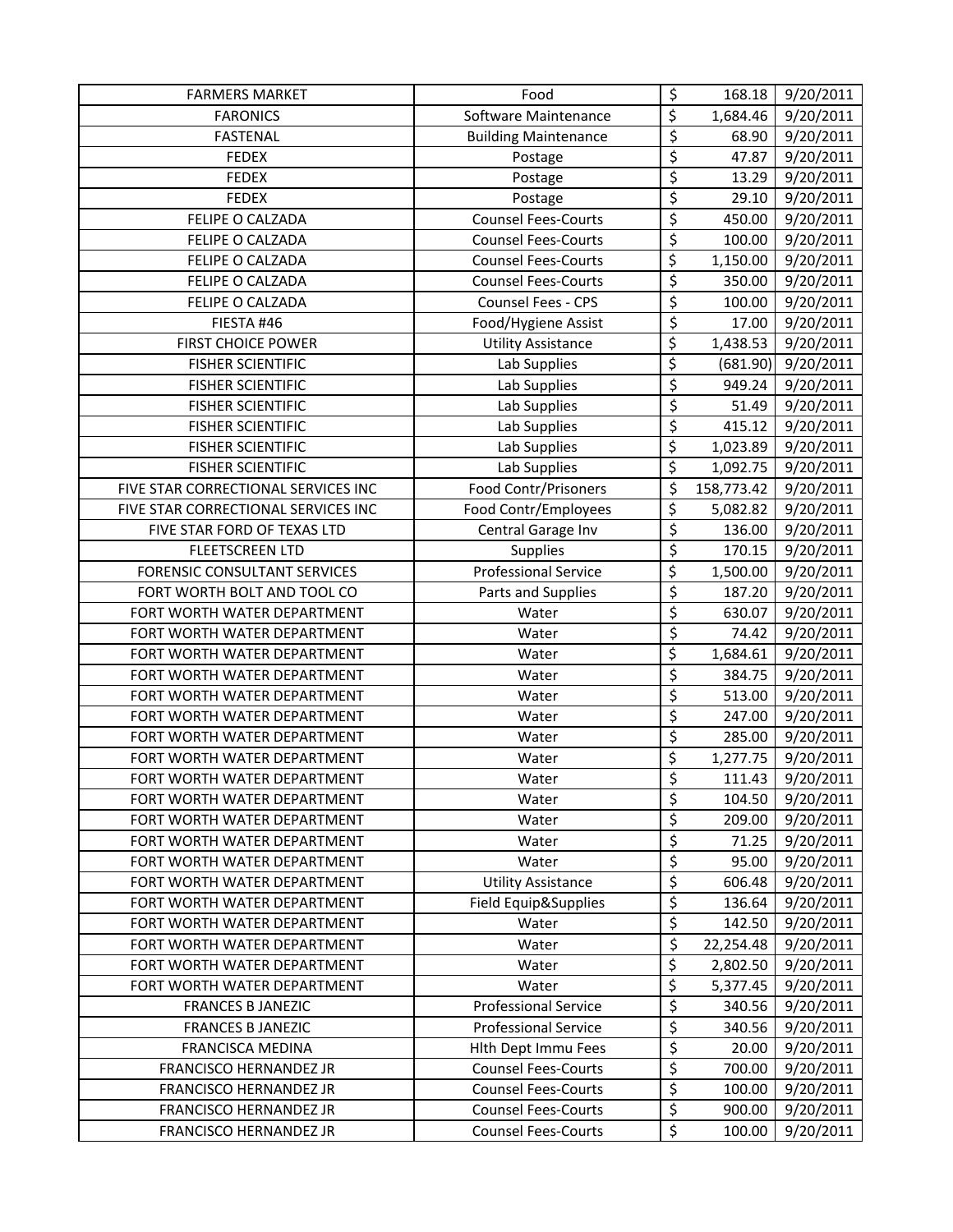| <b>FARMERS MARKET</b>               | Food                        | \$                                  | 168.18     | 9/20/2011 |
|-------------------------------------|-----------------------------|-------------------------------------|------------|-----------|
| <b>FARONICS</b>                     | Software Maintenance        | \$                                  | 1,684.46   | 9/20/2011 |
| <b>FASTENAL</b>                     | <b>Building Maintenance</b> | \$                                  | 68.90      | 9/20/2011 |
| <b>FEDEX</b>                        | Postage                     | \$                                  | 47.87      | 9/20/2011 |
| <b>FEDEX</b>                        | Postage                     | $\overline{\boldsymbol{\varsigma}}$ | 13.29      | 9/20/2011 |
| <b>FEDEX</b>                        | Postage                     | $\overline{\xi}$                    | 29.10      | 9/20/2011 |
| FELIPE O CALZADA                    | <b>Counsel Fees-Courts</b>  | \$                                  | 450.00     | 9/20/2011 |
| FELIPE O CALZADA                    | <b>Counsel Fees-Courts</b>  | $\overline{\varsigma}$              | 100.00     | 9/20/2011 |
| <b>FELIPE O CALZADA</b>             | <b>Counsel Fees-Courts</b>  | $\overline{\xi}$                    | 1,150.00   | 9/20/2011 |
| FELIPE O CALZADA                    | <b>Counsel Fees-Courts</b>  | \$                                  | 350.00     | 9/20/2011 |
| FELIPE O CALZADA                    | Counsel Fees - CPS          | \$                                  | 100.00     | 9/20/2011 |
| FIESTA #46                          | Food/Hygiene Assist         | \$                                  | 17.00      | 9/20/2011 |
| <b>FIRST CHOICE POWER</b>           | <b>Utility Assistance</b>   | \$                                  | 1,438.53   | 9/20/2011 |
| <b>FISHER SCIENTIFIC</b>            | Lab Supplies                | $\overline{\xi}$                    | (681.90)   | 9/20/2011 |
| <b>FISHER SCIENTIFIC</b>            | Lab Supplies                | \$                                  | 949.24     | 9/20/2011 |
| <b>FISHER SCIENTIFIC</b>            | Lab Supplies                | \$                                  | 51.49      | 9/20/2011 |
| <b>FISHER SCIENTIFIC</b>            | Lab Supplies                | $\overline{\varsigma}$              | 415.12     | 9/20/2011 |
| <b>FISHER SCIENTIFIC</b>            | Lab Supplies                | $\overline{\mathcal{L}}$            | 1,023.89   | 9/20/2011 |
| <b>FISHER SCIENTIFIC</b>            | Lab Supplies                | \$                                  | 1,092.75   | 9/20/2011 |
| FIVE STAR CORRECTIONAL SERVICES INC | Food Contr/Prisoners        | \$                                  | 158,773.42 | 9/20/2011 |
| FIVE STAR CORRECTIONAL SERVICES INC | Food Contr/Employees        | \$                                  | 5,082.82   | 9/20/2011 |
| FIVE STAR FORD OF TEXAS LTD         | Central Garage Inv          | $\overline{\mathcal{S}}$            | 136.00     | 9/20/2011 |
| <b>FLEETSCREEN LTD</b>              | Supplies                    | $\overline{\varsigma}$              | 170.15     | 9/20/2011 |
| <b>FORENSIC CONSULTANT SERVICES</b> | <b>Professional Service</b> | \$                                  | 1,500.00   | 9/20/2011 |
| FORT WORTH BOLT AND TOOL CO         | Parts and Supplies          | \$                                  | 187.20     | 9/20/2011 |
| FORT WORTH WATER DEPARTMENT         | Water                       | \$                                  | 630.07     | 9/20/2011 |
| FORT WORTH WATER DEPARTMENT         | Water                       | $\overline{\xi}$                    | 74.42      | 9/20/2011 |
| FORT WORTH WATER DEPARTMENT         | Water                       | \$                                  | 1,684.61   | 9/20/2011 |
| FORT WORTH WATER DEPARTMENT         | Water                       | \$                                  | 384.75     | 9/20/2011 |
| FORT WORTH WATER DEPARTMENT         | Water                       | \$                                  | 513.00     | 9/20/2011 |
| FORT WORTH WATER DEPARTMENT         | Water                       | $\overline{\varsigma}$              | 247.00     | 9/20/2011 |
| FORT WORTH WATER DEPARTMENT         | Water                       | \$                                  | 285.00     | 9/20/2011 |
| FORT WORTH WATER DEPARTMENT         | Water                       | \$                                  | 1,277.75   | 9/20/2011 |
| FORT WORTH WATER DEPARTMENT         | Water                       | \$                                  | 111.43     | 9/20/2011 |
| FORT WORTH WATER DEPARTMENT         | Water                       | \$                                  | 104.50     | 9/20/2011 |
| FORT WORTH WATER DEPARTMENT         | Water                       | \$                                  | 209.00     | 9/20/2011 |
| FORT WORTH WATER DEPARTMENT         | Water                       | $\overline{\xi}$                    | 71.25      | 9/20/2011 |
| FORT WORTH WATER DEPARTMENT         | Water                       | $\overline{\xi}$                    | 95.00      | 9/20/2011 |
| FORT WORTH WATER DEPARTMENT         | <b>Utility Assistance</b>   | $\overline{\varsigma}$              | 606.48     | 9/20/2011 |
| FORT WORTH WATER DEPARTMENT         | Field Equip&Supplies        | $\overline{\varsigma}$              | 136.64     | 9/20/2011 |
| FORT WORTH WATER DEPARTMENT         | Water                       | \$                                  | 142.50     | 9/20/2011 |
| FORT WORTH WATER DEPARTMENT         | Water                       | \$                                  | 22,254.48  | 9/20/2011 |
| FORT WORTH WATER DEPARTMENT         | Water                       | \$                                  | 2,802.50   | 9/20/2011 |
| FORT WORTH WATER DEPARTMENT         | Water                       | \$                                  | 5,377.45   | 9/20/2011 |
| <b>FRANCES B JANEZIC</b>            | <b>Professional Service</b> | \$                                  | 340.56     | 9/20/2011 |
| <b>FRANCES B JANEZIC</b>            | <b>Professional Service</b> | \$                                  | 340.56     | 9/20/2011 |
| FRANCISCA MEDINA                    | Hith Dept Immu Fees         | $\overline{\xi}$                    | 20.00      | 9/20/2011 |
| FRANCISCO HERNANDEZ JR              | <b>Counsel Fees-Courts</b>  | $\overline{\varsigma}$              | 700.00     | 9/20/2011 |
| FRANCISCO HERNANDEZ JR              | <b>Counsel Fees-Courts</b>  | $\overline{\varsigma}$              | 100.00     | 9/20/2011 |
| FRANCISCO HERNANDEZ JR              | <b>Counsel Fees-Courts</b>  | \$                                  | 900.00     | 9/20/2011 |
| FRANCISCO HERNANDEZ JR              | <b>Counsel Fees-Courts</b>  | \$                                  | 100.00     | 9/20/2011 |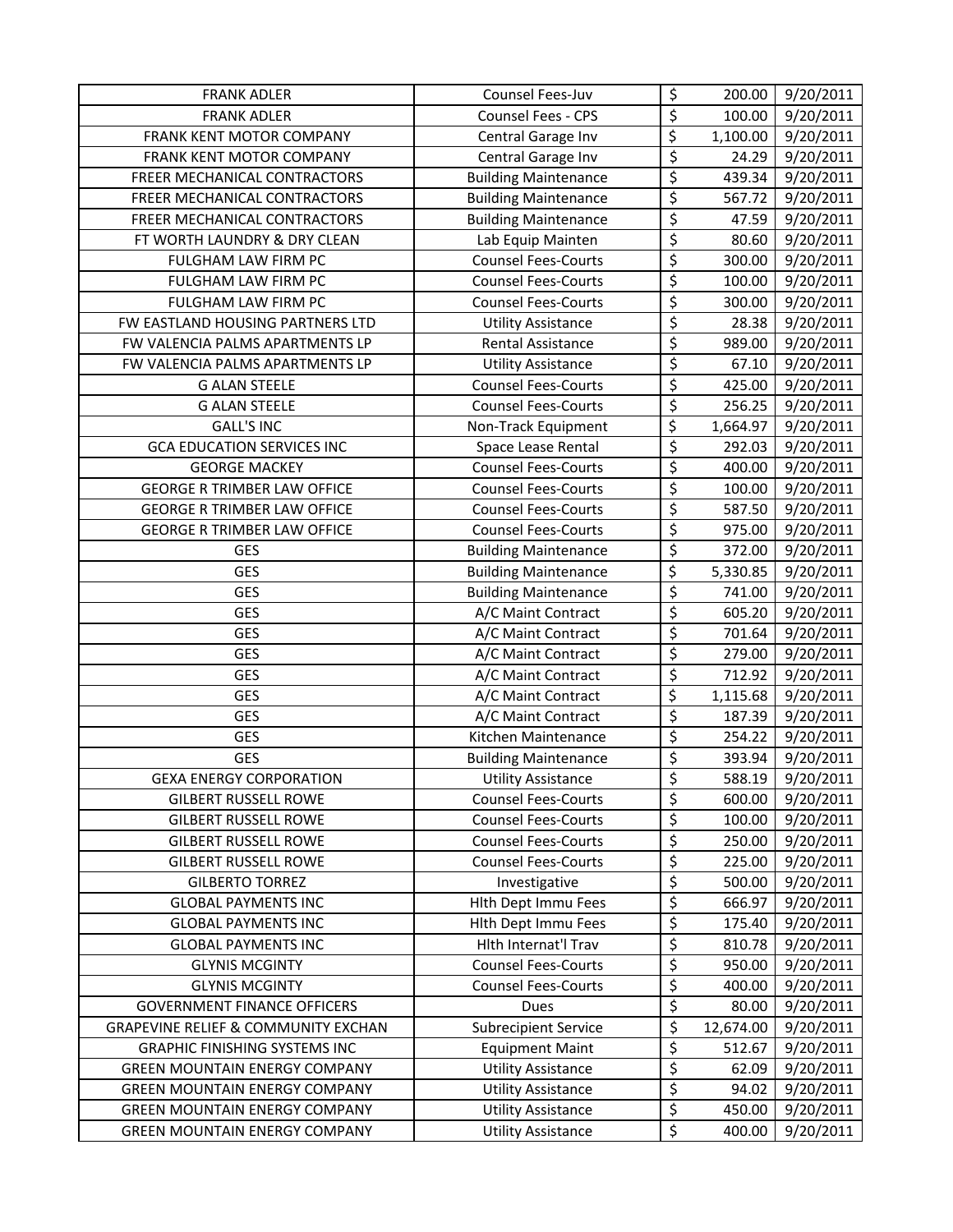| <b>FRANK ADLER</b>                             | Counsel Fees-Juv            | \$                              | 200.00    | 9/20/2011 |
|------------------------------------------------|-----------------------------|---------------------------------|-----------|-----------|
| <b>FRANK ADLER</b>                             | Counsel Fees - CPS          | \$                              | 100.00    | 9/20/2011 |
| FRANK KENT MOTOR COMPANY                       | Central Garage Inv          | \$                              | 1,100.00  | 9/20/2011 |
| FRANK KENT MOTOR COMPANY                       | Central Garage Inv          | \$                              | 24.29     | 9/20/2011 |
| FREER MECHANICAL CONTRACTORS                   | <b>Building Maintenance</b> | \$                              | 439.34    | 9/20/2011 |
| FREER MECHANICAL CONTRACTORS                   | <b>Building Maintenance</b> | $\overline{\varsigma}$          | 567.72    | 9/20/2011 |
| FREER MECHANICAL CONTRACTORS                   | <b>Building Maintenance</b> | $\overline{\boldsymbol{\zeta}}$ | 47.59     | 9/20/2011 |
| FT WORTH LAUNDRY & DRY CLEAN                   | Lab Equip Mainten           | $\overline{\xi}$                | 80.60     | 9/20/2011 |
| FULGHAM LAW FIRM PC                            | <b>Counsel Fees-Courts</b>  | \$                              | 300.00    | 9/20/2011 |
| FULGHAM LAW FIRM PC                            | <b>Counsel Fees-Courts</b>  | \$                              | 100.00    | 9/20/2011 |
| FULGHAM LAW FIRM PC                            | <b>Counsel Fees-Courts</b>  | \$                              | 300.00    | 9/20/2011 |
| FW EASTLAND HOUSING PARTNERS LTD               | <b>Utility Assistance</b>   | $\overline{\xi}$                | 28.38     | 9/20/2011 |
| FW VALENCIA PALMS APARTMENTS LP                | <b>Rental Assistance</b>    | $\overline{\xi}$                | 989.00    | 9/20/2011 |
| FW VALENCIA PALMS APARTMENTS LP                | <b>Utility Assistance</b>   | $\overline{\xi}$                | 67.10     | 9/20/2011 |
| <b>G ALAN STEELE</b>                           | <b>Counsel Fees-Courts</b>  | $\overline{\varsigma}$          | 425.00    | 9/20/2011 |
| <b>G ALAN STEELE</b>                           | <b>Counsel Fees-Courts</b>  | \$                              | 256.25    | 9/20/2011 |
| <b>GALL'S INC</b>                              | Non-Track Equipment         | \$                              | 1,664.97  | 9/20/2011 |
| <b>GCA EDUCATION SERVICES INC</b>              | Space Lease Rental          | $\overline{\varsigma}$          | 292.03    | 9/20/2011 |
| <b>GEORGE MACKEY</b>                           | <b>Counsel Fees-Courts</b>  | $\overline{\varsigma}$          | 400.00    | 9/20/2011 |
| <b>GEORGE R TRIMBER LAW OFFICE</b>             | <b>Counsel Fees-Courts</b>  | \$                              | 100.00    | 9/20/2011 |
| <b>GEORGE R TRIMBER LAW OFFICE</b>             | <b>Counsel Fees-Courts</b>  | $\overline{\mathcal{S}}$        | 587.50    | 9/20/2011 |
| <b>GEORGE R TRIMBER LAW OFFICE</b>             | <b>Counsel Fees-Courts</b>  | $\overline{\mathcal{S}}$        | 975.00    | 9/20/2011 |
| GES                                            | <b>Building Maintenance</b> | \$                              | 372.00    | 9/20/2011 |
| <b>GES</b>                                     | <b>Building Maintenance</b> | \$                              | 5,330.85  | 9/20/2011 |
| <b>GES</b>                                     | <b>Building Maintenance</b> | $\overline{\varsigma}$          | 741.00    | 9/20/2011 |
| <b>GES</b>                                     | A/C Maint Contract          | \$                              | 605.20    | 9/20/2011 |
| <b>GES</b>                                     | A/C Maint Contract          | $\overline{\varsigma}$          | 701.64    | 9/20/2011 |
| <b>GES</b>                                     | A/C Maint Contract          | \$                              | 279.00    | 9/20/2011 |
| <b>GES</b>                                     | A/C Maint Contract          | $\overline{\varsigma}$          | 712.92    | 9/20/2011 |
| <b>GES</b>                                     | A/C Maint Contract          | \$                              | 1,115.68  | 9/20/2011 |
| GES                                            | A/C Maint Contract          | $\overline{\mathcal{S}}$        | 187.39    | 9/20/2011 |
| <b>GES</b>                                     | Kitchen Maintenance         | $\overline{\xi}$                | 254.22    | 9/20/2011 |
| GES                                            | <b>Building Maintenance</b> | $\overline{\varsigma}$          | 393.94    | 9/20/2011 |
| <b>GEXA ENERGY CORPORATION</b>                 | <b>Utility Assistance</b>   | \$                              | 588.19    | 9/20/2011 |
| <b>GILBERT RUSSELL ROWE</b>                    | <b>Counsel Fees-Courts</b>  | \$                              | 600.00    | 9/20/2011 |
| <b>GILBERT RUSSELL ROWE</b>                    | <b>Counsel Fees-Courts</b>  | \$                              | 100.00    | 9/20/2011 |
| <b>GILBERT RUSSELL ROWE</b>                    | <b>Counsel Fees-Courts</b>  | \$                              | 250.00    | 9/20/2011 |
| <b>GILBERT RUSSELL ROWE</b>                    | <b>Counsel Fees-Courts</b>  | \$                              | 225.00    | 9/20/2011 |
| <b>GILBERTO TORREZ</b>                         | Investigative               | \$                              | 500.00    | 9/20/2011 |
| <b>GLOBAL PAYMENTS INC</b>                     | <b>Hith Dept Immu Fees</b>  | \$                              | 666.97    | 9/20/2011 |
| <b>GLOBAL PAYMENTS INC</b>                     | Hith Dept Immu Fees         | $\overline{\varsigma}$          | 175.40    | 9/20/2011 |
| <b>GLOBAL PAYMENTS INC</b>                     | Hlth Internat'l Trav        | \$                              | 810.78    | 9/20/2011 |
| <b>GLYNIS MCGINTY</b>                          | <b>Counsel Fees-Courts</b>  | \$                              | 950.00    | 9/20/2011 |
| <b>GLYNIS MCGINTY</b>                          | <b>Counsel Fees-Courts</b>  | \$                              | 400.00    | 9/20/2011 |
| <b>GOVERNMENT FINANCE OFFICERS</b>             | Dues                        | \$                              | 80.00     | 9/20/2011 |
| <b>GRAPEVINE RELIEF &amp; COMMUNITY EXCHAN</b> | <b>Subrecipient Service</b> | \$                              | 12,674.00 | 9/20/2011 |
| <b>GRAPHIC FINISHING SYSTEMS INC</b>           | <b>Equipment Maint</b>      | \$                              | 512.67    | 9/20/2011 |
| <b>GREEN MOUNTAIN ENERGY COMPANY</b>           | <b>Utility Assistance</b>   | \$                              | 62.09     | 9/20/2011 |
| <b>GREEN MOUNTAIN ENERGY COMPANY</b>           | <b>Utility Assistance</b>   | $\overline{\xi}$                | 94.02     | 9/20/2011 |
| <b>GREEN MOUNTAIN ENERGY COMPANY</b>           | <b>Utility Assistance</b>   | \$                              | 450.00    | 9/20/2011 |
| <b>GREEN MOUNTAIN ENERGY COMPANY</b>           | <b>Utility Assistance</b>   | \$                              | 400.00    | 9/20/2011 |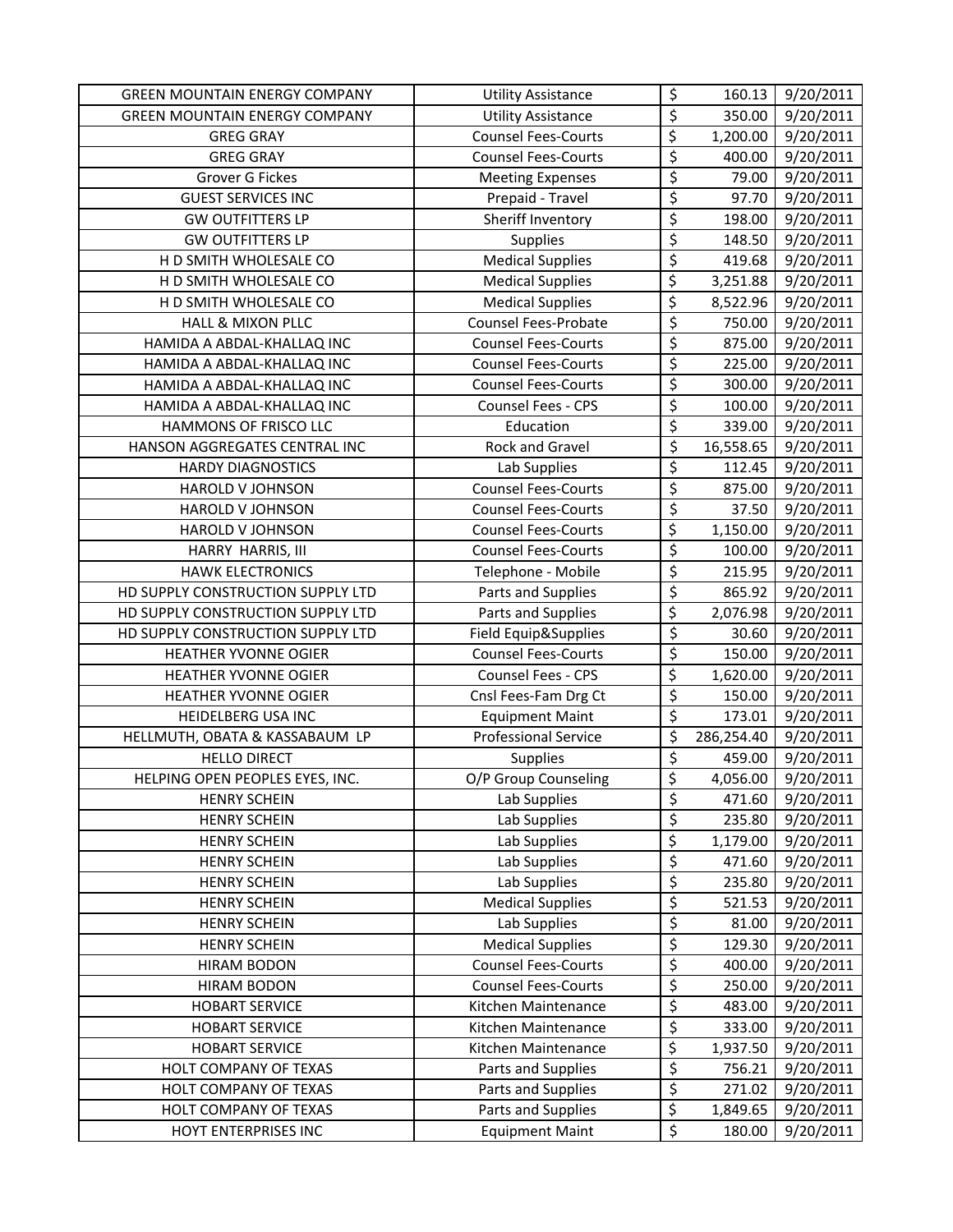| <b>GREEN MOUNTAIN ENERGY COMPANY</b> | <b>Utility Assistance</b>   | \$                              | 160.13     | 9/20/2011 |
|--------------------------------------|-----------------------------|---------------------------------|------------|-----------|
| <b>GREEN MOUNTAIN ENERGY COMPANY</b> | <b>Utility Assistance</b>   | $\overline{\varsigma}$          | 350.00     | 9/20/2011 |
| <b>GREG GRAY</b>                     | <b>Counsel Fees-Courts</b>  | \$                              | 1,200.00   | 9/20/2011 |
| <b>GREG GRAY</b>                     | <b>Counsel Fees-Courts</b>  | $\overline{\varsigma}$          | 400.00     | 9/20/2011 |
| <b>Grover G Fickes</b>               | <b>Meeting Expenses</b>     | $\overline{\xi}$                | 79.00      | 9/20/2011 |
| <b>GUEST SERVICES INC</b>            | Prepaid - Travel            | $\overline{\xi}$                | 97.70      | 9/20/2011 |
| <b>GW OUTFITTERS LP</b>              | Sheriff Inventory           | \$                              | 198.00     | 9/20/2011 |
| <b>GW OUTFITTERS LP</b>              | Supplies                    | \$                              | 148.50     | 9/20/2011 |
| H D SMITH WHOLESALE CO               | <b>Medical Supplies</b>     | $\overline{\xi}$                | 419.68     | 9/20/2011 |
| H D SMITH WHOLESALE CO               | <b>Medical Supplies</b>     | \$                              | 3,251.88   | 9/20/2011 |
| H D SMITH WHOLESALE CO               | <b>Medical Supplies</b>     | \$                              | 8,522.96   | 9/20/2011 |
| <b>HALL &amp; MIXON PLLC</b>         | <b>Counsel Fees-Probate</b> | $\overline{\varsigma}$          | 750.00     | 9/20/2011 |
| HAMIDA A ABDAL-KHALLAQ INC           | <b>Counsel Fees-Courts</b>  | $\overline{\mathcal{L}}$        | 875.00     | 9/20/2011 |
| HAMIDA A ABDAL-KHALLAQ INC           | <b>Counsel Fees-Courts</b>  | \$                              | 225.00     | 9/20/2011 |
| HAMIDA A ABDAL-KHALLAQ INC           | <b>Counsel Fees-Courts</b>  | \$                              | 300.00     | 9/20/2011 |
| HAMIDA A ABDAL-KHALLAQ INC           | Counsel Fees - CPS          | $\overline{\varsigma}$          | 100.00     | 9/20/2011 |
| HAMMONS OF FRISCO LLC                | Education                   | \$                              | 339.00     | 9/20/2011 |
| HANSON AGGREGATES CENTRAL INC        | Rock and Gravel             | $\overline{\varsigma}$          | 16,558.65  | 9/20/2011 |
| <b>HARDY DIAGNOSTICS</b>             | Lab Supplies                | \$                              | 112.45     | 9/20/2011 |
| <b>HAROLD V JOHNSON</b>              | <b>Counsel Fees-Courts</b>  | $\overline{\varsigma}$          | 875.00     | 9/20/2011 |
| <b>HAROLD V JOHNSON</b>              | <b>Counsel Fees-Courts</b>  | $\overline{\xi}$                | 37.50      | 9/20/2011 |
| HAROLD V JOHNSON                     | <b>Counsel Fees-Courts</b>  | \$                              | 1,150.00   | 9/20/2011 |
| HARRY HARRIS, III                    | <b>Counsel Fees-Courts</b>  | $\overline{\boldsymbol{\zeta}}$ | 100.00     | 9/20/2011 |
| <b>HAWK ELECTRONICS</b>              | Telephone - Mobile          | $\overline{\boldsymbol{\zeta}}$ | 215.95     | 9/20/2011 |
| HD SUPPLY CONSTRUCTION SUPPLY LTD    | Parts and Supplies          | $\overline{\varsigma}$          | 865.92     | 9/20/2011 |
| HD SUPPLY CONSTRUCTION SUPPLY LTD    | Parts and Supplies          | \$                              | 2,076.98   | 9/20/2011 |
| HD SUPPLY CONSTRUCTION SUPPLY LTD    | Field Equip&Supplies        | \$                              | 30.60      | 9/20/2011 |
| <b>HEATHER YVONNE OGIER</b>          | <b>Counsel Fees-Courts</b>  | \$                              | 150.00     | 9/20/2011 |
| HEATHER YVONNE OGIER                 | Counsel Fees - CPS          | \$                              | 1,620.00   | 9/20/2011 |
| HEATHER YVONNE OGIER                 | Cnsl Fees-Fam Drg Ct        | $\overline{\xi}$                | 150.00     | 9/20/2011 |
| HEIDELBERG USA INC                   | <b>Equipment Maint</b>      | $\overline{\varsigma}$          | 173.01     | 9/20/2011 |
| HELLMUTH, OBATA & KASSABAUM LP       | <b>Professional Service</b> | \$                              | 286,254.40 | 9/20/2011 |
| <b>HELLO DIRECT</b>                  | Supplies                    | \$                              | 459.00     | 9/20/2011 |
| HELPING OPEN PEOPLES EYES, INC.      | O/P Group Counseling        | \$                              | 4,056.00   | 9/20/2011 |
| <b>HENRY SCHEIN</b>                  | Lab Supplies                | \$                              | 471.60     | 9/20/2011 |
| <b>HENRY SCHEIN</b>                  | Lab Supplies                | \$                              | 235.80     | 9/20/2011 |
| <b>HENRY SCHEIN</b>                  | Lab Supplies                | \$                              | 1,179.00   | 9/20/2011 |
| <b>HENRY SCHEIN</b>                  | Lab Supplies                | \$                              | 471.60     | 9/20/2011 |
| <b>HENRY SCHEIN</b>                  | Lab Supplies                | $\overline{\varsigma}$          | 235.80     | 9/20/2011 |
| <b>HENRY SCHEIN</b>                  | <b>Medical Supplies</b>     | $\overline{\varsigma}$          | 521.53     | 9/20/2011 |
| <b>HENRY SCHEIN</b>                  | Lab Supplies                | \$                              | 81.00      | 9/20/2011 |
| <b>HENRY SCHEIN</b>                  | <b>Medical Supplies</b>     | \$                              | 129.30     | 9/20/2011 |
| <b>HIRAM BODON</b>                   | <b>Counsel Fees-Courts</b>  | \$                              | 400.00     | 9/20/2011 |
| <b>HIRAM BODON</b>                   | <b>Counsel Fees-Courts</b>  | \$                              | 250.00     | 9/20/2011 |
| <b>HOBART SERVICE</b>                | Kitchen Maintenance         | \$                              | 483.00     | 9/20/2011 |
| <b>HOBART SERVICE</b>                | Kitchen Maintenance         | \$                              | 333.00     | 9/20/2011 |
| <b>HOBART SERVICE</b>                | Kitchen Maintenance         | $\overline{\varsigma}$          | 1,937.50   | 9/20/2011 |
| HOLT COMPANY OF TEXAS                | Parts and Supplies          | \$                              | 756.21     | 9/20/2011 |
| HOLT COMPANY OF TEXAS                | Parts and Supplies          | \$                              | 271.02     | 9/20/2011 |
| HOLT COMPANY OF TEXAS                | Parts and Supplies          | \$                              | 1,849.65   | 9/20/2011 |
| HOYT ENTERPRISES INC                 | <b>Equipment Maint</b>      | \$                              | 180.00     | 9/20/2011 |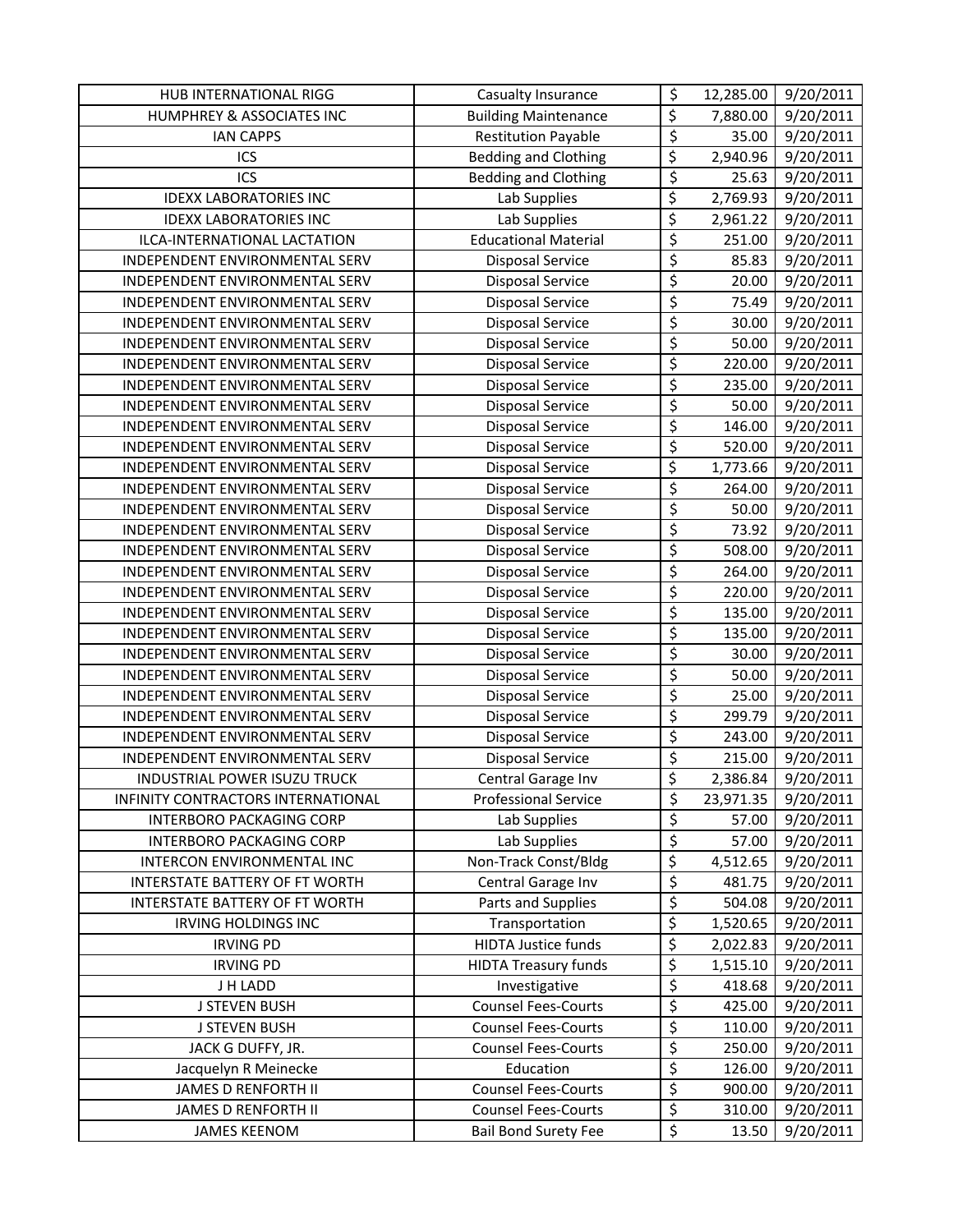| <b>HUB INTERNATIONAL RIGG</b>                                       | Casualty Insurance                         | \$                              | 12,285.00          | 9/20/2011              |
|---------------------------------------------------------------------|--------------------------------------------|---------------------------------|--------------------|------------------------|
| HUMPHREY & ASSOCIATES INC                                           | <b>Building Maintenance</b>                | \$                              | 7,880.00           | 9/20/2011              |
| <b>IAN CAPPS</b>                                                    | <b>Restitution Payable</b>                 | \$                              | 35.00              | 9/20/2011              |
| ICS                                                                 | <b>Bedding and Clothing</b>                | \$                              | 2,940.96           | 9/20/2011              |
| ICS                                                                 | <b>Bedding and Clothing</b>                | \$                              | 25.63              | 9/20/2011              |
| <b>IDEXX LABORATORIES INC</b>                                       | Lab Supplies                               | \$                              | 2,769.93           | 9/20/2011              |
| <b>IDEXX LABORATORIES INC</b>                                       | Lab Supplies                               | \$                              | 2,961.22           | 9/20/2011              |
| ILCA-INTERNATIONAL LACTATION                                        | <b>Educational Material</b>                | \$                              | 251.00             | 9/20/2011              |
| INDEPENDENT ENVIRONMENTAL SERV                                      | <b>Disposal Service</b>                    | \$                              | 85.83              | 9/20/2011              |
| INDEPENDENT ENVIRONMENTAL SERV                                      | <b>Disposal Service</b>                    | \$                              | 20.00              | 9/20/2011              |
| INDEPENDENT ENVIRONMENTAL SERV                                      | <b>Disposal Service</b>                    | \$                              | 75.49              | 9/20/2011              |
| INDEPENDENT ENVIRONMENTAL SERV                                      | <b>Disposal Service</b>                    | $\overline{\varsigma}$          | 30.00              | 9/20/2011              |
| INDEPENDENT ENVIRONMENTAL SERV                                      | Disposal Service                           | $\overline{\varsigma}$          | 50.00              | 9/20/2011              |
| INDEPENDENT ENVIRONMENTAL SERV                                      | <b>Disposal Service</b>                    | \$                              | 220.00             | 9/20/2011              |
| INDEPENDENT ENVIRONMENTAL SERV                                      | <b>Disposal Service</b>                    | \$                              | 235.00             | 9/20/2011              |
| INDEPENDENT ENVIRONMENTAL SERV                                      | <b>Disposal Service</b>                    | \$                              | 50.00              | 9/20/2011              |
| INDEPENDENT ENVIRONMENTAL SERV                                      | <b>Disposal Service</b>                    | \$                              | 146.00             | 9/20/2011              |
| INDEPENDENT ENVIRONMENTAL SERV                                      | <b>Disposal Service</b>                    | $\overline{\boldsymbol{\zeta}}$ | 520.00             | 9/20/2011              |
| INDEPENDENT ENVIRONMENTAL SERV                                      | <b>Disposal Service</b>                    | \$                              | 1,773.66           | 9/20/2011              |
| INDEPENDENT ENVIRONMENTAL SERV                                      | <b>Disposal Service</b>                    | $\overline{\xi}$                | 264.00             | 9/20/2011              |
| INDEPENDENT ENVIRONMENTAL SERV                                      | <b>Disposal Service</b>                    | $\overline{\varsigma}$          | 50.00              | 9/20/2011              |
| INDEPENDENT ENVIRONMENTAL SERV                                      | <b>Disposal Service</b>                    | \$                              | 73.92              | 9/20/2011              |
| INDEPENDENT ENVIRONMENTAL SERV                                      | <b>Disposal Service</b>                    | \$                              | 508.00             | 9/20/2011              |
| INDEPENDENT ENVIRONMENTAL SERV                                      | <b>Disposal Service</b>                    | $\overline{\xi}$                | 264.00             | 9/20/2011              |
| INDEPENDENT ENVIRONMENTAL SERV                                      | <b>Disposal Service</b>                    | $\overline{\xi}$                | 220.00             | 9/20/2011              |
| INDEPENDENT ENVIRONMENTAL SERV                                      | <b>Disposal Service</b>                    | \$                              | 135.00             | 9/20/2011              |
| INDEPENDENT ENVIRONMENTAL SERV                                      | <b>Disposal Service</b>                    | \$                              | 135.00             | 9/20/2011              |
| INDEPENDENT ENVIRONMENTAL SERV                                      | <b>Disposal Service</b>                    | \$                              | 30.00              | 9/20/2011              |
| INDEPENDENT ENVIRONMENTAL SERV                                      | <b>Disposal Service</b>                    | \$                              | 50.00              | 9/20/2011              |
| INDEPENDENT ENVIRONMENTAL SERV                                      | <b>Disposal Service</b>                    | \$                              | 25.00              | 9/20/2011              |
| INDEPENDENT ENVIRONMENTAL SERV                                      | <b>Disposal Service</b>                    | \$                              | 299.79             | 9/20/2011              |
| INDEPENDENT ENVIRONMENTAL SERV                                      | <b>Disposal Service</b>                    | \$                              | 243.00             | 9/20/2011              |
| INDEPENDENT ENVIRONMENTAL SERV                                      | <b>Disposal Service</b>                    | \$                              | 215.00             | 9/20/2011              |
| INDUSTRIAL POWER ISUZU TRUCK                                        | Central Garage Inv                         | \$                              | 2,386.84           | 9/20/2011              |
| INFINITY CONTRACTORS INTERNATIONAL                                  | <b>Professional Service</b>                | \$                              | 23,971.35          | 9/20/2011              |
| <b>INTERBORO PACKAGING CORP</b>                                     | Lab Supplies                               | \$                              | 57.00              | 9/20/2011              |
| <b>INTERBORO PACKAGING CORP</b>                                     | Lab Supplies                               | $\overline{\varsigma}$<br>\$    | 57.00              | 9/20/2011              |
| INTERCON ENVIRONMENTAL INC<br><b>INTERSTATE BATTERY OF FT WORTH</b> | Non-Track Const/Bldg<br>Central Garage Inv | \$                              | 4,512.65<br>481.75 | 9/20/2011<br>9/20/2011 |
| <b>INTERSTATE BATTERY OF FT WORTH</b>                               | Parts and Supplies                         | $\overline{\xi}$                | 504.08             | 9/20/2011              |
| <b>IRVING HOLDINGS INC</b>                                          | Transportation                             | \$                              | 1,520.65           | 9/20/2011              |
| <b>IRVING PD</b>                                                    | <b>HIDTA Justice funds</b>                 | \$                              | 2,022.83           | 9/20/2011              |
| <b>IRVING PD</b>                                                    | <b>HIDTA Treasury funds</b>                | \$                              | 1,515.10           | 9/20/2011              |
| J H LADD                                                            | Investigative                              | \$                              | 418.68             | 9/20/2011              |
| <b>J STEVEN BUSH</b>                                                | <b>Counsel Fees-Courts</b>                 | $\overline{\xi}$                | 425.00             | 9/20/2011              |
| <b>J STEVEN BUSH</b>                                                | <b>Counsel Fees-Courts</b>                 | \$                              | 110.00             | 9/20/2011              |
| JACK G DUFFY, JR.                                                   | <b>Counsel Fees-Courts</b>                 | \$                              | 250.00             | 9/20/2011              |
| Jacquelyn R Meinecke                                                | Education                                  | \$                              | 126.00             | 9/20/2011              |
| JAMES D RENFORTH II                                                 | <b>Counsel Fees-Courts</b>                 | $\overline{\xi}$                | 900.00             | 9/20/2011              |
| JAMES D RENFORTH II                                                 | <b>Counsel Fees-Courts</b>                 | \$                              | 310.00             | 9/20/2011              |
| <b>JAMES KEENOM</b>                                                 | <b>Bail Bond Surety Fee</b>                | \$                              | 13.50              | 9/20/2011              |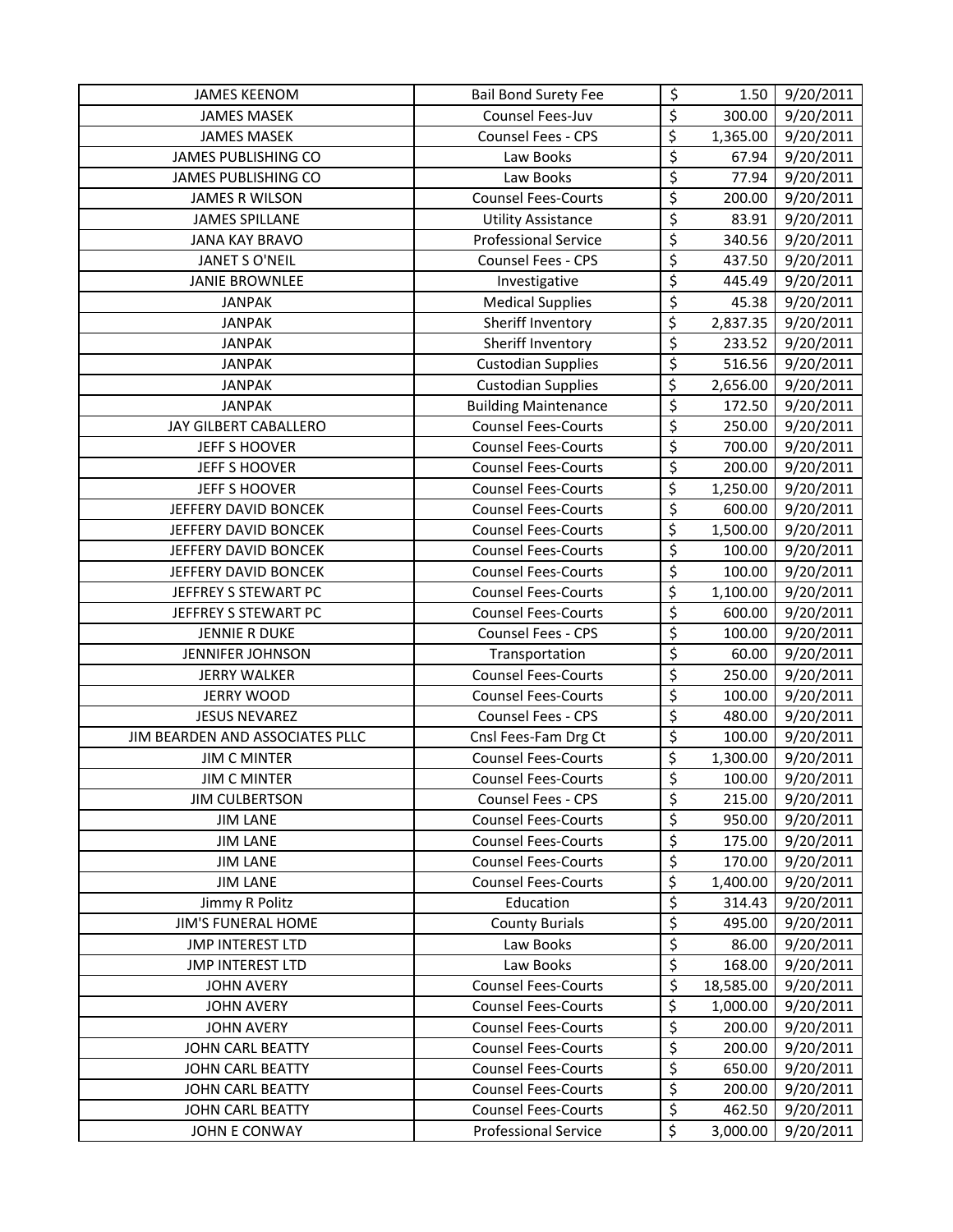| <b>JAMES KEENOM</b>             | <b>Bail Bond Surety Fee</b> | \$                       | 1.50      | 9/20/2011           |
|---------------------------------|-----------------------------|--------------------------|-----------|---------------------|
| <b>JAMES MASEK</b>              | Counsel Fees-Juv            | \$                       | 300.00    | 9/20/2011           |
| <b>JAMES MASEK</b>              | Counsel Fees - CPS          | \$                       | 1,365.00  | 9/20/2011           |
| JAMES PUBLISHING CO             | Law Books                   | $\overline{\varsigma}$   | 67.94     | 9/20/2011           |
| <b>JAMES PUBLISHING CO</b>      | Law Books                   | \$                       | 77.94     | 9/20/2011           |
| <b>JAMES R WILSON</b>           | <b>Counsel Fees-Courts</b>  | \$                       | 200.00    | 9/20/2011           |
| <b>JAMES SPILLANE</b>           | <b>Utility Assistance</b>   | \$                       | 83.91     | 9/20/2011           |
| <b>JANA KAY BRAVO</b>           | <b>Professional Service</b> | \$                       | 340.56    | 9/20/2011           |
| <b>JANET S O'NEIL</b>           | Counsel Fees - CPS          | \$                       | 437.50    | 9/20/2011           |
| <b>JANIE BROWNLEE</b>           | Investigative               | \$                       | 445.49    | 9/20/2011           |
| <b>JANPAK</b>                   | <b>Medical Supplies</b>     | \$                       | 45.38     | 9/20/2011           |
| <b>JANPAK</b>                   | Sheriff Inventory           | \$                       | 2,837.35  | 9/20/2011           |
| <b>JANPAK</b>                   | Sheriff Inventory           | \$                       | 233.52    | 9/20/2011           |
| <b>JANPAK</b>                   | <b>Custodian Supplies</b>   | $\overline{\mathcal{S}}$ | 516.56    | 9/20/2011           |
| <b>JANPAK</b>                   | <b>Custodian Supplies</b>   | \$                       | 2,656.00  | 9/20/2011           |
| <b>JANPAK</b>                   | <b>Building Maintenance</b> | \$                       | 172.50    | 9/20/2011           |
| JAY GILBERT CABALLERO           | <b>Counsel Fees-Courts</b>  | \$                       | 250.00    | $\frac{9}{20}/2011$ |
| JEFF S HOOVER                   | <b>Counsel Fees-Courts</b>  | \$                       | 700.00    | 9/20/2011           |
| JEFF S HOOVER                   | <b>Counsel Fees-Courts</b>  | $\overline{\mathcal{S}}$ | 200.00    | 9/20/2011           |
| JEFF S HOOVER                   | <b>Counsel Fees-Courts</b>  | $\overline{\xi}$         | 1,250.00  | 9/20/2011           |
| JEFFERY DAVID BONCEK            | <b>Counsel Fees-Courts</b>  | $\overline{\varsigma}$   | 600.00    | 9/20/2011           |
| JEFFERY DAVID BONCEK            | <b>Counsel Fees-Courts</b>  | \$                       | 1,500.00  | 9/20/2011           |
| JEFFERY DAVID BONCEK            | <b>Counsel Fees-Courts</b>  | \$                       | 100.00    | 9/20/2011           |
| JEFFERY DAVID BONCEK            | <b>Counsel Fees-Courts</b>  | \$                       | 100.00    | 9/20/2011           |
| JEFFREY S STEWART PC            | <b>Counsel Fees-Courts</b>  | \$                       | 1,100.00  | 9/20/2011           |
| JEFFREY S STEWART PC            | <b>Counsel Fees-Courts</b>  | \$                       | 600.00    | 9/20/2011           |
| <b>JENNIE R DUKE</b>            | Counsel Fees - CPS          | \$                       | 100.00    | 9/20/2011           |
| JENNIFER JOHNSON                | Transportation              | $\overline{\xi}$         | 60.00     | 9/20/2011           |
| <b>JERRY WALKER</b>             | <b>Counsel Fees-Courts</b>  | \$                       | 250.00    | 9/20/2011           |
| <b>JERRY WOOD</b>               | <b>Counsel Fees-Courts</b>  | \$                       | 100.00    | 9/20/2011           |
| <b>JESUS NEVAREZ</b>            | Counsel Fees - CPS          | \$                       | 480.00    | 9/20/2011           |
| JIM BEARDEN AND ASSOCIATES PLLC | Cnsl Fees-Fam Drg Ct        | \$                       | 100.00    | 9/20/2011           |
| <b>JIM C MINTER</b>             | <b>Counsel Fees-Courts</b>  | \$                       | 1,300.00  | $\frac{9}{20}/2011$ |
| <b>JIM C MINTER</b>             | <b>Counsel Fees-Courts</b>  | $\zeta$                  | 100.00    | 9/20/2011           |
| <b>JIM CULBERTSON</b>           | Counsel Fees - CPS          | $\zeta$                  | 215.00    | 9/20/2011           |
| <b>JIM LANE</b>                 | <b>Counsel Fees-Courts</b>  | \$                       | 950.00    | 9/20/2011           |
| <b>JIM LANE</b>                 | <b>Counsel Fees-Courts</b>  | \$                       | 175.00    | 9/20/2011           |
| <b>JIM LANE</b>                 | <b>Counsel Fees-Courts</b>  | \$                       | 170.00    | 9/20/2011           |
| <b>JIM LANE</b>                 | <b>Counsel Fees-Courts</b>  | \$                       | 1,400.00  | 9/20/2011           |
| Jimmy R Politz                  | Education                   | \$                       | 314.43    | 9/20/2011           |
| <b>JIM'S FUNERAL HOME</b>       | <b>County Burials</b>       | $\overline{\xi}$         | 495.00    | 9/20/2011           |
| <b>JMP INTEREST LTD</b>         | Law Books                   | \$                       | 86.00     | 9/20/2011           |
| <b>JMP INTEREST LTD</b>         | Law Books                   | \$                       | 168.00    | 9/20/2011           |
| <b>JOHN AVERY</b>               | <b>Counsel Fees-Courts</b>  | \$                       | 18,585.00 | 9/20/2011           |
| <b>JOHN AVERY</b>               | <b>Counsel Fees-Courts</b>  | \$                       | 1,000.00  | 9/20/2011           |
| <b>JOHN AVERY</b>               | <b>Counsel Fees-Courts</b>  | $\overline{\xi}$         | 200.00    | 9/20/2011           |
| JOHN CARL BEATTY                | <b>Counsel Fees-Courts</b>  | \$                       | 200.00    | 9/20/2011           |
| <b>JOHN CARL BEATTY</b>         | <b>Counsel Fees-Courts</b>  | \$                       | 650.00    | 9/20/2011           |
| JOHN CARL BEATTY                | <b>Counsel Fees-Courts</b>  | \$                       | 200.00    | 9/20/2011           |
| <b>JOHN CARL BEATTY</b>         | <b>Counsel Fees-Courts</b>  | $\overline{\xi}$         | 462.50    | 9/20/2011           |
| JOHN E CONWAY                   | <b>Professional Service</b> | \$                       | 3,000.00  | 9/20/2011           |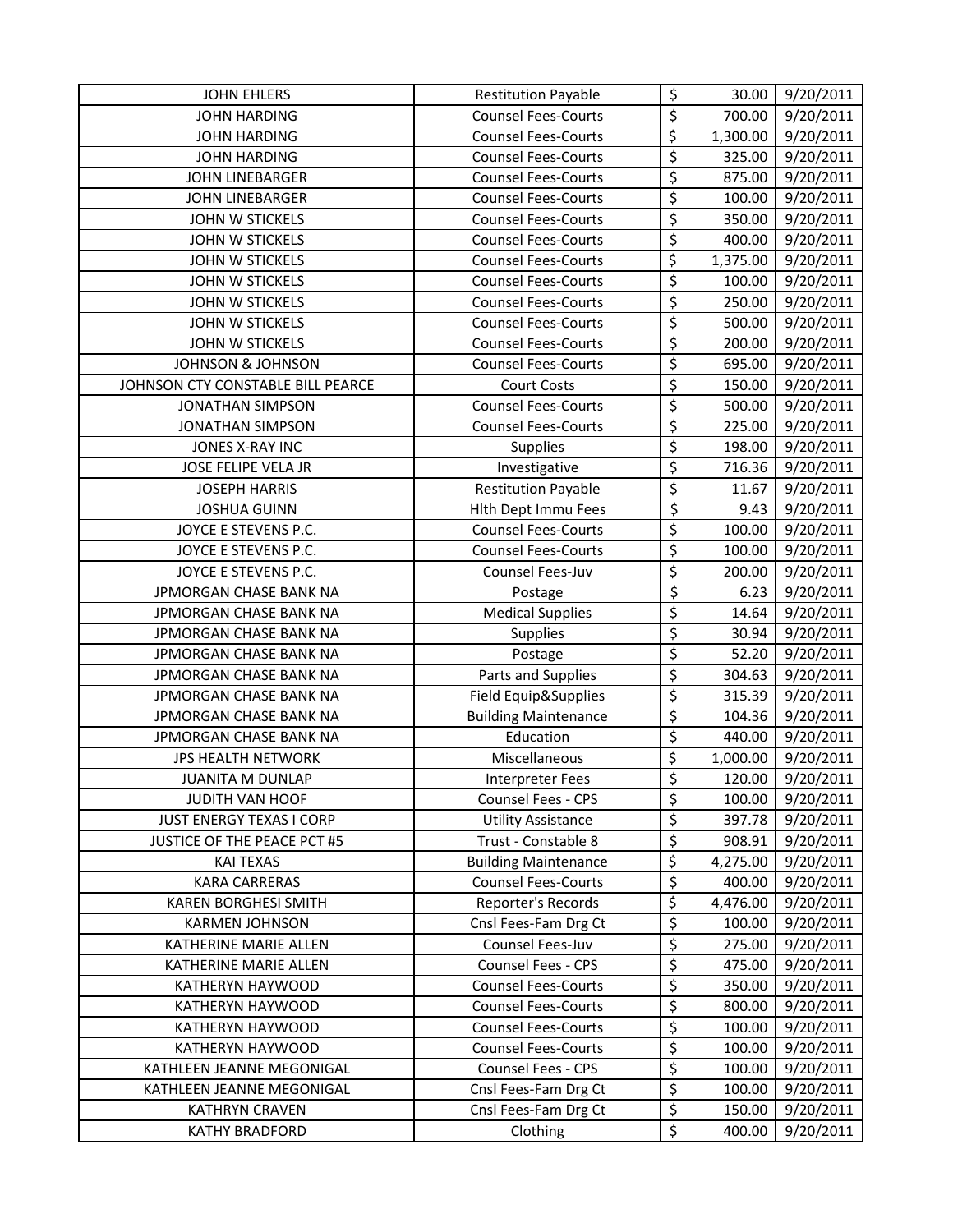| <b>JOHN EHLERS</b>                | <b>Restitution Payable</b>  | \$                              | 30.00    | 9/20/2011 |
|-----------------------------------|-----------------------------|---------------------------------|----------|-----------|
| <b>JOHN HARDING</b>               | <b>Counsel Fees-Courts</b>  | \$                              | 700.00   | 9/20/2011 |
| <b>JOHN HARDING</b>               | <b>Counsel Fees-Courts</b>  | \$                              | 1,300.00 | 9/20/2011 |
| <b>JOHN HARDING</b>               | <b>Counsel Fees-Courts</b>  | \$                              | 325.00   | 9/20/2011 |
| JOHN LINEBARGER                   | <b>Counsel Fees-Courts</b>  | \$                              | 875.00   | 9/20/2011 |
| <b>JOHN LINEBARGER</b>            | <b>Counsel Fees-Courts</b>  | \$                              | 100.00   | 9/20/2011 |
| JOHN W STICKELS                   | <b>Counsel Fees-Courts</b>  | $\overline{\boldsymbol{\zeta}}$ | 350.00   | 9/20/2011 |
| JOHN W STICKELS                   | <b>Counsel Fees-Courts</b>  | \$                              | 400.00   | 9/20/2011 |
| JOHN W STICKELS                   | <b>Counsel Fees-Courts</b>  | $\overline{\mathcal{L}}$        | 1,375.00 | 9/20/2011 |
| JOHN W STICKELS                   | <b>Counsel Fees-Courts</b>  | \$                              | 100.00   | 9/20/2011 |
| JOHN W STICKELS                   | <b>Counsel Fees-Courts</b>  | \$                              | 250.00   | 9/20/2011 |
| JOHN W STICKELS                   | <b>Counsel Fees-Courts</b>  | \$                              | 500.00   | 9/20/2011 |
| <b>JOHN W STICKELS</b>            | <b>Counsel Fees-Courts</b>  | \$                              | 200.00   | 9/20/2011 |
| <b>JOHNSON &amp; JOHNSON</b>      | <b>Counsel Fees-Courts</b>  | \$                              | 695.00   | 9/20/2011 |
| JOHNSON CTY CONSTABLE BILL PEARCE | <b>Court Costs</b>          | $\overline{\varsigma}$          | 150.00   | 9/20/2011 |
| <b>JONATHAN SIMPSON</b>           | <b>Counsel Fees-Courts</b>  | \$                              | 500.00   | 9/20/2011 |
| <b>JONATHAN SIMPSON</b>           | <b>Counsel Fees-Courts</b>  | \$                              | 225.00   | 9/20/2011 |
| JONES X-RAY INC                   | Supplies                    | $\overline{\mathcal{S}}$        | 198.00   | 9/20/2011 |
| JOSE FELIPE VELA JR               | Investigative               | \$                              | 716.36   | 9/20/2011 |
| <b>JOSEPH HARRIS</b>              | <b>Restitution Payable</b>  | \$                              | 11.67    | 9/20/2011 |
| <b>JOSHUA GUINN</b>               | Hith Dept Immu Fees         | $\overline{\xi}$                | 9.43     | 9/20/2011 |
| JOYCE E STEVENS P.C.              | <b>Counsel Fees-Courts</b>  | \$                              | 100.00   | 9/20/2011 |
| JOYCE E STEVENS P.C.              | <b>Counsel Fees-Courts</b>  | $\overline{\varsigma}$          | 100.00   | 9/20/2011 |
| JOYCE E STEVENS P.C.              | Counsel Fees-Juv            | \$                              | 200.00   | 9/20/2011 |
| JPMORGAN CHASE BANK NA            | Postage                     | $\overline{\xi}$                | 6.23     | 9/20/2011 |
| JPMORGAN CHASE BANK NA            | <b>Medical Supplies</b>     | $\overline{\boldsymbol{\zeta}}$ | 14.64    | 9/20/2011 |
| JPMORGAN CHASE BANK NA            | Supplies                    | \$                              | 30.94    | 9/20/2011 |
| JPMORGAN CHASE BANK NA            | Postage                     | \$                              | 52.20    | 9/20/2011 |
| JPMORGAN CHASE BANK NA            | Parts and Supplies          | \$                              | 304.63   | 9/20/2011 |
| JPMORGAN CHASE BANK NA            | Field Equip&Supplies        | \$                              | 315.39   | 9/20/2011 |
| JPMORGAN CHASE BANK NA            | <b>Building Maintenance</b> | \$                              | 104.36   | 9/20/2011 |
| JPMORGAN CHASE BANK NA            | Education                   | $\overline{\boldsymbol{\zeta}}$ | 440.00   | 9/20/2011 |
| JPS HEALTH NETWORK                | Miscellaneous               | \$                              | 1,000.00 | 9/20/2011 |
| JUANITA M DUNLAP                  | <b>Interpreter Fees</b>     | \$                              | 120.00   | 9/20/2011 |
| <b>JUDITH VAN HOOF</b>            | Counsel Fees - CPS          | \$                              | 100.00   | 9/20/2011 |
| JUST ENERGY TEXAS I CORP          | <b>Utility Assistance</b>   | \$                              | 397.78   | 9/20/2011 |
| JUSTICE OF THE PEACE PCT #5       | Trust - Constable 8         | \$                              | 908.91   | 9/20/2011 |
| <b>KAI TEXAS</b>                  | <b>Building Maintenance</b> | \$                              | 4,275.00 | 9/20/2011 |
| <b>KARA CARRERAS</b>              | <b>Counsel Fees-Courts</b>  | \$                              | 400.00   | 9/20/2011 |
| <b>KAREN BORGHESI SMITH</b>       | Reporter's Records          | \$                              | 4,476.00 | 9/20/2011 |
| <b>KARMEN JOHNSON</b>             | Cnsl Fees-Fam Drg Ct        | $\overline{\boldsymbol{\zeta}}$ | 100.00   | 9/20/2011 |
| KATHERINE MARIE ALLEN             | Counsel Fees-Juv            | \$                              | 275.00   | 9/20/2011 |
| KATHERINE MARIE ALLEN             | Counsel Fees - CPS          | \$                              | 475.00   | 9/20/2011 |
| KATHERYN HAYWOOD                  | <b>Counsel Fees-Courts</b>  | \$                              | 350.00   | 9/20/2011 |
| KATHERYN HAYWOOD                  | <b>Counsel Fees-Courts</b>  | \$                              | 800.00   | 9/20/2011 |
| KATHERYN HAYWOOD                  | <b>Counsel Fees-Courts</b>  | \$                              | 100.00   | 9/20/2011 |
| KATHERYN HAYWOOD                  | <b>Counsel Fees-Courts</b>  | \$                              | 100.00   | 9/20/2011 |
| KATHLEEN JEANNE MEGONIGAL         | Counsel Fees - CPS          | \$                              | 100.00   | 9/20/2011 |
| KATHLEEN JEANNE MEGONIGAL         | Cnsl Fees-Fam Drg Ct        | \$                              | 100.00   | 9/20/2011 |
| <b>KATHRYN CRAVEN</b>             | Cnsl Fees-Fam Drg Ct        | $\overline{\xi}$                | 150.00   | 9/20/2011 |
| <b>KATHY BRADFORD</b>             | Clothing                    | \$                              | 400.00   | 9/20/2011 |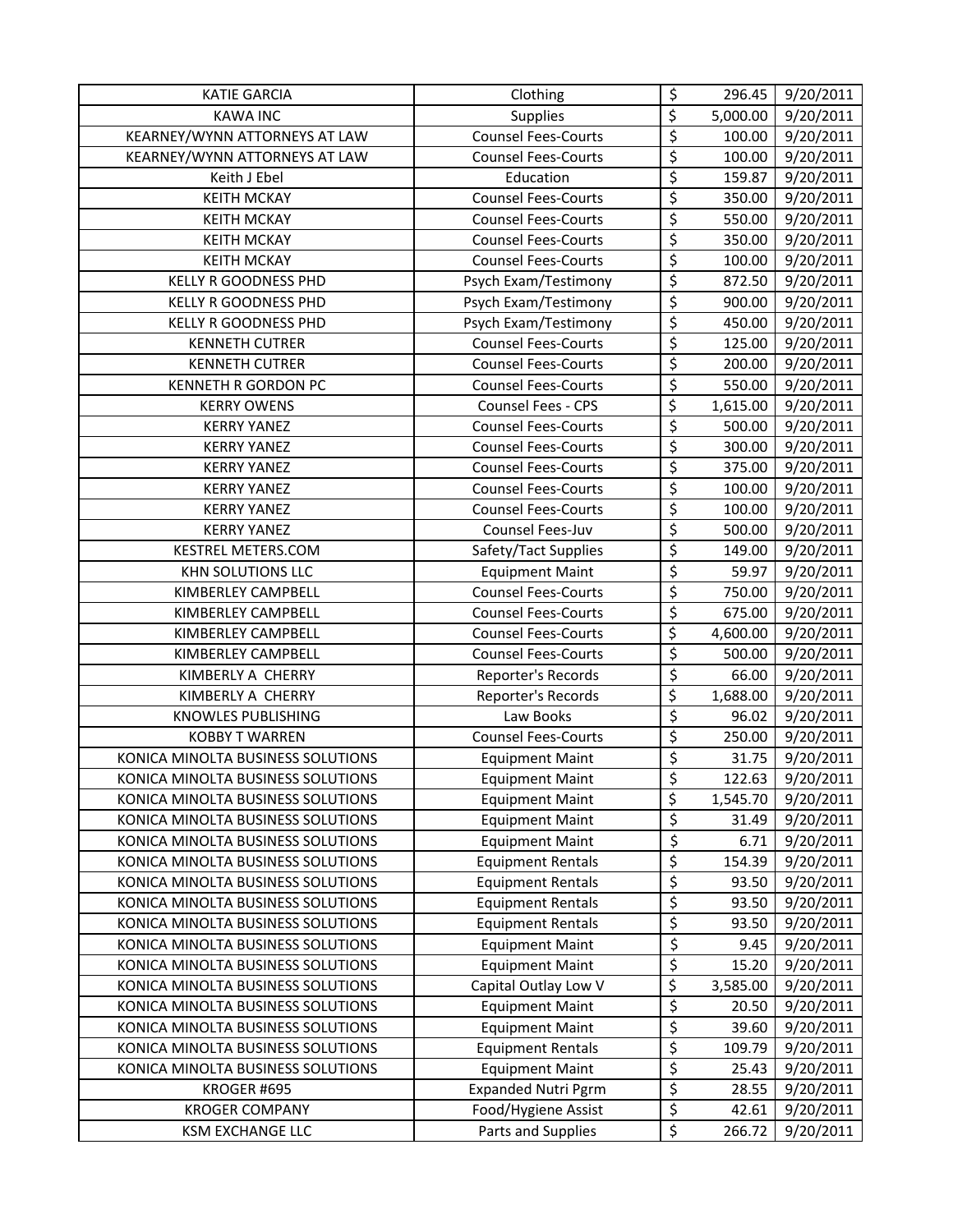| <b>KATIE GARCIA</b>               | Clothing                   | \$                              | 296.45   | 9/20/2011 |
|-----------------------------------|----------------------------|---------------------------------|----------|-----------|
| <b>KAWA INC</b>                   | Supplies                   | $\overline{\xi}$                | 5,000.00 | 9/20/2011 |
| KEARNEY/WYNN ATTORNEYS AT LAW     | <b>Counsel Fees-Courts</b> | \$                              | 100.00   | 9/20/2011 |
| KEARNEY/WYNN ATTORNEYS AT LAW     | <b>Counsel Fees-Courts</b> | \$                              | 100.00   | 9/20/2011 |
| Keith J Ebel                      | Education                  | $\overline{\boldsymbol{\zeta}}$ | 159.87   | 9/20/2011 |
| <b>KEITH MCKAY</b>                | <b>Counsel Fees-Courts</b> | \$                              | 350.00   | 9/20/2011 |
| <b>KEITH MCKAY</b>                | <b>Counsel Fees-Courts</b> | \$                              | 550.00   | 9/20/2011 |
| <b>KEITH MCKAY</b>                | <b>Counsel Fees-Courts</b> | \$                              | 350.00   | 9/20/2011 |
| <b>KEITH MCKAY</b>                | <b>Counsel Fees-Courts</b> | $\overline{\boldsymbol{\zeta}}$ | 100.00   | 9/20/2011 |
| <b>KELLY R GOODNESS PHD</b>       | Psych Exam/Testimony       | \$                              | 872.50   | 9/20/2011 |
| <b>KELLY R GOODNESS PHD</b>       | Psych Exam/Testimony       | \$                              | 900.00   | 9/20/2011 |
| <b>KELLY R GOODNESS PHD</b>       | Psych Exam/Testimony       | \$                              | 450.00   | 9/20/2011 |
| <b>KENNETH CUTRER</b>             | <b>Counsel Fees-Courts</b> | \$                              | 125.00   | 9/20/2011 |
| <b>KENNETH CUTRER</b>             | <b>Counsel Fees-Courts</b> | \$                              | 200.00   | 9/20/2011 |
| <b>KENNETH R GORDON PC</b>        | <b>Counsel Fees-Courts</b> | $\overline{\boldsymbol{\zeta}}$ | 550.00   | 9/20/2011 |
| <b>KERRY OWENS</b>                | Counsel Fees - CPS         | \$                              | 1,615.00 | 9/20/2011 |
| <b>KERRY YANEZ</b>                | <b>Counsel Fees-Courts</b> | \$                              | 500.00   | 9/20/2011 |
| <b>KERRY YANEZ</b>                | <b>Counsel Fees-Courts</b> | $\overline{\boldsymbol{\zeta}}$ | 300.00   | 9/20/2011 |
| <b>KERRY YANEZ</b>                | <b>Counsel Fees-Courts</b> | \$                              | 375.00   | 9/20/2011 |
| <b>KERRY YANEZ</b>                | <b>Counsel Fees-Courts</b> | \$                              | 100.00   | 9/20/2011 |
| <b>KERRY YANEZ</b>                | <b>Counsel Fees-Courts</b> | \$                              | 100.00   | 9/20/2011 |
| <b>KERRY YANEZ</b>                | Counsel Fees-Juv           | \$                              | 500.00   | 9/20/2011 |
| KESTREL METERS.COM                | Safety/Tact Supplies       | $\overline{\boldsymbol{\zeta}}$ | 149.00   | 9/20/2011 |
| KHN SOLUTIONS LLC                 | <b>Equipment Maint</b>     | $\overline{\mathcal{L}}$        | 59.97    | 9/20/2011 |
| KIMBERLEY CAMPBELL                | <b>Counsel Fees-Courts</b> | \$                              | 750.00   | 9/20/2011 |
| <b>KIMBERLEY CAMPBELL</b>         | <b>Counsel Fees-Courts</b> | \$                              | 675.00   | 9/20/2011 |
| KIMBERLEY CAMPBELL                | <b>Counsel Fees-Courts</b> | $\overline{\xi}$                | 4,600.00 | 9/20/2011 |
| KIMBERLEY CAMPBELL                | <b>Counsel Fees-Courts</b> | \$                              | 500.00   | 9/20/2011 |
| KIMBERLY A CHERRY                 | Reporter's Records         | $\overline{\varsigma}$          | 66.00    | 9/20/2011 |
| KIMBERLY A CHERRY                 | Reporter's Records         | \$                              | 1,688.00 | 9/20/2011 |
| KNOWLES PUBLISHING                | Law Books                  | $\overline{\varsigma}$          | 96.02    | 9/20/2011 |
| <b>KOBBY T WARREN</b>             | <b>Counsel Fees-Courts</b> | \$                              | 250.00   | 9/20/2011 |
| KONICA MINOLTA BUSINESS SOLUTIONS | <b>Equipment Maint</b>     | \$                              | 31.75    | 9/20/2011 |
| KONICA MINOLTA BUSINESS SOLUTIONS | <b>Equipment Maint</b>     | \$                              | 122.63   | 9/20/2011 |
| KONICA MINOLTA BUSINESS SOLUTIONS | <b>Equipment Maint</b>     | \$                              | 1,545.70 | 9/20/2011 |
| KONICA MINOLTA BUSINESS SOLUTIONS | <b>Equipment Maint</b>     | \$                              | 31.49    | 9/20/2011 |
| KONICA MINOLTA BUSINESS SOLUTIONS | <b>Equipment Maint</b>     | $\overline{\xi}$                | 6.71     | 9/20/2011 |
| KONICA MINOLTA BUSINESS SOLUTIONS | <b>Equipment Rentals</b>   | \$                              | 154.39   | 9/20/2011 |
| KONICA MINOLTA BUSINESS SOLUTIONS | <b>Equipment Rentals</b>   | $\overline{\varsigma}$          | 93.50    | 9/20/2011 |
| KONICA MINOLTA BUSINESS SOLUTIONS | <b>Equipment Rentals</b>   | $\overline{\varsigma}$          | 93.50    | 9/20/2011 |
| KONICA MINOLTA BUSINESS SOLUTIONS | <b>Equipment Rentals</b>   | \$                              | 93.50    | 9/20/2011 |
| KONICA MINOLTA BUSINESS SOLUTIONS | <b>Equipment Maint</b>     | \$                              | 9.45     | 9/20/2011 |
| KONICA MINOLTA BUSINESS SOLUTIONS | <b>Equipment Maint</b>     | \$                              | 15.20    | 9/20/2011 |
| KONICA MINOLTA BUSINESS SOLUTIONS | Capital Outlay Low V       | \$                              | 3,585.00 | 9/20/2011 |
| KONICA MINOLTA BUSINESS SOLUTIONS | <b>Equipment Maint</b>     | \$                              | 20.50    | 9/20/2011 |
| KONICA MINOLTA BUSINESS SOLUTIONS | <b>Equipment Maint</b>     | \$                              | 39.60    | 9/20/2011 |
| KONICA MINOLTA BUSINESS SOLUTIONS | <b>Equipment Rentals</b>   | \$                              | 109.79   | 9/20/2011 |
| KONICA MINOLTA BUSINESS SOLUTIONS | <b>Equipment Maint</b>     | \$                              | 25.43    | 9/20/2011 |
| KROGER #695                       | <b>Expanded Nutri Pgrm</b> | \$                              | 28.55    | 9/20/2011 |
| <b>KROGER COMPANY</b>             | Food/Hygiene Assist        | \$                              | 42.61    | 9/20/2011 |
| <b>KSM EXCHANGE LLC</b>           | Parts and Supplies         | \$                              | 266.72   | 9/20/2011 |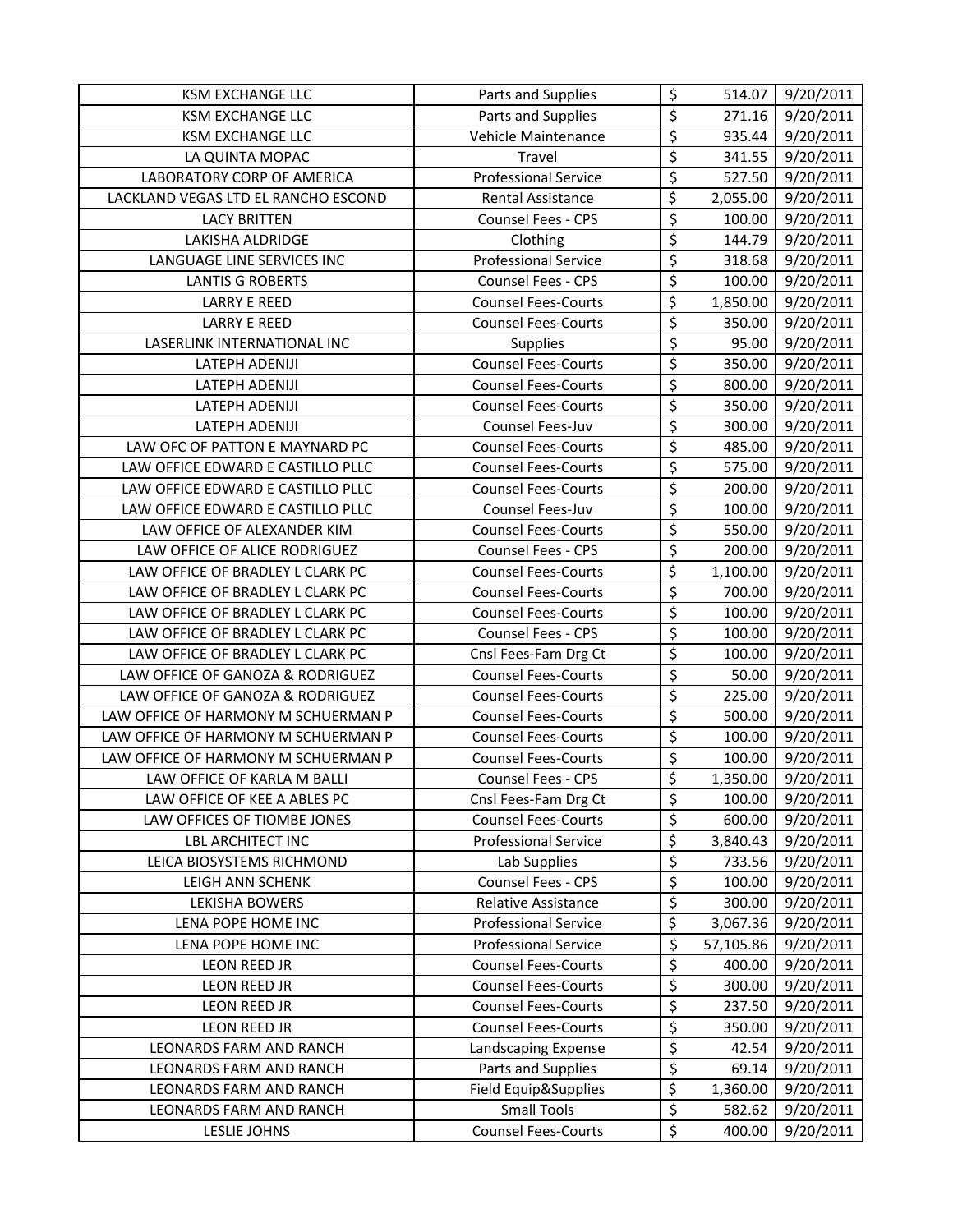| <b>KSM EXCHANGE LLC</b>             | Parts and Supplies          | \$                              | 514.07    | 9/20/2011 |
|-------------------------------------|-----------------------------|---------------------------------|-----------|-----------|
| <b>KSM EXCHANGE LLC</b>             | Parts and Supplies          | \$                              | 271.16    | 9/20/2011 |
| <b>KSM EXCHANGE LLC</b>             | Vehicle Maintenance         | $\overline{\xi}$                | 935.44    | 9/20/2011 |
| LA QUINTA MOPAC                     | Travel                      | \$                              | 341.55    | 9/20/2011 |
| LABORATORY CORP OF AMERICA          | <b>Professional Service</b> | \$                              | 527.50    | 9/20/2011 |
| LACKLAND VEGAS LTD EL RANCHO ESCOND | Rental Assistance           | \$                              | 2,055.00  | 9/20/2011 |
| <b>LACY BRITTEN</b>                 | Counsel Fees - CPS          | \$                              | 100.00    | 9/20/2011 |
| LAKISHA ALDRIDGE                    | Clothing                    | \$                              | 144.79    | 9/20/2011 |
| LANGUAGE LINE SERVICES INC          | <b>Professional Service</b> | \$                              | 318.68    | 9/20/2011 |
| <b>LANTIS G ROBERTS</b>             | Counsel Fees - CPS          | \$                              | 100.00    | 9/20/2011 |
| <b>LARRY E REED</b>                 | <b>Counsel Fees-Courts</b>  | $\overline{\xi}$                | 1,850.00  | 9/20/2011 |
| <b>LARRY E REED</b>                 | <b>Counsel Fees-Courts</b>  | $\overline{\varsigma}$          | 350.00    | 9/20/2011 |
| LASERLINK INTERNATIONAL INC         | Supplies                    | \$                              | 95.00     | 9/20/2011 |
| LATEPH ADENIJI                      | <b>Counsel Fees-Courts</b>  | $\overline{\boldsymbol{\zeta}}$ | 350.00    | 9/20/2011 |
| LATEPH ADENIJI                      | <b>Counsel Fees-Courts</b>  | \$                              | 800.00    | 9/20/2011 |
| LATEPH ADENIJI                      | <b>Counsel Fees-Courts</b>  | $\overline{\boldsymbol{\zeta}}$ | 350.00    | 9/20/2011 |
| <b>LATEPH ADENIJI</b>               | Counsel Fees-Juv            | \$                              | 300.00    | 9/20/2011 |
| LAW OFC OF PATTON E MAYNARD PC      | <b>Counsel Fees-Courts</b>  | \$                              | 485.00    | 9/20/2011 |
| LAW OFFICE EDWARD E CASTILLO PLLC   | <b>Counsel Fees-Courts</b>  | $\overline{\boldsymbol{\zeta}}$ | 575.00    | 9/20/2011 |
| LAW OFFICE EDWARD E CASTILLO PLLC   | <b>Counsel Fees-Courts</b>  | $\overline{\varsigma}$          | 200.00    | 9/20/2011 |
| LAW OFFICE EDWARD E CASTILLO PLLC   | Counsel Fees-Juv            | \$                              | 100.00    | 9/20/2011 |
| LAW OFFICE OF ALEXANDER KIM         | <b>Counsel Fees-Courts</b>  | \$                              | 550.00    | 9/20/2011 |
| LAW OFFICE OF ALICE RODRIGUEZ       | Counsel Fees - CPS          | $\overline{\boldsymbol{\zeta}}$ | 200.00    | 9/20/2011 |
| LAW OFFICE OF BRADLEY L CLARK PC    | <b>Counsel Fees-Courts</b>  | $\overline{\varsigma}$          | 1,100.00  | 9/20/2011 |
| LAW OFFICE OF BRADLEY L CLARK PC    | <b>Counsel Fees-Courts</b>  | $\overline{\boldsymbol{\zeta}}$ | 700.00    | 9/20/2011 |
| LAW OFFICE OF BRADLEY L CLARK PC    | <b>Counsel Fees-Courts</b>  | \$                              | 100.00    | 9/20/2011 |
| LAW OFFICE OF BRADLEY L CLARK PC    | Counsel Fees - CPS          | \$                              | 100.00    | 9/20/2011 |
| LAW OFFICE OF BRADLEY L CLARK PC    | Cnsl Fees-Fam Drg Ct        | $\overline{\xi}$                | 100.00    | 9/20/2011 |
| LAW OFFICE OF GANOZA & RODRIGUEZ    | <b>Counsel Fees-Courts</b>  | $\overline{\varsigma}$          | 50.00     | 9/20/2011 |
| LAW OFFICE OF GANOZA & RODRIGUEZ    | <b>Counsel Fees-Courts</b>  | \$                              | 225.00    | 9/20/2011 |
| LAW OFFICE OF HARMONY M SCHUERMAN P | <b>Counsel Fees-Courts</b>  | \$                              | 500.00    | 9/20/2011 |
| LAW OFFICE OF HARMONY M SCHUERMAN P | <b>Counsel Fees-Courts</b>  | $\overline{\xi}$                | 100.00    | 9/20/2011 |
| LAW OFFICE OF HARMONY M SCHUERMAN P | <b>Counsel Fees-Courts</b>  | $\overline{\varsigma}$          | 100.00    | 9/20/2011 |
| LAW OFFICE OF KARLA M BALLI         | Counsel Fees - CPS          | $\overline{\xi}$                | 1,350.00  | 9/20/2011 |
| LAW OFFICE OF KEE A ABLES PC        | Cnsl Fees-Fam Drg Ct        | \$                              | 100.00    | 9/20/2011 |
| LAW OFFICES OF TIOMBE JONES         | <b>Counsel Fees-Courts</b>  | \$                              | 600.00    | 9/20/2011 |
| <b>LBL ARCHITECT INC</b>            | <b>Professional Service</b> | $\overline{\xi}$                | 3,840.43  | 9/20/2011 |
| LEICA BIOSYSTEMS RICHMOND           | Lab Supplies                | $\overline{\varsigma}$          | 733.56    | 9/20/2011 |
| LEIGH ANN SCHENK                    | Counsel Fees - CPS          | \$                              | 100.00    | 9/20/2011 |
| LEKISHA BOWERS                      | Relative Assistance         | \$                              | 300.00    | 9/20/2011 |
| LENA POPE HOME INC                  | <b>Professional Service</b> | $\overline{\mathcal{L}}$        | 3,067.36  | 9/20/2011 |
| LENA POPE HOME INC                  | <b>Professional Service</b> | \$                              | 57,105.86 | 9/20/2011 |
| LEON REED JR                        | <b>Counsel Fees-Courts</b>  | \$                              | 400.00    | 9/20/2011 |
| LEON REED JR                        | <b>Counsel Fees-Courts</b>  | \$                              | 300.00    | 9/20/2011 |
| LEON REED JR                        | <b>Counsel Fees-Courts</b>  | \$                              | 237.50    | 9/20/2011 |
| LEON REED JR                        | <b>Counsel Fees-Courts</b>  | $\overline{\xi}$                | 350.00    | 9/20/2011 |
| LEONARDS FARM AND RANCH             | Landscaping Expense         | \$                              | 42.54     | 9/20/2011 |
| LEONARDS FARM AND RANCH             | Parts and Supplies          | \$                              | 69.14     | 9/20/2011 |
| LEONARDS FARM AND RANCH             | Field Equip&Supplies        | \$                              | 1,360.00  | 9/20/2011 |
| LEONARDS FARM AND RANCH             | <b>Small Tools</b>          | \$                              | 582.62    | 9/20/2011 |
| LESLIE JOHNS                        | <b>Counsel Fees-Courts</b>  | \$                              | 400.00    | 9/20/2011 |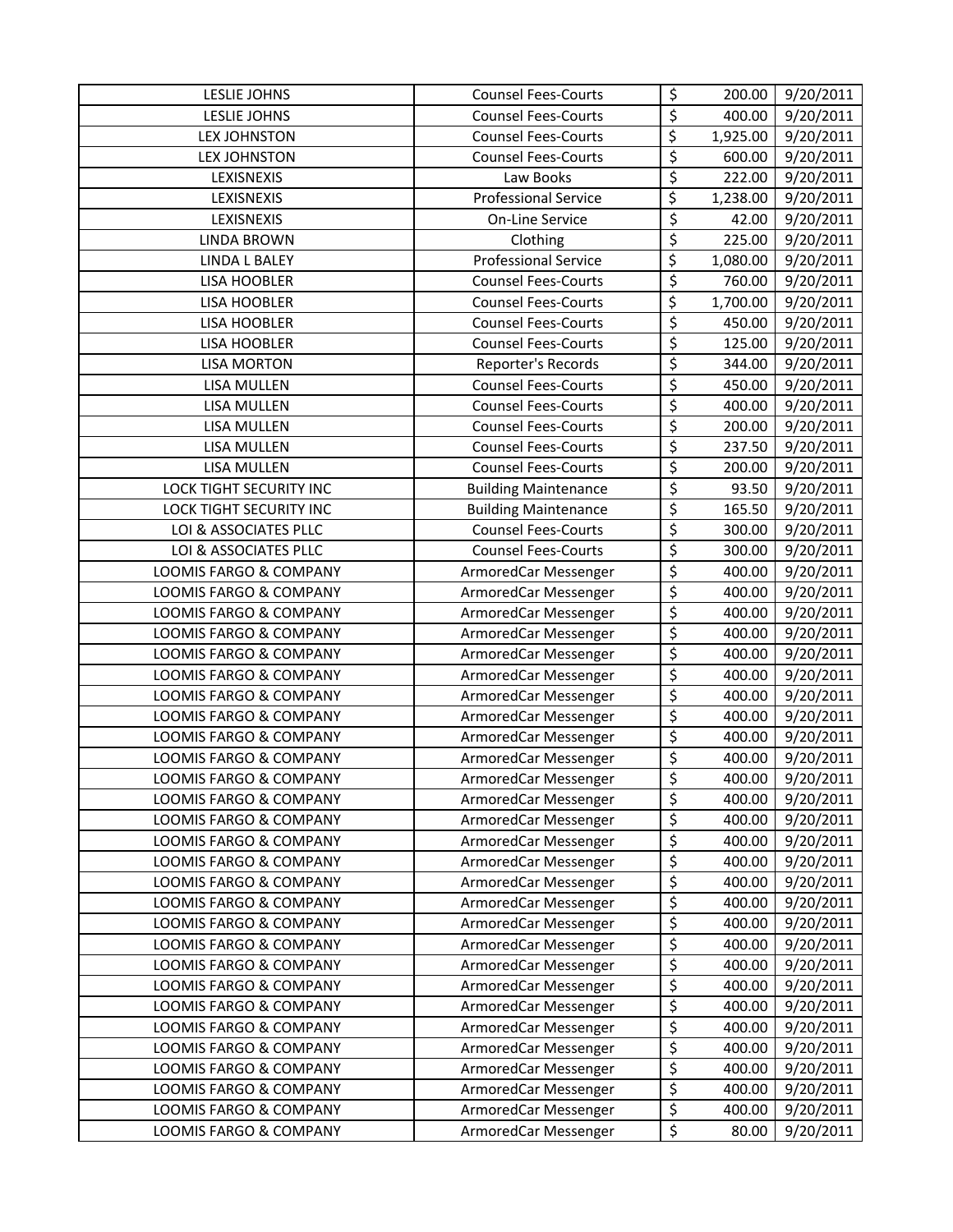| <b>LESLIE JOHNS</b>               | <b>Counsel Fees-Courts</b>  | \$                              | 200.00   | 9/20/2011              |
|-----------------------------------|-----------------------------|---------------------------------|----------|------------------------|
| LESLIE JOHNS                      | <b>Counsel Fees-Courts</b>  | \$                              | 400.00   | 9/20/2011              |
| <b>LEX JOHNSTON</b>               | <b>Counsel Fees-Courts</b>  | \$                              | 1,925.00 | 9/20/2011              |
| <b>LEX JOHNSTON</b>               | <b>Counsel Fees-Courts</b>  | \$                              | 600.00   | 9/20/2011              |
| LEXISNEXIS                        | Law Books                   | \$                              | 222.00   | 9/20/2011              |
| LEXISNEXIS                        | <b>Professional Service</b> | $\overline{\xi}$                | 1,238.00 | 9/20/2011              |
| LEXISNEXIS                        | On-Line Service             | \$                              | 42.00    | 9/20/2011              |
| <b>LINDA BROWN</b>                | Clothing                    | \$                              | 225.00   | 9/20/2011              |
| <b>LINDA L BALEY</b>              | <b>Professional Service</b> | $\overline{\xi}$                | 1,080.00 | 9/20/2011              |
| LISA HOOBLER                      | <b>Counsel Fees-Courts</b>  | \$                              | 760.00   | 9/20/2011              |
| LISA HOOBLER                      | <b>Counsel Fees-Courts</b>  | \$                              | 1,700.00 | 9/20/2011              |
| LISA HOOBLER                      | <b>Counsel Fees-Courts</b>  | \$                              | 450.00   | 9/20/2011              |
| <b>LISA HOOBLER</b>               | <b>Counsel Fees-Courts</b>  | \$                              | 125.00   | 9/20/2011              |
| <b>LISA MORTON</b>                | Reporter's Records          | \$                              | 344.00   | $\frac{1}{9}$ /20/2011 |
| LISA MULLEN                       | <b>Counsel Fees-Courts</b>  | \$                              | 450.00   | 9/20/2011              |
| LISA MULLEN                       | <b>Counsel Fees-Courts</b>  | \$                              | 400.00   | 9/20/2011              |
| <b>LISA MULLEN</b>                | <b>Counsel Fees-Courts</b>  | \$                              | 200.00   | 9/20/2011              |
| LISA MULLEN                       | <b>Counsel Fees-Courts</b>  | \$                              | 237.50   | 9/20/2011              |
| LISA MULLEN                       | <b>Counsel Fees-Courts</b>  | \$                              | 200.00   | 9/20/2011              |
| <b>LOCK TIGHT SECURITY INC</b>    | <b>Building Maintenance</b> | \$                              | 93.50    | 9/20/2011              |
| LOCK TIGHT SECURITY INC           | <b>Building Maintenance</b> | \$                              | 165.50   | 9/20/2011              |
| LOI & ASSOCIATES PLLC             | <b>Counsel Fees-Courts</b>  | \$                              | 300.00   | 9/20/2011              |
| LOI & ASSOCIATES PLLC             | <b>Counsel Fees-Courts</b>  | \$                              | 300.00   | 9/20/2011              |
| LOOMIS FARGO & COMPANY            | ArmoredCar Messenger        | \$                              | 400.00   | 9/20/2011              |
| LOOMIS FARGO & COMPANY            | ArmoredCar Messenger        | \$                              | 400.00   | 9/20/2011              |
| LOOMIS FARGO & COMPANY            | ArmoredCar Messenger        | \$                              | 400.00   | 9/20/2011              |
| LOOMIS FARGO & COMPANY            | ArmoredCar Messenger        | \$                              | 400.00   | 9/20/2011              |
| <b>LOOMIS FARGO &amp; COMPANY</b> | ArmoredCar Messenger        | \$                              | 400.00   | 9/20/2011              |
| LOOMIS FARGO & COMPANY            | ArmoredCar Messenger        | \$                              | 400.00   | 9/20/2011              |
| LOOMIS FARGO & COMPANY            | ArmoredCar Messenger        | $\overline{\boldsymbol{\zeta}}$ | 400.00   | 9/20/2011              |
| <b>LOOMIS FARGO &amp; COMPANY</b> | ArmoredCar Messenger        | \$                              | 400.00   | 9/20/2011              |
| LOOMIS FARGO & COMPANY            | ArmoredCar Messenger        | \$                              | 400.00   | 9/20/2011              |
| LOOMIS FARGO & COMPANY            | ArmoredCar Messenger        | \$                              | 400.00   | 9/20/2011              |
| <b>LOOMIS FARGO &amp; COMPANY</b> | ArmoredCar Messenger        | \$                              | 400.00   | 9/20/2011              |
| LOOMIS FARGO & COMPANY            | ArmoredCar Messenger        | \$                              | 400.00   | 9/20/2011              |
| LOOMIS FARGO & COMPANY            | ArmoredCar Messenger        | \$                              | 400.00   | 9/20/2011              |
| LOOMIS FARGO & COMPANY            | ArmoredCar Messenger        | \$                              | 400.00   | 9/20/2011              |
| LOOMIS FARGO & COMPANY            | ArmoredCar Messenger        | \$                              | 400.00   | 9/20/2011              |
| LOOMIS FARGO & COMPANY            | ArmoredCar Messenger        | \$                              | 400.00   | 9/20/2011              |
| <b>LOOMIS FARGO &amp; COMPANY</b> | ArmoredCar Messenger        | \$                              | 400.00   | 9/20/2011              |
| LOOMIS FARGO & COMPANY            | ArmoredCar Messenger        | \$                              | 400.00   | 9/20/2011              |
| LOOMIS FARGO & COMPANY            | ArmoredCar Messenger        | \$                              | 400.00   | 9/20/2011              |
| <b>LOOMIS FARGO &amp; COMPANY</b> | ArmoredCar Messenger        | \$                              | 400.00   | 9/20/2011              |
| LOOMIS FARGO & COMPANY            | ArmoredCar Messenger        | \$                              | 400.00   | 9/20/2011              |
| LOOMIS FARGO & COMPANY            | ArmoredCar Messenger        | \$                              | 400.00   | 9/20/2011              |
| LOOMIS FARGO & COMPANY            | ArmoredCar Messenger        | \$                              | 400.00   | 9/20/2011              |
| LOOMIS FARGO & COMPANY            | ArmoredCar Messenger        | \$                              | 400.00   | 9/20/2011              |
| <b>LOOMIS FARGO &amp; COMPANY</b> | ArmoredCar Messenger        | \$                              | 400.00   | 9/20/2011              |
| LOOMIS FARGO & COMPANY            | ArmoredCar Messenger        | \$                              | 400.00   | 9/20/2011              |
| LOOMIS FARGO & COMPANY            | ArmoredCar Messenger        | \$                              | 400.00   | 9/20/2011              |
| LOOMIS FARGO & COMPANY            | ArmoredCar Messenger        | \$                              | 80.00    | 9/20/2011              |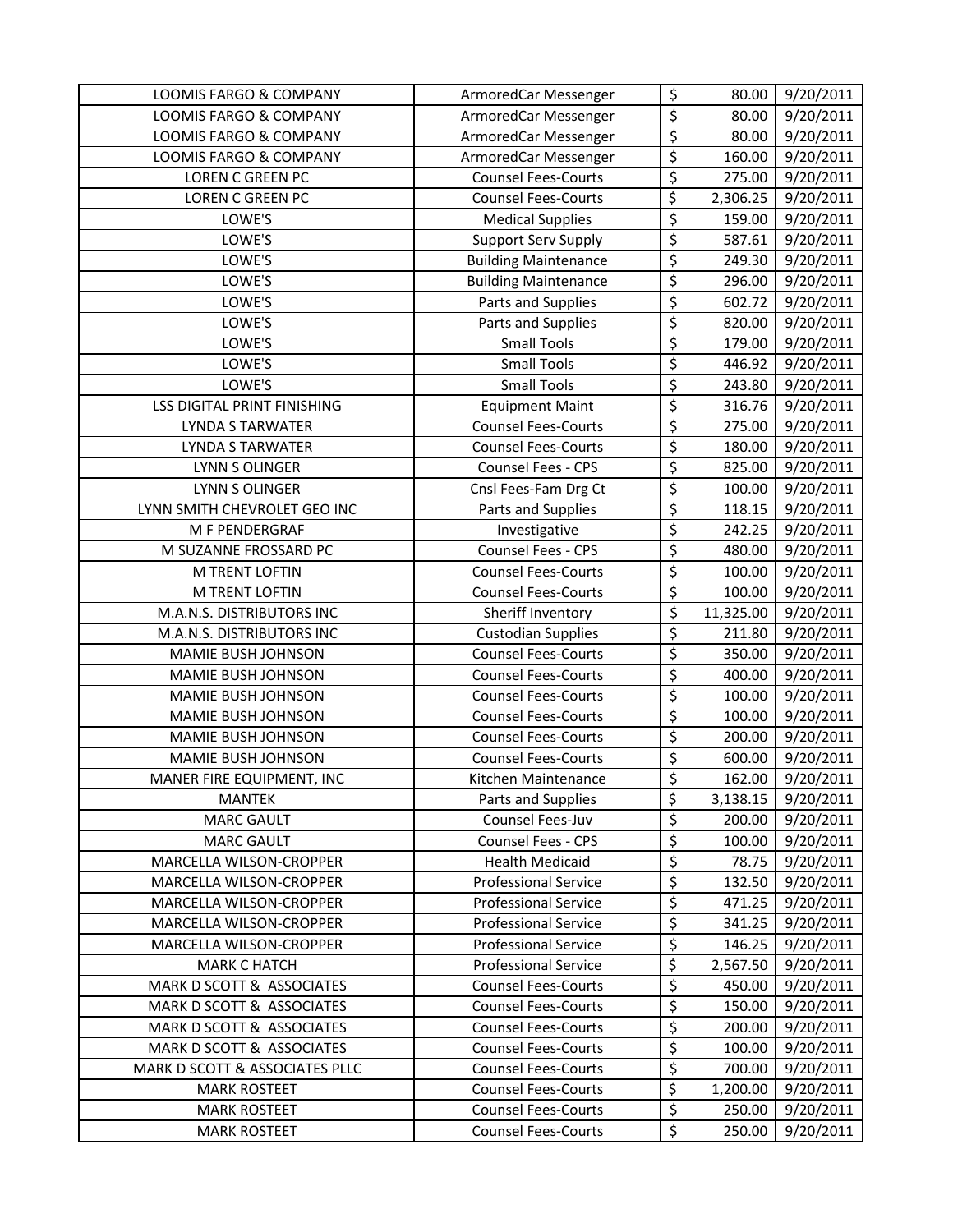| LOOMIS FARGO & COMPANY             | ArmoredCar Messenger        | \$                              | 80.00     | 9/20/2011 |
|------------------------------------|-----------------------------|---------------------------------|-----------|-----------|
| <b>LOOMIS FARGO &amp; COMPANY</b>  | ArmoredCar Messenger        | \$                              | 80.00     | 9/20/2011 |
| LOOMIS FARGO & COMPANY             | ArmoredCar Messenger        | \$                              | 80.00     | 9/20/2011 |
| LOOMIS FARGO & COMPANY             | ArmoredCar Messenger        | \$                              | 160.00    | 9/20/2011 |
| LOREN C GREEN PC                   | <b>Counsel Fees-Courts</b>  | $\overline{\boldsymbol{\zeta}}$ | 275.00    | 9/20/2011 |
| LOREN C GREEN PC                   | <b>Counsel Fees-Courts</b>  | \$                              | 2,306.25  | 9/20/2011 |
| LOWE'S                             | <b>Medical Supplies</b>     | \$                              | 159.00    | 9/20/2011 |
| LOWE'S                             | <b>Support Serv Supply</b>  | \$                              | 587.61    | 9/20/2011 |
| LOWE'S                             | <b>Building Maintenance</b> | \$                              | 249.30    | 9/20/2011 |
| LOWE'S                             | <b>Building Maintenance</b> | \$                              | 296.00    | 9/20/2011 |
| LOWE'S                             | Parts and Supplies          | \$                              | 602.72    | 9/20/2011 |
| LOWE'S                             | Parts and Supplies          | \$                              | 820.00    | 9/20/2011 |
| LOWE'S                             | <b>Small Tools</b>          | \$                              | 179.00    | 9/20/2011 |
| LOWE'S                             | <b>Small Tools</b>          | \$                              | 446.92    | 9/20/2011 |
| LOWE'S                             | <b>Small Tools</b>          | \$                              | 243.80    | 9/20/2011 |
| <b>LSS DIGITAL PRINT FINISHING</b> | <b>Equipment Maint</b>      | \$                              | 316.76    | 9/20/2011 |
| <b>LYNDA S TARWATER</b>            | <b>Counsel Fees-Courts</b>  | \$                              | 275.00    | 9/20/2011 |
| <b>LYNDA S TARWATER</b>            | <b>Counsel Fees-Courts</b>  | \$                              | 180.00    | 9/20/2011 |
| LYNN S OLINGER                     | Counsel Fees - CPS          | \$                              | 825.00    | 9/20/2011 |
| LYNN S OLINGER                     | Cnsl Fees-Fam Drg Ct        | \$                              | 100.00    | 9/20/2011 |
| LYNN SMITH CHEVROLET GEO INC       | Parts and Supplies          | \$                              | 118.15    | 9/20/2011 |
| M F PENDERGRAF                     | Investigative               | \$                              | 242.25    | 9/20/2011 |
| M SUZANNE FROSSARD PC              | Counsel Fees - CPS          | $\overline{\boldsymbol{\zeta}}$ | 480.00    | 9/20/2011 |
| M TRENT LOFTIN                     | <b>Counsel Fees-Courts</b>  | \$                              | 100.00    | 9/20/2011 |
| M TRENT LOFTIN                     | <b>Counsel Fees-Courts</b>  | \$                              | 100.00    | 9/20/2011 |
| M.A.N.S. DISTRIBUTORS INC          | Sheriff Inventory           | $\overline{\xi}$                | 11,325.00 | 9/20/2011 |
| M.A.N.S. DISTRIBUTORS INC          | <b>Custodian Supplies</b>   | \$                              | 211.80    | 9/20/2011 |
| MAMIE BUSH JOHNSON                 | <b>Counsel Fees-Courts</b>  | \$                              | 350.00    | 9/20/2011 |
| <b>MAMIE BUSH JOHNSON</b>          | <b>Counsel Fees-Courts</b>  | \$                              | 400.00    | 9/20/2011 |
| MAMIE BUSH JOHNSON                 | <b>Counsel Fees-Courts</b>  | $\overline{\xi}$                | 100.00    | 9/20/2011 |
| <b>MAMIE BUSH JOHNSON</b>          | <b>Counsel Fees-Courts</b>  | \$                              | 100.00    | 9/20/2011 |
| MAMIE BUSH JOHNSON                 | <b>Counsel Fees-Courts</b>  | \$                              | 200.00    | 9/20/2011 |
| MAMIE BUSH JOHNSON                 | <b>Counsel Fees-Courts</b>  | \$                              | 600.00    | 9/20/2011 |
| MANER FIRE EQUIPMENT, INC          | Kitchen Maintenance         | \$                              | 162.00    | 9/20/2011 |
| <b>MANTEK</b>                      | Parts and Supplies          | \$                              | 3,138.15  | 9/20/2011 |
| <b>MARC GAULT</b>                  | Counsel Fees-Juv            | \$                              | 200.00    | 9/20/2011 |
| <b>MARC GAULT</b>                  | Counsel Fees - CPS          | $\overline{\xi}$                | 100.00    | 9/20/2011 |
| MARCELLA WILSON-CROPPER            | <b>Health Medicaid</b>      | $\overline{\varsigma}$          | 78.75     | 9/20/2011 |
| MARCELLA WILSON-CROPPER            | <b>Professional Service</b> | \$                              | 132.50    | 9/20/2011 |
| MARCELLA WILSON-CROPPER            | <b>Professional Service</b> | \$                              | 471.25    | 9/20/2011 |
| MARCELLA WILSON-CROPPER            | <b>Professional Service</b> | $\overline{\xi}$                | 341.25    | 9/20/2011 |
| MARCELLA WILSON-CROPPER            | <b>Professional Service</b> | $\overline{\xi}$                | 146.25    | 9/20/2011 |
| <b>MARK C HATCH</b>                | <b>Professional Service</b> | $\overline{\varsigma}$          | 2,567.50  | 9/20/2011 |
| MARK D SCOTT & ASSOCIATES          | <b>Counsel Fees-Courts</b>  | \$                              | 450.00    | 9/20/2011 |
| MARK D SCOTT & ASSOCIATES          | <b>Counsel Fees-Courts</b>  | \$                              | 150.00    | 9/20/2011 |
| MARK D SCOTT & ASSOCIATES          | <b>Counsel Fees-Courts</b>  | $\overline{\xi}$                | 200.00    | 9/20/2011 |
| MARK D SCOTT & ASSOCIATES          | <b>Counsel Fees-Courts</b>  | \$                              | 100.00    | 9/20/2011 |
| MARK D SCOTT & ASSOCIATES PLLC     | <b>Counsel Fees-Courts</b>  | $\overline{\xi}$                | 700.00    | 9/20/2011 |
| <b>MARK ROSTEET</b>                | <b>Counsel Fees-Courts</b>  | \$                              | 1,200.00  | 9/20/2011 |
| <b>MARK ROSTEET</b>                | <b>Counsel Fees-Courts</b>  | $\overline{\xi}$                | 250.00    | 9/20/2011 |
| <b>MARK ROSTEET</b>                | <b>Counsel Fees-Courts</b>  | \$                              | 250.00    | 9/20/2011 |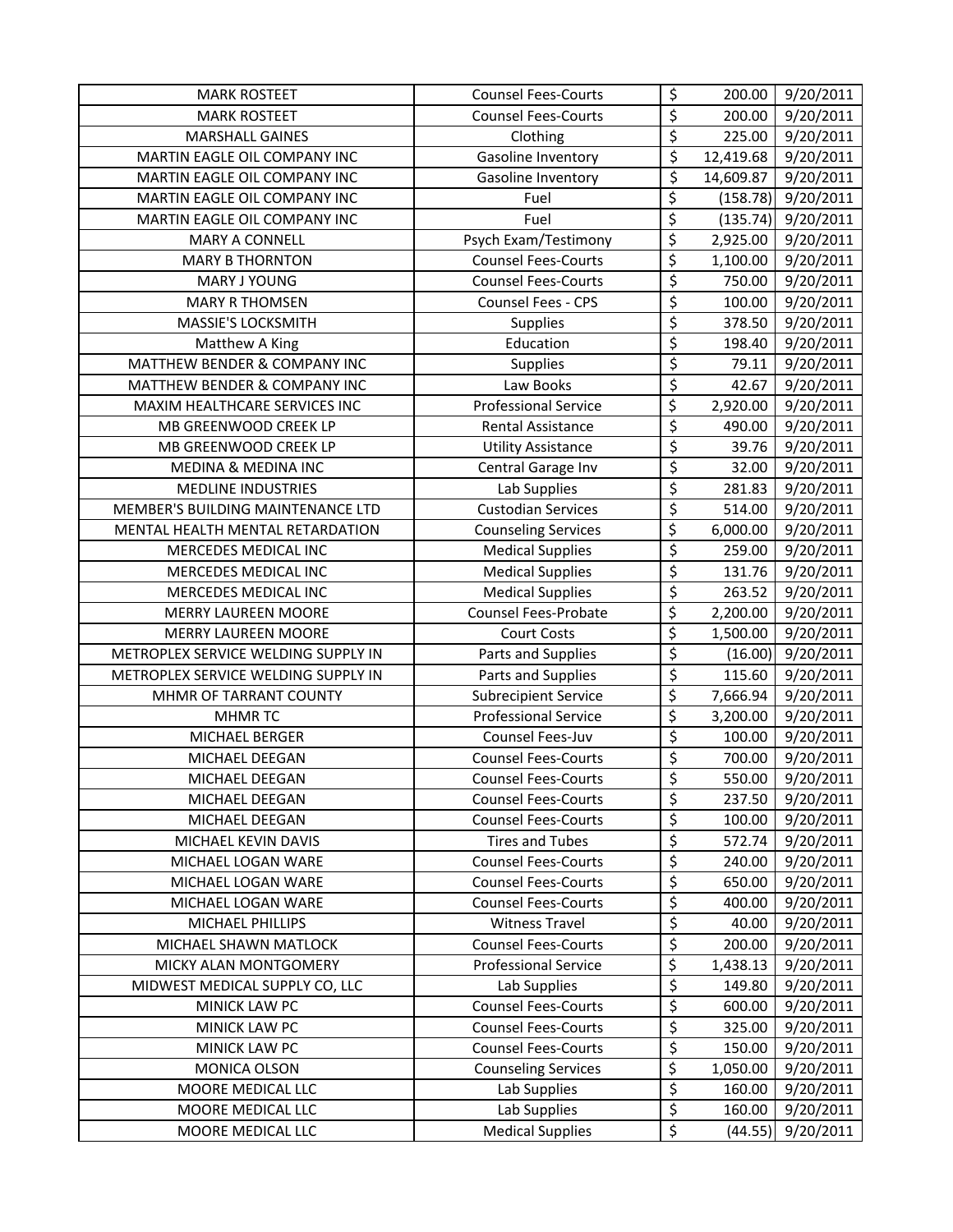| <b>MARK ROSTEET</b>                 | <b>Counsel Fees-Courts</b>  | \$                                  | 200.00    | 9/20/2011 |
|-------------------------------------|-----------------------------|-------------------------------------|-----------|-----------|
| <b>MARK ROSTEET</b>                 | <b>Counsel Fees-Courts</b>  | \$                                  | 200.00    | 9/20/2011 |
| <b>MARSHALL GAINES</b>              | Clothing                    | \$                                  | 225.00    | 9/20/2011 |
| MARTIN EAGLE OIL COMPANY INC        | Gasoline Inventory          | \$                                  | 12,419.68 | 9/20/2011 |
| MARTIN EAGLE OIL COMPANY INC        | Gasoline Inventory          | $\overline{\boldsymbol{\varsigma}}$ | 14,609.87 | 9/20/2011 |
| MARTIN EAGLE OIL COMPANY INC        | Fuel                        | \$                                  | (158.78)  | 9/20/2011 |
| MARTIN EAGLE OIL COMPANY INC        | Fuel                        | \$                                  | (135.74)  | 9/20/2011 |
| <b>MARY A CONNELL</b>               | Psych Exam/Testimony        | \$                                  | 2,925.00  | 9/20/2011 |
| <b>MARY B THORNTON</b>              | <b>Counsel Fees-Courts</b>  | \$                                  | 1,100.00  | 9/20/2011 |
| <b>MARY J YOUNG</b>                 | <b>Counsel Fees-Courts</b>  | \$                                  | 750.00    | 9/20/2011 |
| <b>MARY R THOMSEN</b>               | Counsel Fees - CPS          | \$                                  | 100.00    | 9/20/2011 |
| MASSIE'S LOCKSMITH                  | Supplies                    | \$                                  | 378.50    | 9/20/2011 |
| Matthew A King                      | Education                   | \$                                  | 198.40    | 9/20/2011 |
| MATTHEW BENDER & COMPANY INC        | Supplies                    | $\overline{\varsigma}$              | 79.11     | 9/20/2011 |
| MATTHEW BENDER & COMPANY INC        | Law Books                   | $\overline{\varsigma}$              | 42.67     | 9/20/2011 |
| MAXIM HEALTHCARE SERVICES INC       | <b>Professional Service</b> | \$                                  | 2,920.00  | 9/20/2011 |
| MB GREENWOOD CREEK LP               | <b>Rental Assistance</b>    | \$                                  | 490.00    | 9/20/2011 |
| MB GREENWOOD CREEK LP               | <b>Utility Assistance</b>   | \$                                  | 39.76     | 9/20/2011 |
| <b>MEDINA &amp; MEDINA INC</b>      | Central Garage Inv          | $\overline{\varsigma}$              | 32.00     | 9/20/2011 |
| <b>MEDLINE INDUSTRIES</b>           | Lab Supplies                | \$                                  | 281.83    | 9/20/2011 |
| MEMBER'S BUILDING MAINTENANCE LTD   | <b>Custodian Services</b>   | \$                                  | 514.00    | 9/20/2011 |
| MENTAL HEALTH MENTAL RETARDATION    | <b>Counseling Services</b>  | \$                                  | 6,000.00  | 9/20/2011 |
| MERCEDES MEDICAL INC                | <b>Medical Supplies</b>     | $\overline{\boldsymbol{\zeta}}$     | 259.00    | 9/20/2011 |
| MERCEDES MEDICAL INC                | <b>Medical Supplies</b>     | \$                                  | 131.76    | 9/20/2011 |
| MERCEDES MEDICAL INC                | <b>Medical Supplies</b>     | \$                                  | 263.52    | 9/20/2011 |
| <b>MERRY LAUREEN MOORE</b>          | Counsel Fees-Probate        | \$                                  | 2,200.00  | 9/20/2011 |
| <b>MERRY LAUREEN MOORE</b>          | <b>Court Costs</b>          | \$                                  | 1,500.00  | 9/20/2011 |
| METROPLEX SERVICE WELDING SUPPLY IN | Parts and Supplies          | \$                                  | (16.00)   | 9/20/2011 |
| METROPLEX SERVICE WELDING SUPPLY IN | Parts and Supplies          | \$                                  | 115.60    | 9/20/2011 |
| MHMR OF TARRANT COUNTY              | <b>Subrecipient Service</b> | \$                                  | 7,666.94  | 9/20/2011 |
| <b>MHMRTC</b>                       | <b>Professional Service</b> | \$                                  | 3,200.00  | 9/20/2011 |
| MICHAEL BERGER                      | Counsel Fees-Juv            | \$                                  | 100.00    | 9/20/2011 |
| MICHAEL DEEGAN                      | <b>Counsel Fees-Courts</b>  | \$                                  | 700.00    | 9/20/2011 |
| MICHAEL DEEGAN                      | <b>Counsel Fees-Courts</b>  | \$                                  | 550.00    | 9/20/2011 |
| MICHAEL DEEGAN                      | <b>Counsel Fees-Courts</b>  | \$                                  | 237.50    | 9/20/2011 |
| MICHAEL DEEGAN                      | <b>Counsel Fees-Courts</b>  | \$                                  | 100.00    | 9/20/2011 |
| MICHAEL KEVIN DAVIS                 | <b>Tires and Tubes</b>      | \$                                  | 572.74    | 9/20/2011 |
| MICHAEL LOGAN WARE                  | <b>Counsel Fees-Courts</b>  | \$                                  | 240.00    | 9/20/2011 |
| MICHAEL LOGAN WARE                  | <b>Counsel Fees-Courts</b>  | \$                                  | 650.00    | 9/20/2011 |
| MICHAEL LOGAN WARE                  | <b>Counsel Fees-Courts</b>  | \$                                  | 400.00    | 9/20/2011 |
| MICHAEL PHILLIPS                    | <b>Witness Travel</b>       | \$                                  | 40.00     | 9/20/2011 |
| MICHAEL SHAWN MATLOCK               | <b>Counsel Fees-Courts</b>  | \$                                  | 200.00    | 9/20/2011 |
| MICKY ALAN MONTGOMERY               | <b>Professional Service</b> | \$                                  | 1,438.13  | 9/20/2011 |
| MIDWEST MEDICAL SUPPLY CO, LLC      | Lab Supplies                | \$                                  | 149.80    | 9/20/2011 |
| MINICK LAW PC                       | <b>Counsel Fees-Courts</b>  | \$                                  | 600.00    | 9/20/2011 |
| MINICK LAW PC                       | <b>Counsel Fees-Courts</b>  | \$                                  | 325.00    | 9/20/2011 |
| MINICK LAW PC                       | <b>Counsel Fees-Courts</b>  | $\overline{\boldsymbol{\zeta}}$     | 150.00    | 9/20/2011 |
| MONICA OLSON                        | <b>Counseling Services</b>  | \$                                  | 1,050.00  | 9/20/2011 |
| MOORE MEDICAL LLC                   | Lab Supplies                | \$                                  | 160.00    | 9/20/2011 |
| MOORE MEDICAL LLC                   | Lab Supplies                | $\overline{\xi}$                    | 160.00    | 9/20/2011 |
| MOORE MEDICAL LLC                   | <b>Medical Supplies</b>     | \$                                  | (44.55)   | 9/20/2011 |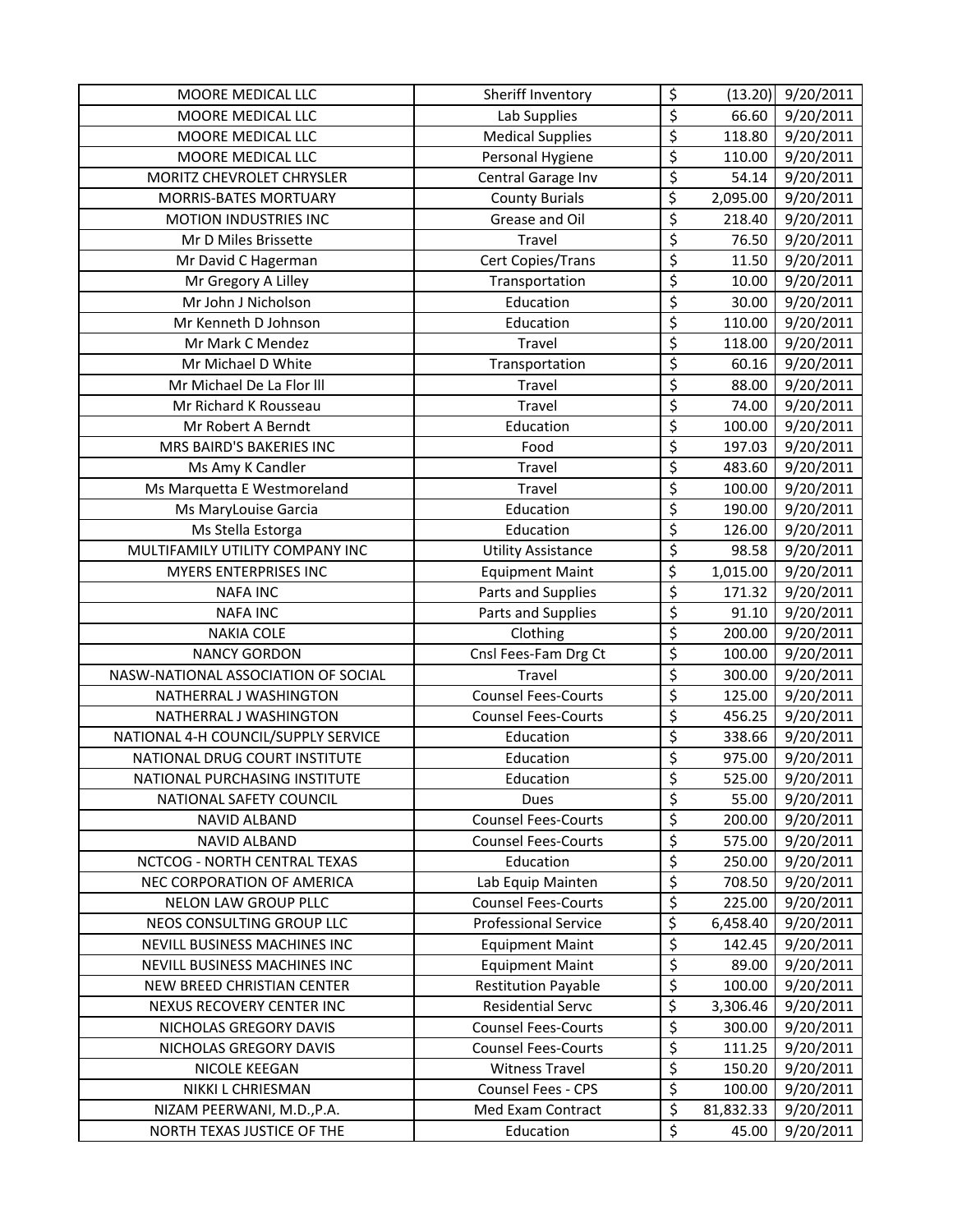| MOORE MEDICAL LLC                   | Sheriff Inventory           | \$                     | (13.20)   | 9/20/2011 |
|-------------------------------------|-----------------------------|------------------------|-----------|-----------|
| MOORE MEDICAL LLC                   | Lab Supplies                | \$                     | 66.60     | 9/20/2011 |
| MOORE MEDICAL LLC                   | <b>Medical Supplies</b>     | \$                     | 118.80    | 9/20/2011 |
| MOORE MEDICAL LLC                   | Personal Hygiene            | \$                     | 110.00    | 9/20/2011 |
| MORITZ CHEVROLET CHRYSLER           | Central Garage Inv          | $\overline{\xi}$       | 54.14     | 9/20/2011 |
| MORRIS-BATES MORTUARY               | <b>County Burials</b>       | \$                     | 2,095.00  | 9/20/2011 |
| MOTION INDUSTRIES INC               | Grease and Oil              | \$                     | 218.40    | 9/20/2011 |
| Mr D Miles Brissette                | Travel                      | $\overline{\varsigma}$ | 76.50     | 9/20/2011 |
| Mr David C Hagerman                 | Cert Copies/Trans           | \$                     | 11.50     | 9/20/2011 |
| Mr Gregory A Lilley                 | Transportation              | \$                     | 10.00     | 9/20/2011 |
| Mr John J Nicholson                 | Education                   | \$                     | 30.00     | 9/20/2011 |
| Mr Kenneth D Johnson                | Education                   | \$                     | 110.00    | 9/20/2011 |
| Mr Mark C Mendez                    | Travel                      | \$                     | 118.00    | 9/20/2011 |
| Mr Michael D White                  | Transportation              | $\overline{\varsigma}$ | 60.16     | 9/20/2011 |
| Mr Michael De La Flor III           | Travel                      | \$                     | 88.00     | 9/20/2011 |
| Mr Richard K Rousseau               | Travel                      | $\overline{\varsigma}$ | 74.00     | 9/20/2011 |
| Mr Robert A Berndt                  | Education                   | \$                     | 100.00    | 9/20/2011 |
| MRS BAIRD'S BAKERIES INC            | Food                        | \$                     | 197.03    | 9/20/2011 |
| Ms Amy K Candler                    | Travel                      | \$                     | 483.60    | 9/20/2011 |
| Ms Marquetta E Westmoreland         | Travel                      | \$                     | 100.00    | 9/20/2011 |
| Ms MaryLouise Garcia                | Education                   | \$                     | 190.00    | 9/20/2011 |
| Ms Stella Estorga                   | Education                   | \$                     | 126.00    | 9/20/2011 |
| MULTIFAMILY UTILITY COMPANY INC     | <b>Utility Assistance</b>   | $\overline{\xi}$       | 98.58     | 9/20/2011 |
| MYERS ENTERPRISES INC               | <b>Equipment Maint</b>      | \$                     | 1,015.00  | 9/20/2011 |
| <b>NAFA INC</b>                     | Parts and Supplies          | \$                     | 171.32    | 9/20/2011 |
| <b>NAFA INC</b>                     | Parts and Supplies          | \$                     | 91.10     | 9/20/2011 |
| <b>NAKIA COLE</b>                   | Clothing                    | \$                     | 200.00    | 9/20/2011 |
| <b>NANCY GORDON</b>                 | Cnsl Fees-Fam Drg Ct        | \$                     | 100.00    | 9/20/2011 |
| NASW-NATIONAL ASSOCIATION OF SOCIAL | Travel                      | \$                     | 300.00    | 9/20/2011 |
| NATHERRAL J WASHINGTON              | <b>Counsel Fees-Courts</b>  | \$                     | 125.00    | 9/20/2011 |
| NATHERRAL J WASHINGTON              | <b>Counsel Fees-Courts</b>  | \$                     | 456.25    | 9/20/2011 |
| NATIONAL 4-H COUNCIL/SUPPLY SERVICE | Education                   | \$                     | 338.66    | 9/20/2011 |
| NATIONAL DRUG COURT INSTITUTE       | Education                   | \$                     | 975.00    | 9/20/2011 |
| NATIONAL PURCHASING INSTITUTE       | Education                   | \$                     | 525.00    | 9/20/2011 |
| NATIONAL SAFETY COUNCIL             | Dues                        | \$                     | 55.00     | 9/20/2011 |
| <b>NAVID ALBAND</b>                 | <b>Counsel Fees-Courts</b>  | \$                     | 200.00    | 9/20/2011 |
| NAVID ALBAND                        | <b>Counsel Fees-Courts</b>  | \$                     | 575.00    | 9/20/2011 |
| NCTCOG - NORTH CENTRAL TEXAS        | Education                   | \$                     | 250.00    | 9/20/2011 |
| NEC CORPORATION OF AMERICA          | Lab Equip Mainten           | \$                     | 708.50    | 9/20/2011 |
| <b>NELON LAW GROUP PLLC</b>         | <b>Counsel Fees-Courts</b>  | \$                     | 225.00    | 9/20/2011 |
| NEOS CONSULTING GROUP LLC           | <b>Professional Service</b> | \$                     | 6,458.40  | 9/20/2011 |
| NEVILL BUSINESS MACHINES INC        | <b>Equipment Maint</b>      | \$                     | 142.45    | 9/20/2011 |
| NEVILL BUSINESS MACHINES INC        | <b>Equipment Maint</b>      | \$                     | 89.00     | 9/20/2011 |
| NEW BREED CHRISTIAN CENTER          | <b>Restitution Payable</b>  | \$                     | 100.00    | 9/20/2011 |
| NEXUS RECOVERY CENTER INC           | <b>Residential Servc</b>    | \$                     | 3,306.46  | 9/20/2011 |
| NICHOLAS GREGORY DAVIS              | <b>Counsel Fees-Courts</b>  | \$                     | 300.00    | 9/20/2011 |
| NICHOLAS GREGORY DAVIS              | <b>Counsel Fees-Courts</b>  | \$                     | 111.25    | 9/20/2011 |
| NICOLE KEEGAN                       | <b>Witness Travel</b>       | \$                     | 150.20    | 9/20/2011 |
| NIKKI L CHRIESMAN                   | Counsel Fees - CPS          | \$                     | 100.00    | 9/20/2011 |
| NIZAM PEERWANI, M.D., P.A.          | Med Exam Contract           | $\overline{\xi}$       | 81,832.33 | 9/20/2011 |
| NORTH TEXAS JUSTICE OF THE          | Education                   | \$                     | 45.00     | 9/20/2011 |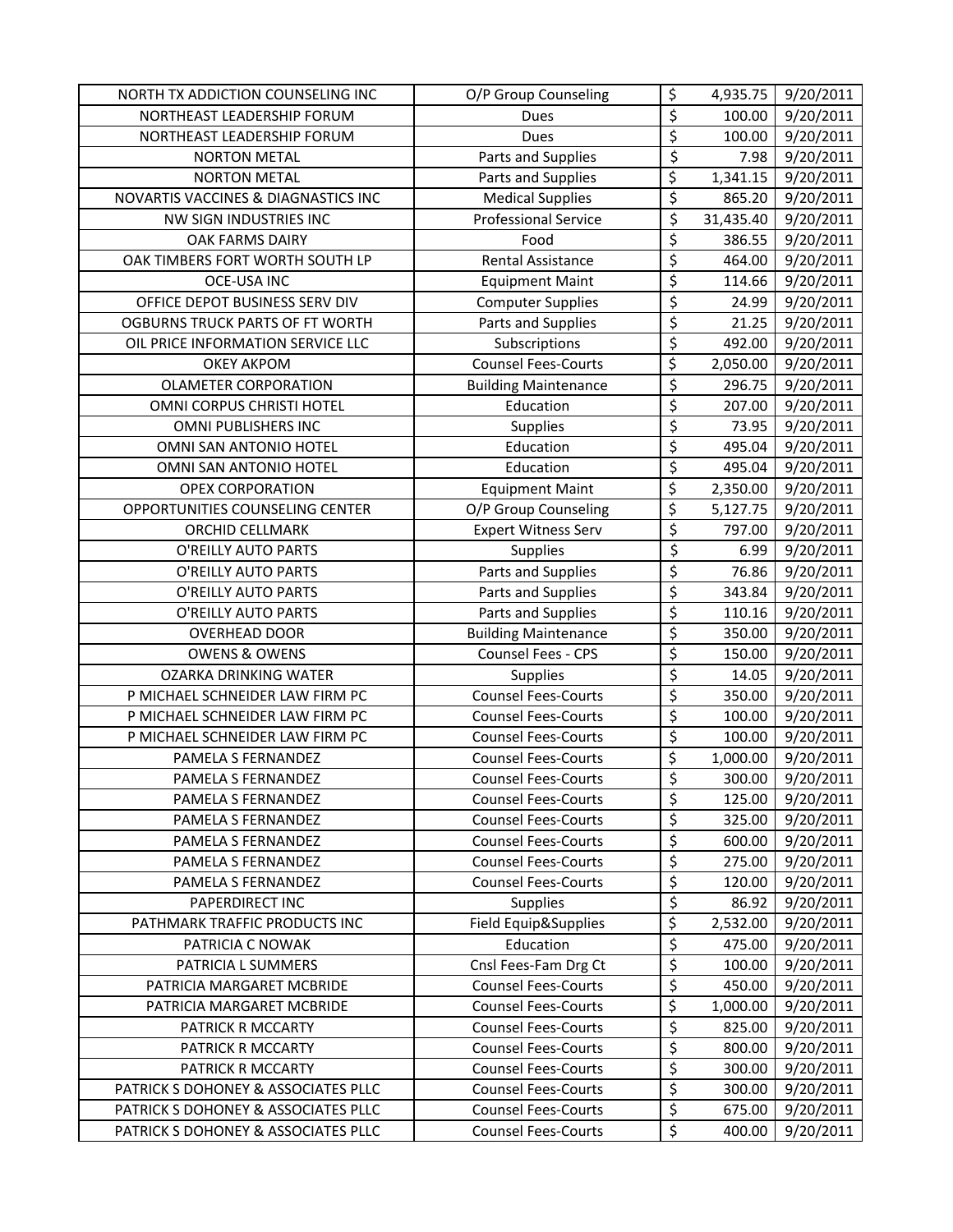| NORTH TX ADDICTION COUNSELING INC   | O/P Group Counseling        | \$                     | 4,935.75  | 9/20/2011 |
|-------------------------------------|-----------------------------|------------------------|-----------|-----------|
| NORTHEAST LEADERSHIP FORUM          | Dues                        | \$                     | 100.00    | 9/20/2011 |
| NORTHEAST LEADERSHIP FORUM          | <b>Dues</b>                 | \$                     | 100.00    | 9/20/2011 |
| <b>NORTON METAL</b>                 | Parts and Supplies          | \$                     | 7.98      | 9/20/2011 |
| <b>NORTON METAL</b>                 | Parts and Supplies          | \$                     | 1,341.15  | 9/20/2011 |
| NOVARTIS VACCINES & DIAGNASTICS INC | <b>Medical Supplies</b>     | $\overline{\xi}$       | 865.20    | 9/20/2011 |
| NW SIGN INDUSTRIES INC              | <b>Professional Service</b> | \$                     | 31,435.40 | 9/20/2011 |
| <b>OAK FARMS DAIRY</b>              | Food                        | \$                     | 386.55    | 9/20/2011 |
| OAK TIMBERS FORT WORTH SOUTH LP     | Rental Assistance           | $\overline{\xi}$       | 464.00    | 9/20/2011 |
| <b>OCE-USA INC</b>                  | <b>Equipment Maint</b>      | $\overline{\xi}$       | 114.66    | 9/20/2011 |
| OFFICE DEPOT BUSINESS SERV DIV      | <b>Computer Supplies</b>    | \$                     | 24.99     | 9/20/2011 |
| OGBURNS TRUCK PARTS OF FT WORTH     | Parts and Supplies          | \$                     | 21.25     | 9/20/2011 |
| OIL PRICE INFORMATION SERVICE LLC   | Subscriptions               | \$                     | 492.00    | 9/20/2011 |
| <b>OKEY AKPOM</b>                   | <b>Counsel Fees-Courts</b>  | $\overline{\varsigma}$ | 2,050.00  | 9/20/2011 |
| <b>OLAMETER CORPORATION</b>         | <b>Building Maintenance</b> | $\overline{\xi}$       | 296.75    | 9/20/2011 |
| OMNI CORPUS CHRISTI HOTEL           | Education                   | $\overline{\xi}$       | 207.00    | 9/20/2011 |
| <b>OMNI PUBLISHERS INC</b>          | Supplies                    | $\overline{\varsigma}$ | 73.95     | 9/20/2011 |
| OMNI SAN ANTONIO HOTEL              | Education                   | $\overline{\xi}$       | 495.04    | 9/20/2011 |
| OMNI SAN ANTONIO HOTEL              | Education                   | $\overline{\xi}$       | 495.04    | 9/20/2011 |
| <b>OPEX CORPORATION</b>             | <b>Equipment Maint</b>      | \$                     | 2,350.00  | 9/20/2011 |
| OPPORTUNITIES COUNSELING CENTER     | O/P Group Counseling        | \$                     | 5,127.75  | 9/20/2011 |
| <b>ORCHID CELLMARK</b>              | <b>Expert Witness Serv</b>  | $\overline{\varsigma}$ | 797.00    | 9/20/2011 |
| O'REILLY AUTO PARTS                 | Supplies                    | $\overline{\xi}$       | 6.99      | 9/20/2011 |
| O'REILLY AUTO PARTS                 | Parts and Supplies          | \$                     | 76.86     | 9/20/2011 |
| O'REILLY AUTO PARTS                 | Parts and Supplies          | $\overline{\xi}$       | 343.84    | 9/20/2011 |
| O'REILLY AUTO PARTS                 | Parts and Supplies          | $\overline{\xi}$       | 110.16    | 9/20/2011 |
| <b>OVERHEAD DOOR</b>                | <b>Building Maintenance</b> | $\overline{\xi}$       | 350.00    | 9/20/2011 |
| <b>OWENS &amp; OWENS</b>            | Counsel Fees - CPS          | \$                     | 150.00    | 9/20/2011 |
| <b>OZARKA DRINKING WATER</b>        | Supplies                    | \$                     | 14.05     | 9/20/2011 |
| P MICHAEL SCHNEIDER LAW FIRM PC     | <b>Counsel Fees-Courts</b>  | $\overline{\xi}$       | 350.00    | 9/20/2011 |
| P MICHAEL SCHNEIDER LAW FIRM PC     | <b>Counsel Fees-Courts</b>  | $\overline{\xi}$       | 100.00    | 9/20/2011 |
| P MICHAEL SCHNEIDER LAW FIRM PC     | <b>Counsel Fees-Courts</b>  | \$                     | 100.00    | 9/20/2011 |
| PAMELA S FERNANDEZ                  | <b>Counsel Fees-Courts</b>  | \$                     | 1,000.00  | 9/20/2011 |
| PAMELA S FERNANDEZ                  | <b>Counsel Fees-Courts</b>  | \$                     | 300.00    | 9/20/2011 |
| PAMELA S FERNANDEZ                  | <b>Counsel Fees-Courts</b>  | \$                     | 125.00    | 9/20/2011 |
| PAMELA S FERNANDEZ                  | <b>Counsel Fees-Courts</b>  | \$                     | 325.00    | 9/20/2011 |
| PAMELA S FERNANDEZ                  | <b>Counsel Fees-Courts</b>  | $\overline{\xi}$       | 600.00    | 9/20/2011 |
| PAMELA S FERNANDEZ                  | <b>Counsel Fees-Courts</b>  | \$                     | 275.00    | 9/20/2011 |
| PAMELA S FERNANDEZ                  | <b>Counsel Fees-Courts</b>  | $\overline{\xi}$       | 120.00    | 9/20/2011 |
| PAPERDIRECT INC                     | <b>Supplies</b>             | $\overline{\varsigma}$ | 86.92     | 9/20/2011 |
| PATHMARK TRAFFIC PRODUCTS INC       | Field Equip&Supplies        | \$                     | 2,532.00  | 9/20/2011 |
| PATRICIA C NOWAK                    | Education                   | \$                     | 475.00    | 9/20/2011 |
| PATRICIA L SUMMERS                  | Cnsl Fees-Fam Drg Ct        | \$                     | 100.00    | 9/20/2011 |
| PATRICIA MARGARET MCBRIDE           | <b>Counsel Fees-Courts</b>  | $\overline{\xi}$       | 450.00    | 9/20/2011 |
| PATRICIA MARGARET MCBRIDE           | <b>Counsel Fees-Courts</b>  | \$                     | 1,000.00  | 9/20/2011 |
| PATRICK R MCCARTY                   | <b>Counsel Fees-Courts</b>  | \$                     | 825.00    | 9/20/2011 |
| PATRICK R MCCARTY                   | <b>Counsel Fees-Courts</b>  | $\overline{\xi}$       | 800.00    | 9/20/2011 |
| PATRICK R MCCARTY                   | <b>Counsel Fees-Courts</b>  | $\overline{\xi}$       | 300.00    | 9/20/2011 |
| PATRICK S DOHONEY & ASSOCIATES PLLC | <b>Counsel Fees-Courts</b>  | $\overline{\xi}$       | 300.00    | 9/20/2011 |
| PATRICK S DOHONEY & ASSOCIATES PLLC | <b>Counsel Fees-Courts</b>  | \$                     | 675.00    | 9/20/2011 |
| PATRICK S DOHONEY & ASSOCIATES PLLC | <b>Counsel Fees-Courts</b>  | \$                     | 400.00    | 9/20/2011 |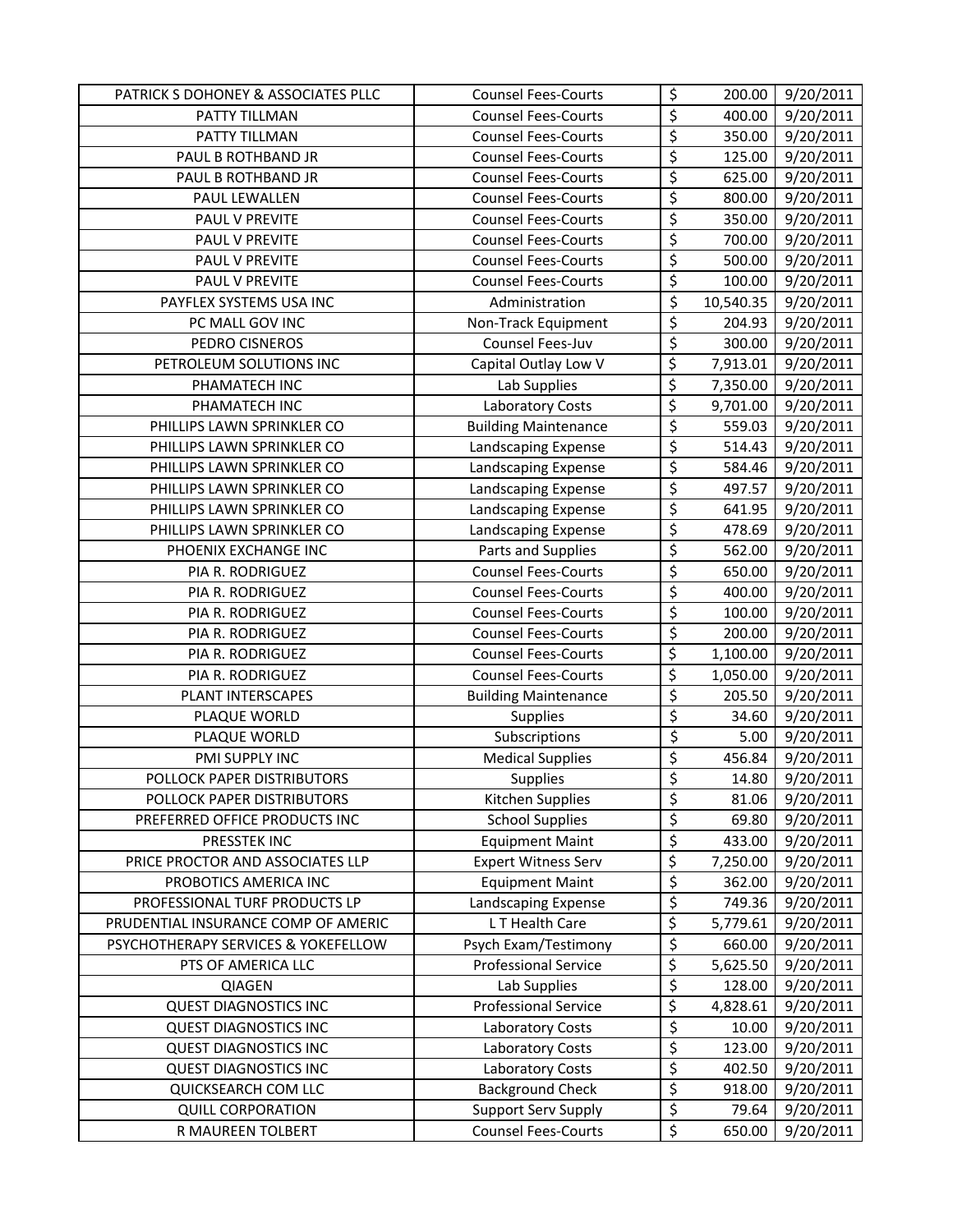| PATRICK S DOHONEY & ASSOCIATES PLLC | <b>Counsel Fees-Courts</b>  | \$                       | 200.00    | 9/20/2011 |
|-------------------------------------|-----------------------------|--------------------------|-----------|-----------|
| PATTY TILLMAN                       | <b>Counsel Fees-Courts</b>  | \$                       | 400.00    | 9/20/2011 |
| PATTY TILLMAN                       | <b>Counsel Fees-Courts</b>  | $\overline{\xi}$         | 350.00    | 9/20/2011 |
| PAUL B ROTHBAND JR                  | <b>Counsel Fees-Courts</b>  | \$                       | 125.00    | 9/20/2011 |
| PAUL B ROTHBAND JR                  | <b>Counsel Fees-Courts</b>  | \$                       | 625.00    | 9/20/2011 |
| PAUL LEWALLEN                       | <b>Counsel Fees-Courts</b>  | \$                       | 800.00    | 9/20/2011 |
| PAUL V PREVITE                      | <b>Counsel Fees-Courts</b>  | \$                       | 350.00    | 9/20/2011 |
| PAUL V PREVITE                      | <b>Counsel Fees-Courts</b>  | \$                       | 700.00    | 9/20/2011 |
| PAUL V PREVITE                      | <b>Counsel Fees-Courts</b>  | \$                       | 500.00    | 9/20/2011 |
| PAUL V PREVITE                      | <b>Counsel Fees-Courts</b>  | \$                       | 100.00    | 9/20/2011 |
| PAYFLEX SYSTEMS USA INC             | Administration              | \$                       | 10,540.35 | 9/20/2011 |
| PC MALL GOV INC                     | Non-Track Equipment         | \$                       | 204.93    | 9/20/2011 |
| PEDRO CISNEROS                      | Counsel Fees-Juv            | \$                       | 300.00    | 9/20/2011 |
| PETROLEUM SOLUTIONS INC             | Capital Outlay Low V        | $\overline{\varsigma}$   | 7,913.01  | 9/20/2011 |
| PHAMATECH INC                       | Lab Supplies                | $\overline{\varsigma}$   | 7,350.00  | 9/20/2011 |
| PHAMATECH INC                       | Laboratory Costs            | \$                       | 9,701.00  | 9/20/2011 |
| PHILLIPS LAWN SPRINKLER CO          | <b>Building Maintenance</b> | \$                       | 559.03    | 9/20/2011 |
| PHILLIPS LAWN SPRINKLER CO          | Landscaping Expense         | \$                       | 514.43    | 9/20/2011 |
| PHILLIPS LAWN SPRINKLER CO          | Landscaping Expense         | \$                       | 584.46    | 9/20/2011 |
| PHILLIPS LAWN SPRINKLER CO          | Landscaping Expense         | \$                       | 497.57    | 9/20/2011 |
| PHILLIPS LAWN SPRINKLER CO          | Landscaping Expense         | \$                       | 641.95    | 9/20/2011 |
| PHILLIPS LAWN SPRINKLER CO          | Landscaping Expense         | \$                       | 478.69    | 9/20/2011 |
| PHOENIX EXCHANGE INC                | Parts and Supplies          | \$                       | 562.00    | 9/20/2011 |
| PIA R. RODRIGUEZ                    | <b>Counsel Fees-Courts</b>  | \$                       | 650.00    | 9/20/2011 |
| PIA R. RODRIGUEZ                    | <b>Counsel Fees-Courts</b>  | \$                       | 400.00    | 9/20/2011 |
| PIA R. RODRIGUEZ                    | <b>Counsel Fees-Courts</b>  | \$                       | 100.00    | 9/20/2011 |
| PIA R. RODRIGUEZ                    | <b>Counsel Fees-Courts</b>  | \$                       | 200.00    | 9/20/2011 |
| PIA R. RODRIGUEZ                    | <b>Counsel Fees-Courts</b>  | \$                       | 1,100.00  | 9/20/2011 |
| PIA R. RODRIGUEZ                    | <b>Counsel Fees-Courts</b>  | $\overline{\xi}$         | 1,050.00  | 9/20/2011 |
| PLANT INTERSCAPES                   | <b>Building Maintenance</b> | \$                       | 205.50    | 9/20/2011 |
| PLAQUE WORLD                        | Supplies                    | $\overline{\xi}$         | 34.60     | 9/20/2011 |
| PLAQUE WORLD                        | Subscriptions               | \$                       | 5.00      | 9/20/2011 |
| PMI SUPPLY INC                      | <b>Medical Supplies</b>     | \$                       | 456.84    | 9/20/2011 |
| POLLOCK PAPER DISTRIBUTORS          | Supplies                    | $\overline{\mathsf{S}}$  | 14.80     | 9/20/2011 |
| POLLOCK PAPER DISTRIBUTORS          | Kitchen Supplies            | \$                       | 81.06     | 9/20/2011 |
| PREFERRED OFFICE PRODUCTS INC       | <b>School Supplies</b>      | \$                       | 69.80     | 9/20/2011 |
| PRESSTEK INC                        | <b>Equipment Maint</b>      | \$                       | 433.00    | 9/20/2011 |
| PRICE PROCTOR AND ASSOCIATES LLP    | <b>Expert Witness Serv</b>  | \$                       | 7,250.00  | 9/20/2011 |
| PROBOTICS AMERICA INC               | <b>Equipment Maint</b>      | \$                       | 362.00    | 9/20/2011 |
| PROFESSIONAL TURF PRODUCTS LP       | Landscaping Expense         | \$                       | 749.36    | 9/20/2011 |
| PRUDENTIAL INSURANCE COMP OF AMERIC | LT Health Care              | $\overline{\mathcal{L}}$ | 5,779.61  | 9/20/2011 |
| PSYCHOTHERAPY SERVICES & YOKEFELLOW | Psych Exam/Testimony        | \$                       | 660.00    | 9/20/2011 |
| PTS OF AMERICA LLC                  | <b>Professional Service</b> | \$                       | 5,625.50  | 9/20/2011 |
| QIAGEN                              | Lab Supplies                | \$                       | 128.00    | 9/20/2011 |
| <b>QUEST DIAGNOSTICS INC</b>        | <b>Professional Service</b> | $\overline{\varsigma}$   | 4,828.61  | 9/20/2011 |
| <b>QUEST DIAGNOSTICS INC</b>        | Laboratory Costs            | $\overline{\xi}$         | 10.00     | 9/20/2011 |
| <b>QUEST DIAGNOSTICS INC</b>        | Laboratory Costs            | \$                       | 123.00    | 9/20/2011 |
| <b>QUEST DIAGNOSTICS INC</b>        | Laboratory Costs            | \$                       | 402.50    | 9/20/2011 |
| QUICKSEARCH COM LLC                 | <b>Background Check</b>     | \$                       | 918.00    | 9/20/2011 |
| <b>QUILL CORPORATION</b>            | Support Serv Supply         | \$                       | 79.64     | 9/20/2011 |
| R MAUREEN TOLBERT                   | <b>Counsel Fees-Courts</b>  | \$                       | 650.00    | 9/20/2011 |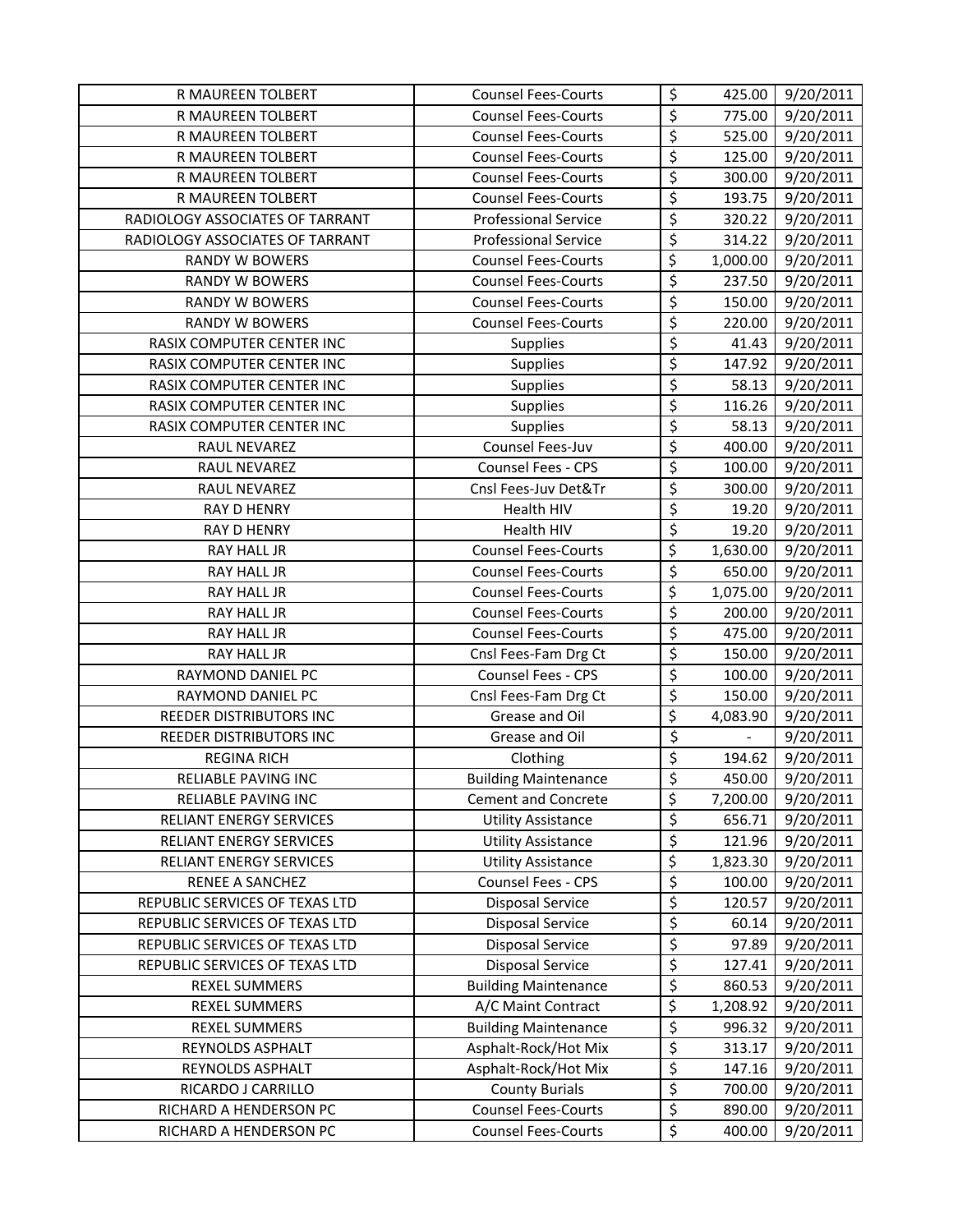| R MAUREEN TOLBERT               | <b>Counsel Fees-Courts</b>  | \$                                  | 425.00                   | 9/20/2011 |
|---------------------------------|-----------------------------|-------------------------------------|--------------------------|-----------|
| R MAUREEN TOLBERT               | <b>Counsel Fees-Courts</b>  | $\overline{\varsigma}$              | 775.00                   | 9/20/2011 |
| R MAUREEN TOLBERT               | <b>Counsel Fees-Courts</b>  | $\overline{\xi}$                    | 525.00                   | 9/20/2011 |
| R MAUREEN TOLBERT               | <b>Counsel Fees-Courts</b>  | $\overline{\mathcal{L}}$            | 125.00                   | 9/20/2011 |
| R MAUREEN TOLBERT               | <b>Counsel Fees-Courts</b>  | \$                                  | 300.00                   | 9/20/2011 |
| R MAUREEN TOLBERT               | <b>Counsel Fees-Courts</b>  | $\overline{\varsigma}$              | 193.75                   | 9/20/2011 |
| RADIOLOGY ASSOCIATES OF TARRANT | <b>Professional Service</b> | $\overline{\boldsymbol{\zeta}}$     | 320.22                   | 9/20/2011 |
| RADIOLOGY ASSOCIATES OF TARRANT | <b>Professional Service</b> | \$                                  | 314.22                   | 9/20/2011 |
| <b>RANDY W BOWERS</b>           | <b>Counsel Fees-Courts</b>  | \$                                  | 1,000.00                 | 9/20/2011 |
| <b>RANDY W BOWERS</b>           | <b>Counsel Fees-Courts</b>  | \$                                  | 237.50                   | 9/20/2011 |
| <b>RANDY W BOWERS</b>           | <b>Counsel Fees-Courts</b>  | $\overline{\xi}$                    | 150.00                   | 9/20/2011 |
| <b>RANDY W BOWERS</b>           | <b>Counsel Fees-Courts</b>  | $\overline{\varsigma}$              | 220.00                   | 9/20/2011 |
| RASIX COMPUTER CENTER INC       | Supplies                    | \$                                  | 41.43                    | 9/20/2011 |
| RASIX COMPUTER CENTER INC       | <b>Supplies</b>             | $\overline{\varsigma}$              | 147.92                   | 9/20/2011 |
| RASIX COMPUTER CENTER INC       | Supplies                    | $\overline{\xi}$                    | 58.13                    | 9/20/2011 |
| RASIX COMPUTER CENTER INC       | Supplies                    | \$                                  | 116.26                   | 9/20/2011 |
| RASIX COMPUTER CENTER INC       | Supplies                    | $\overline{\xi}$                    | 58.13                    | 9/20/2011 |
| RAUL NEVAREZ                    | Counsel Fees-Juv            | \$                                  | 400.00                   | 9/20/2011 |
| RAUL NEVAREZ                    | Counsel Fees - CPS          | $\overline{\varsigma}$              | 100.00                   | 9/20/2011 |
| RAUL NEVAREZ                    | Cnsl Fees-Juv Det&Tr        | $\overline{\varsigma}$              | 300.00                   | 9/20/2011 |
| <b>RAY D HENRY</b>              | Health HIV                  | $\overline{\xi}$                    | 19.20                    | 9/20/2011 |
| <b>RAY D HENRY</b>              | Health HIV                  | $\overline{\varsigma}$              | 19.20                    | 9/20/2011 |
| RAY HALL JR                     | <b>Counsel Fees-Courts</b>  | \$                                  | 1,630.00                 | 9/20/2011 |
| RAY HALL JR                     | <b>Counsel Fees-Courts</b>  | \$                                  | 650.00                   | 9/20/2011 |
| <b>RAY HALL JR</b>              | <b>Counsel Fees-Courts</b>  | \$                                  | 1,075.00                 | 9/20/2011 |
| <b>RAY HALL JR</b>              | <b>Counsel Fees-Courts</b>  | $\overline{\xi}$                    | 200.00                   | 9/20/2011 |
| RAY HALL JR                     | <b>Counsel Fees-Courts</b>  | \$                                  | 475.00                   | 9/20/2011 |
| RAY HALL JR                     | Cnsl Fees-Fam Drg Ct        | \$                                  | 150.00                   | 9/20/2011 |
| RAYMOND DANIEL PC               | Counsel Fees - CPS          | $\overline{\boldsymbol{\zeta}}$     | 100.00                   | 9/20/2011 |
| RAYMOND DANIEL PC               | Cnsl Fees-Fam Drg Ct        | \$                                  | 150.00                   | 9/20/2011 |
| REEDER DISTRIBUTORS INC         | Grease and Oil              | \$                                  | 4,083.90                 | 9/20/2011 |
| REEDER DISTRIBUTORS INC         | Grease and Oil              | $\overline{\boldsymbol{\varsigma}}$ | $\overline{\phantom{a}}$ | 9/20/2011 |
| <b>REGINA RICH</b>              | Clothing                    | $\overline{\xi}$                    | 194.62                   | 9/20/2011 |
| RELIABLE PAVING INC             | <b>Building Maintenance</b> | \$                                  | 450.00                   | 9/20/2011 |
| RELIABLE PAVING INC             | <b>Cement and Concrete</b>  | \$                                  | 7,200.00                 | 9/20/2011 |
| RELIANT ENERGY SERVICES         | <b>Utility Assistance</b>   | \$                                  | 656.71                   | 9/20/2011 |
| RELIANT ENERGY SERVICES         | <b>Utility Assistance</b>   | $\overline{\xi}$                    | 121.96                   | 9/20/2011 |
| RELIANT ENERGY SERVICES         | <b>Utility Assistance</b>   | \$                                  | 1,823.30                 | 9/20/2011 |
| <b>RENEE A SANCHEZ</b>          | Counsel Fees - CPS          | \$                                  | 100.00                   | 9/20/2011 |
| REPUBLIC SERVICES OF TEXAS LTD  | <b>Disposal Service</b>     | \$                                  | 120.57                   | 9/20/2011 |
| REPUBLIC SERVICES OF TEXAS LTD  | <b>Disposal Service</b>     | $\overline{\xi}$                    | 60.14                    | 9/20/2011 |
| REPUBLIC SERVICES OF TEXAS LTD  | <b>Disposal Service</b>     | \$                                  | 97.89                    | 9/20/2011 |
| REPUBLIC SERVICES OF TEXAS LTD  | <b>Disposal Service</b>     | \$                                  | 127.41                   | 9/20/2011 |
| REXEL SUMMERS                   | <b>Building Maintenance</b> | \$                                  | 860.53                   | 9/20/2011 |
| REXEL SUMMERS                   | A/C Maint Contract          | \$                                  | 1,208.92                 | 9/20/2011 |
| <b>REXEL SUMMERS</b>            | <b>Building Maintenance</b> | \$                                  | 996.32                   | 9/20/2011 |
| REYNOLDS ASPHALT                | Asphalt-Rock/Hot Mix        | \$                                  | 313.17                   | 9/20/2011 |
| REYNOLDS ASPHALT                | Asphalt-Rock/Hot Mix        | \$                                  | 147.16                   | 9/20/2011 |
| RICARDO J CARRILLO              | <b>County Burials</b>       | $\overline{\boldsymbol{\zeta}}$     | 700.00                   | 9/20/2011 |
| RICHARD A HENDERSON PC          | <b>Counsel Fees-Courts</b>  | \$                                  | 890.00                   | 9/20/2011 |
| RICHARD A HENDERSON PC          | <b>Counsel Fees-Courts</b>  | \$                                  | 400.00                   | 9/20/2011 |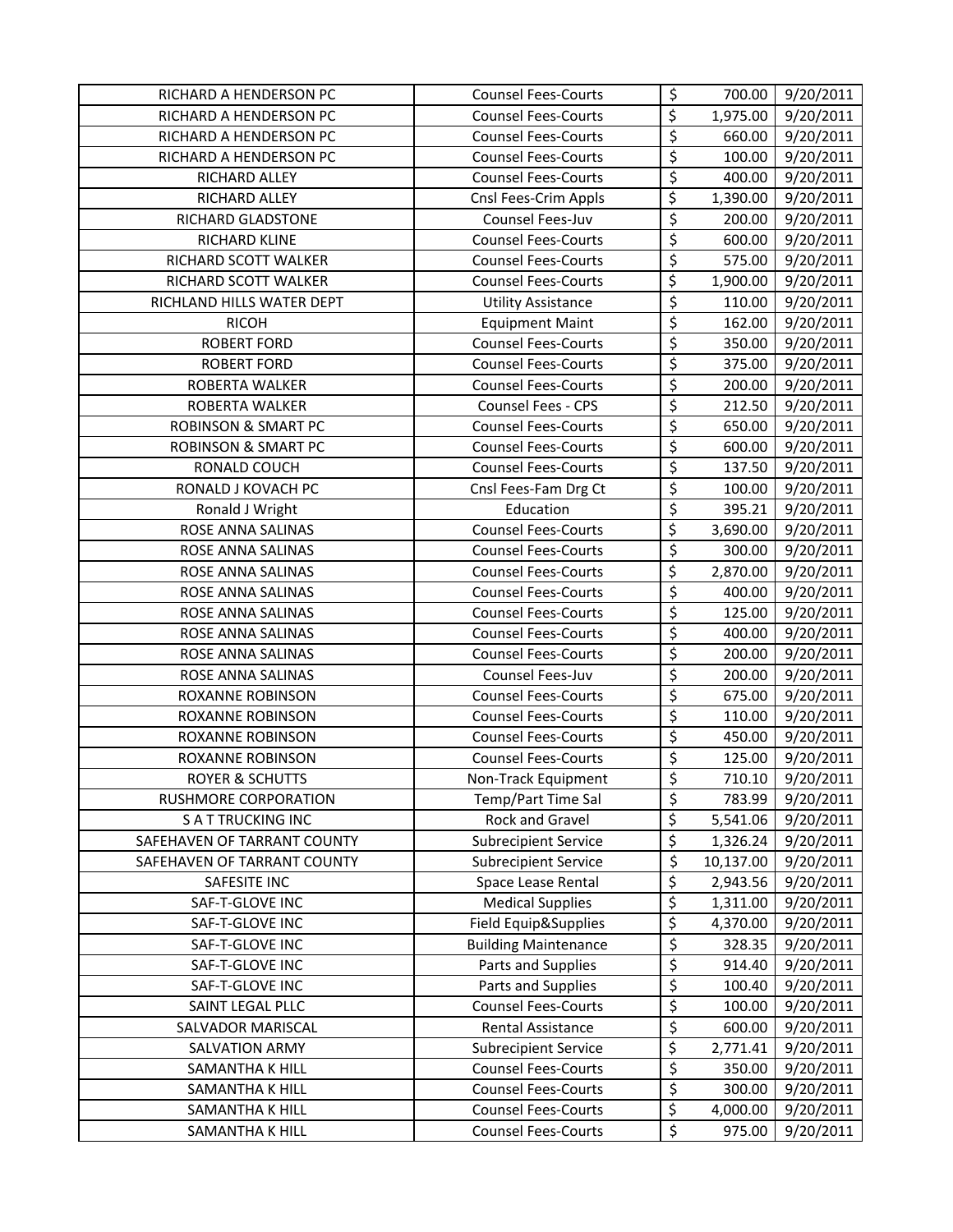| RICHARD A HENDERSON PC         | <b>Counsel Fees-Courts</b>  | \$                              | 700.00    | 9/20/2011 |
|--------------------------------|-----------------------------|---------------------------------|-----------|-----------|
| RICHARD A HENDERSON PC         | <b>Counsel Fees-Courts</b>  | $\overline{\xi}$                | 1,975.00  | 9/20/2011 |
| RICHARD A HENDERSON PC         | <b>Counsel Fees-Courts</b>  | $\overline{\xi}$                | 660.00    | 9/20/2011 |
| RICHARD A HENDERSON PC         | <b>Counsel Fees-Courts</b>  | \$                              | 100.00    | 9/20/2011 |
| RICHARD ALLEY                  | <b>Counsel Fees-Courts</b>  | \$                              | 400.00    | 9/20/2011 |
| RICHARD ALLEY                  | Cnsl Fees-Crim Appls        | \$                              | 1,390.00  | 9/20/2011 |
| RICHARD GLADSTONE              | Counsel Fees-Juv            | \$                              | 200.00    | 9/20/2011 |
| RICHARD KLINE                  | <b>Counsel Fees-Courts</b>  | \$                              | 600.00    | 9/20/2011 |
| RICHARD SCOTT WALKER           | <b>Counsel Fees-Courts</b>  | $\overline{\xi}$                | 575.00    | 9/20/2011 |
| RICHARD SCOTT WALKER           | <b>Counsel Fees-Courts</b>  | \$                              | 1,900.00  | 9/20/2011 |
| RICHLAND HILLS WATER DEPT      | <b>Utility Assistance</b>   | $\overline{\xi}$                | 110.00    | 9/20/2011 |
| <b>RICOH</b>                   | <b>Equipment Maint</b>      | \$                              | 162.00    | 9/20/2011 |
| <b>ROBERT FORD</b>             | <b>Counsel Fees-Courts</b>  | \$                              | 350.00    | 9/20/2011 |
| <b>ROBERT FORD</b>             | <b>Counsel Fees-Courts</b>  | $\overline{\boldsymbol{\zeta}}$ | 375.00    | 9/20/2011 |
| ROBERTA WALKER                 | <b>Counsel Fees-Courts</b>  | \$                              | 200.00    | 9/20/2011 |
| ROBERTA WALKER                 | Counsel Fees - CPS          | $\overline{\boldsymbol{\zeta}}$ | 212.50    | 9/20/2011 |
| <b>ROBINSON &amp; SMART PC</b> | <b>Counsel Fees-Courts</b>  | \$                              | 650.00    | 9/20/2011 |
| <b>ROBINSON &amp; SMART PC</b> | <b>Counsel Fees-Courts</b>  | \$                              | 600.00    | 9/20/2011 |
| RONALD COUCH                   | <b>Counsel Fees-Courts</b>  | $\overline{\boldsymbol{\zeta}}$ | 137.50    | 9/20/2011 |
| RONALD J KOVACH PC             | Cnsl Fees-Fam Drg Ct        | $\overline{\varsigma}$          | 100.00    | 9/20/2011 |
| Ronald J Wright                | Education                   | $\overline{\varsigma}$          | 395.21    | 9/20/2011 |
| ROSE ANNA SALINAS              | <b>Counsel Fees-Courts</b>  | \$                              | 3,690.00  | 9/20/2011 |
| ROSE ANNA SALINAS              | <b>Counsel Fees-Courts</b>  | $\overline{\boldsymbol{\zeta}}$ | 300.00    | 9/20/2011 |
| ROSE ANNA SALINAS              | <b>Counsel Fees-Courts</b>  | \$                              | 2,870.00  | 9/20/2011 |
| ROSE ANNA SALINAS              | <b>Counsel Fees-Courts</b>  | \$                              | 400.00    | 9/20/2011 |
| ROSE ANNA SALINAS              | <b>Counsel Fees-Courts</b>  | \$                              | 125.00    | 9/20/2011 |
| ROSE ANNA SALINAS              | <b>Counsel Fees-Courts</b>  | \$                              | 400.00    | 9/20/2011 |
| ROSE ANNA SALINAS              | <b>Counsel Fees-Courts</b>  | $\overline{\xi}$                | 200.00    | 9/20/2011 |
| ROSE ANNA SALINAS              | Counsel Fees-Juv            | $\overline{\varsigma}$          | 200.00    | 9/20/2011 |
| <b>ROXANNE ROBINSON</b>        | <b>Counsel Fees-Courts</b>  | \$                              | 675.00    | 9/20/2011 |
| ROXANNE ROBINSON               | <b>Counsel Fees-Courts</b>  | \$                              | 110.00    | 9/20/2011 |
| <b>ROXANNE ROBINSON</b>        | <b>Counsel Fees-Courts</b>  | $\overline{\boldsymbol{\zeta}}$ | 450.00    | 9/20/2011 |
| <b>ROXANNE ROBINSON</b>        | <b>Counsel Fees-Courts</b>  | \$                              | 125.00    | 9/20/2011 |
| <b>ROYER &amp; SCHUTTS</b>     | Non-Track Equipment         | $\zeta$                         | 710.10    | 9/20/2011 |
| RUSHMORE CORPORATION           | Temp/Part Time Sal          | \$                              | 783.99    | 9/20/2011 |
| <b>SATTRUCKING INC</b>         | Rock and Gravel             | \$                              | 5,541.06  | 9/20/2011 |
| SAFEHAVEN OF TARRANT COUNTY    | <b>Subrecipient Service</b> | $\overline{\xi}$                | 1,326.24  | 9/20/2011 |
| SAFEHAVEN OF TARRANT COUNTY    | Subrecipient Service        | \$                              | 10,137.00 | 9/20/2011 |
| SAFESITE INC                   | Space Lease Rental          | \$                              | 2,943.56  | 9/20/2011 |
| SAF-T-GLOVE INC                | <b>Medical Supplies</b>     | \$                              | 1,311.00  | 9/20/2011 |
| SAF-T-GLOVE INC                | Field Equip&Supplies        | $\overline{\mathcal{L}}$        | 4,370.00  | 9/20/2011 |
| SAF-T-GLOVE INC                | <b>Building Maintenance</b> | \$                              | 328.35    | 9/20/2011 |
| SAF-T-GLOVE INC                | Parts and Supplies          | \$                              | 914.40    | 9/20/2011 |
| SAF-T-GLOVE INC                | Parts and Supplies          | \$                              | 100.40    | 9/20/2011 |
| SAINT LEGAL PLLC               | <b>Counsel Fees-Courts</b>  | \$                              | 100.00    | 9/20/2011 |
| SALVADOR MARISCAL              | Rental Assistance           | \$                              | 600.00    | 9/20/2011 |
| SALVATION ARMY                 | <b>Subrecipient Service</b> | \$                              | 2,771.41  | 9/20/2011 |
| SAMANTHA K HILL                | <b>Counsel Fees-Courts</b>  | \$                              | 350.00    | 9/20/2011 |
| SAMANTHA K HILL                | <b>Counsel Fees-Courts</b>  | \$                              | 300.00    | 9/20/2011 |
| SAMANTHA K HILL                | <b>Counsel Fees-Courts</b>  | \$                              | 4,000.00  | 9/20/2011 |
| SAMANTHA K HILL                | <b>Counsel Fees-Courts</b>  | \$                              | 975.00    | 9/20/2011 |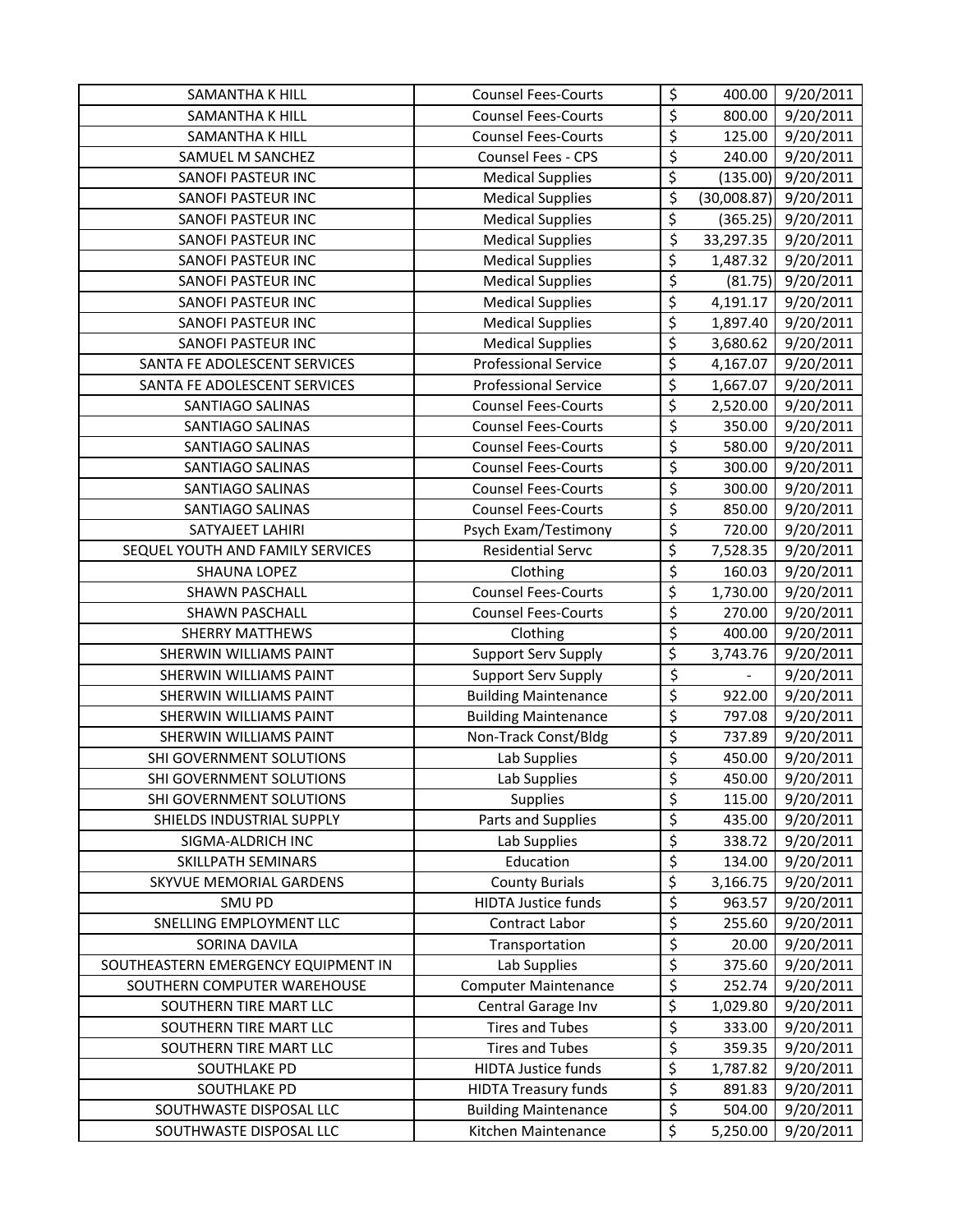| SAMANTHA K HILL                     | <b>Counsel Fees-Courts</b>  | \$                     | 400.00      | 9/20/2011 |
|-------------------------------------|-----------------------------|------------------------|-------------|-----------|
| SAMANTHA K HILL                     | <b>Counsel Fees-Courts</b>  | \$                     | 800.00      | 9/20/2011 |
| SAMANTHA K HILL                     | <b>Counsel Fees-Courts</b>  | \$                     | 125.00      | 9/20/2011 |
| SAMUEL M SANCHEZ                    | Counsel Fees - CPS          | \$                     | 240.00      | 9/20/2011 |
| SANOFI PASTEUR INC                  | <b>Medical Supplies</b>     | $\overline{\xi}$       | (135.00)    | 9/20/2011 |
| SANOFI PASTEUR INC                  | <b>Medical Supplies</b>     | \$                     | (30,008.87) | 9/20/2011 |
| SANOFI PASTEUR INC                  | <b>Medical Supplies</b>     | \$                     | (365.25)    | 9/20/2011 |
| SANOFI PASTEUR INC                  | <b>Medical Supplies</b>     | \$                     | 33,297.35   | 9/20/2011 |
| SANOFI PASTEUR INC                  | <b>Medical Supplies</b>     | \$                     | 1,487.32    | 9/20/2011 |
| SANOFI PASTEUR INC                  | <b>Medical Supplies</b>     | \$                     | (81.75)     | 9/20/2011 |
| SANOFI PASTEUR INC                  | <b>Medical Supplies</b>     | $\overline{\xi}$       | 4,191.17    | 9/20/2011 |
| SANOFI PASTEUR INC                  | <b>Medical Supplies</b>     | \$                     | 1,897.40    | 9/20/2011 |
| SANOFI PASTEUR INC                  | <b>Medical Supplies</b>     | \$                     | 3,680.62    | 9/20/2011 |
| SANTA FE ADOLESCENT SERVICES        | <b>Professional Service</b> | $\overline{\xi}$       | 4,167.07    | 9/20/2011 |
| SANTA FE ADOLESCENT SERVICES        | <b>Professional Service</b> | $\overline{\xi}$       | 1,667.07    | 9/20/2011 |
| SANTIAGO SALINAS                    | <b>Counsel Fees-Courts</b>  | \$                     | 2,520.00    | 9/20/2011 |
| <b>SANTIAGO SALINAS</b>             | <b>Counsel Fees-Courts</b>  | \$                     | 350.00      | 9/20/2011 |
| <b>SANTIAGO SALINAS</b>             | <b>Counsel Fees-Courts</b>  | \$                     | 580.00      | 9/20/2011 |
| SANTIAGO SALINAS                    | <b>Counsel Fees-Courts</b>  | \$                     | 300.00      | 9/20/2011 |
| SANTIAGO SALINAS                    | <b>Counsel Fees-Courts</b>  | \$                     | 300.00      | 9/20/2011 |
| SANTIAGO SALINAS                    | <b>Counsel Fees-Courts</b>  | \$                     | 850.00      | 9/20/2011 |
| SATYAJEET LAHIRI                    | Psych Exam/Testimony        | \$                     | 720.00      | 9/20/2011 |
| SEQUEL YOUTH AND FAMILY SERVICES    | <b>Residential Servc</b>    | $\overline{\varsigma}$ | 7,528.35    | 9/20/2011 |
| <b>SHAUNA LOPEZ</b>                 | Clothing                    | \$                     | 160.03      | 9/20/2011 |
| <b>SHAWN PASCHALL</b>               | <b>Counsel Fees-Courts</b>  | \$                     | 1,730.00    | 9/20/2011 |
| <b>SHAWN PASCHALL</b>               | <b>Counsel Fees-Courts</b>  | \$                     | 270.00      | 9/20/2011 |
| <b>SHERRY MATTHEWS</b>              | Clothing                    | \$                     | 400.00      | 9/20/2011 |
| SHERWIN WILLIAMS PAINT              | <b>Support Serv Supply</b>  | \$                     | 3,743.76    | 9/20/2011 |
| SHERWIN WILLIAMS PAINT              | <b>Support Serv Supply</b>  | $\overline{\varsigma}$ |             | 9/20/2011 |
| SHERWIN WILLIAMS PAINT              | <b>Building Maintenance</b> | $\overline{\xi}$       | 922.00      | 9/20/2011 |
| SHERWIN WILLIAMS PAINT              | <b>Building Maintenance</b> | \$                     | 797.08      | 9/20/2011 |
| SHERWIN WILLIAMS PAINT              | Non-Track Const/Bldg        | \$                     | 737.89      | 9/20/2011 |
| SHI GOVERNMENT SOLUTIONS            | Lab Supplies                | \$                     | 450.00      | 9/20/2011 |
| SHI GOVERNMENT SOLUTIONS            | Lab Supplies                | \$                     | 450.00      | 9/20/2011 |
| SHI GOVERNMENT SOLUTIONS            | Supplies                    | \$                     | 115.00      | 9/20/2011 |
| SHIELDS INDUSTRIAL SUPPLY           | Parts and Supplies          | \$                     | 435.00      | 9/20/2011 |
| SIGMA-ALDRICH INC                   | Lab Supplies                | \$                     | 338.72      | 9/20/2011 |
| SKILLPATH SEMINARS                  | Education                   | \$                     | 134.00      | 9/20/2011 |
| <b>SKYVUE MEMORIAL GARDENS</b>      | <b>County Burials</b>       | $\overline{\varsigma}$ | 3,166.75    | 9/20/2011 |
| SMU PD                              | <b>HIDTA Justice funds</b>  | \$                     | 963.57      | 9/20/2011 |
| SNELLING EMPLOYMENT LLC             | Contract Labor              | \$                     | 255.60      | 9/20/2011 |
| SORINA DAVILA                       | Transportation              | \$                     | 20.00       | 9/20/2011 |
| SOUTHEASTERN EMERGENCY EQUIPMENT IN | Lab Supplies                | \$                     | 375.60      | 9/20/2011 |
| SOUTHERN COMPUTER WAREHOUSE         | <b>Computer Maintenance</b> | \$                     | 252.74      | 9/20/2011 |
| SOUTHERN TIRE MART LLC              | Central Garage Inv          | \$                     | 1,029.80    | 9/20/2011 |
| SOUTHERN TIRE MART LLC              | <b>Tires and Tubes</b>      | \$                     | 333.00      | 9/20/2011 |
| SOUTHERN TIRE MART LLC              | <b>Tires and Tubes</b>      | \$                     | 359.35      | 9/20/2011 |
| SOUTHLAKE PD                        | <b>HIDTA Justice funds</b>  | \$                     | 1,787.82    | 9/20/2011 |
| SOUTHLAKE PD                        | <b>HIDTA Treasury funds</b> | \$                     | 891.83      | 9/20/2011 |
| SOUTHWASTE DISPOSAL LLC             | <b>Building Maintenance</b> | \$                     | 504.00      | 9/20/2011 |
| SOUTHWASTE DISPOSAL LLC             | Kitchen Maintenance         | \$                     | 5,250.00    | 9/20/2011 |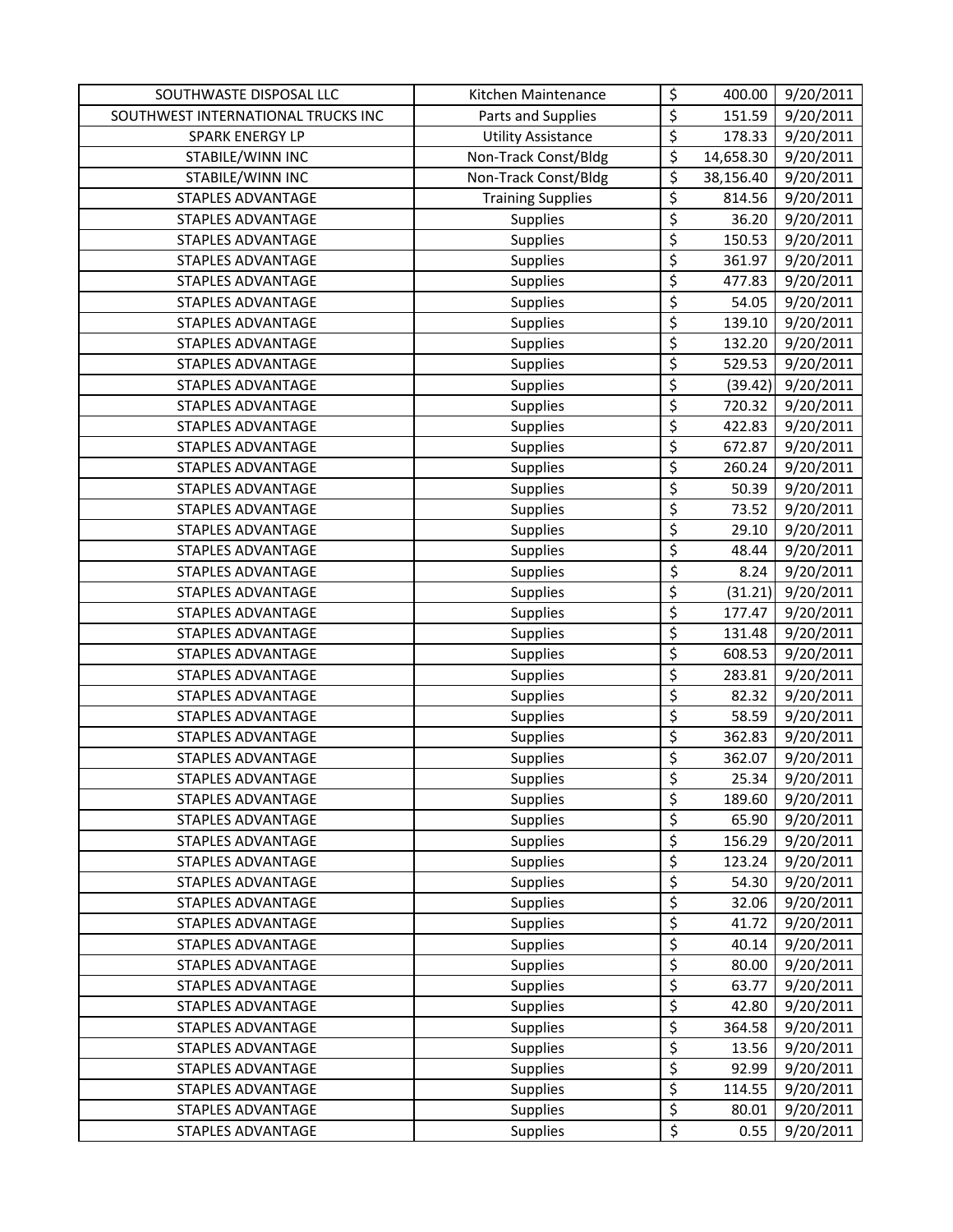| SOUTHWASTE DISPOSAL LLC            | Kitchen Maintenance       | \$                      | 400.00    | 9/20/2011 |
|------------------------------------|---------------------------|-------------------------|-----------|-----------|
| SOUTHWEST INTERNATIONAL TRUCKS INC | Parts and Supplies        | \$                      | 151.59    | 9/20/2011 |
| SPARK ENERGY LP                    | <b>Utility Assistance</b> | \$                      | 178.33    | 9/20/2011 |
| STABILE/WINN INC                   | Non-Track Const/Bldg      | \$                      | 14,658.30 | 9/20/2011 |
| STABILE/WINN INC                   | Non-Track Const/Bldg      | \$                      | 38,156.40 | 9/20/2011 |
| <b>STAPLES ADVANTAGE</b>           | <b>Training Supplies</b>  | \$                      | 814.56    | 9/20/2011 |
| STAPLES ADVANTAGE                  | Supplies                  | \$                      | 36.20     | 9/20/2011 |
| <b>STAPLES ADVANTAGE</b>           | Supplies                  | \$                      | 150.53    | 9/20/2011 |
| <b>STAPLES ADVANTAGE</b>           | Supplies                  | \$                      | 361.97    | 9/20/2011 |
| <b>STAPLES ADVANTAGE</b>           | Supplies                  | \$                      | 477.83    | 9/20/2011 |
| STAPLES ADVANTAGE                  | <b>Supplies</b>           | \$                      | 54.05     | 9/20/2011 |
| STAPLES ADVANTAGE                  | Supplies                  | \$                      | 139.10    | 9/20/2011 |
| STAPLES ADVANTAGE                  | <b>Supplies</b>           | \$                      | 132.20    | 9/20/2011 |
| STAPLES ADVANTAGE                  | Supplies                  | \$                      | 529.53    | 9/20/2011 |
| STAPLES ADVANTAGE                  | Supplies                  | \$                      | (39.42)   | 9/20/2011 |
| STAPLES ADVANTAGE                  | <b>Supplies</b>           | \$                      | 720.32    | 9/20/2011 |
| STAPLES ADVANTAGE                  | Supplies                  | \$                      | 422.83    | 9/20/2011 |
| STAPLES ADVANTAGE                  | Supplies                  | \$                      | 672.87    | 9/20/2011 |
| STAPLES ADVANTAGE                  | <b>Supplies</b>           | \$                      | 260.24    | 9/20/2011 |
| STAPLES ADVANTAGE                  | <b>Supplies</b>           | \$                      | 50.39     | 9/20/2011 |
| <b>STAPLES ADVANTAGE</b>           | Supplies                  | $\overline{\varsigma}$  | 73.52     | 9/20/2011 |
| STAPLES ADVANTAGE                  | Supplies                  | \$                      | 29.10     | 9/20/2011 |
| STAPLES ADVANTAGE                  | Supplies                  | \$                      | 48.44     | 9/20/2011 |
| STAPLES ADVANTAGE                  | <b>Supplies</b>           | \$                      | 8.24      | 9/20/2011 |
| STAPLES ADVANTAGE                  | <b>Supplies</b>           | \$                      | (31.21)   | 9/20/2011 |
| STAPLES ADVANTAGE                  | <b>Supplies</b>           | \$                      | 177.47    | 9/20/2011 |
| STAPLES ADVANTAGE                  | <b>Supplies</b>           | \$                      | 131.48    | 9/20/2011 |
| STAPLES ADVANTAGE                  | Supplies                  | $\overline{\xi}$        | 608.53    | 9/20/2011 |
| STAPLES ADVANTAGE                  | <b>Supplies</b>           | \$                      | 283.81    | 9/20/2011 |
| <b>STAPLES ADVANTAGE</b>           | Supplies                  | \$                      | 82.32     | 9/20/2011 |
| STAPLES ADVANTAGE                  | Supplies                  | $\overline{\varsigma}$  | 58.59     | 9/20/2011 |
| STAPLES ADVANTAGE                  | Supplies                  | \$                      | 362.83    | 9/20/2011 |
| STAPLES ADVANTAGE                  | Supplies                  | \$                      | 362.07    | 9/20/2011 |
| STAPLES ADVANTAGE                  | Supplies                  | $\overline{\mathsf{S}}$ | 25.34     | 9/20/2011 |
| STAPLES ADVANTAGE                  | <b>Supplies</b>           | \$                      | 189.60    | 9/20/2011 |
| STAPLES ADVANTAGE                  | Supplies                  | \$                      | 65.90     | 9/20/2011 |
| <b>STAPLES ADVANTAGE</b>           | Supplies                  | \$                      | 156.29    | 9/20/2011 |
| <b>STAPLES ADVANTAGE</b>           | Supplies                  | \$                      | 123.24    | 9/20/2011 |
| STAPLES ADVANTAGE                  | Supplies                  | \$                      | 54.30     | 9/20/2011 |
| STAPLES ADVANTAGE                  | Supplies                  | \$                      | 32.06     | 9/20/2011 |
| STAPLES ADVANTAGE                  | Supplies                  | \$                      | 41.72     | 9/20/2011 |
| STAPLES ADVANTAGE                  | Supplies                  | \$                      | 40.14     | 9/20/2011 |
| STAPLES ADVANTAGE                  | <b>Supplies</b>           | \$                      | 80.00     | 9/20/2011 |
| STAPLES ADVANTAGE                  | <b>Supplies</b>           | \$                      | 63.77     | 9/20/2011 |
| STAPLES ADVANTAGE                  | Supplies                  | $\overline{\varsigma}$  | 42.80     | 9/20/2011 |
| STAPLES ADVANTAGE                  | <b>Supplies</b>           | \$                      | 364.58    | 9/20/2011 |
| STAPLES ADVANTAGE                  | Supplies                  | \$                      | 13.56     | 9/20/2011 |
| STAPLES ADVANTAGE                  | <b>Supplies</b>           | \$                      | 92.99     | 9/20/2011 |
| STAPLES ADVANTAGE                  | Supplies                  | \$                      | 114.55    | 9/20/2011 |
| STAPLES ADVANTAGE                  | Supplies                  | \$                      | 80.01     | 9/20/2011 |
| STAPLES ADVANTAGE                  | Supplies                  | \$                      | 0.55      | 9/20/2011 |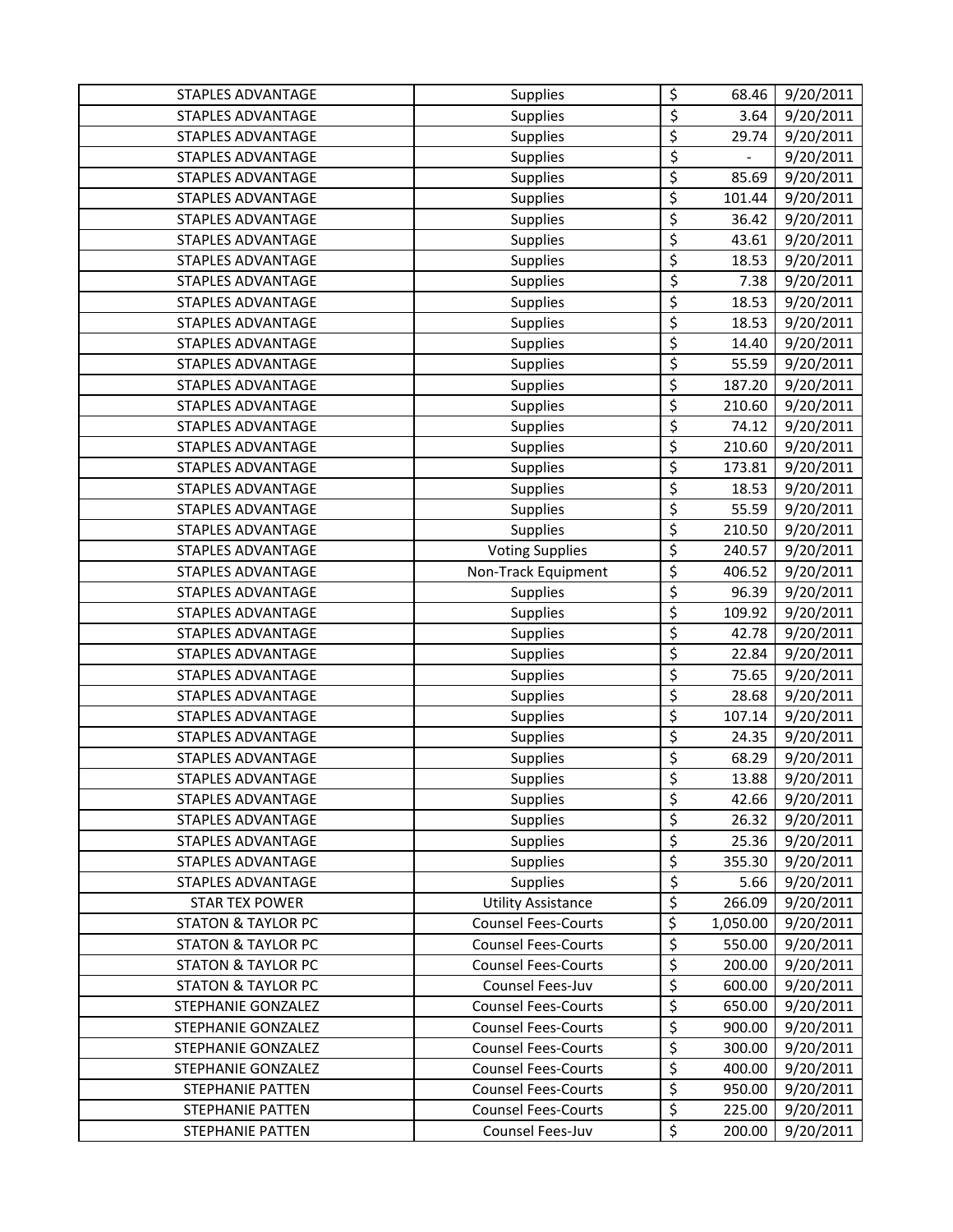| STAPLES ADVANTAGE             | <b>Supplies</b>            | \$                       | 68.46    | 9/20/2011 |
|-------------------------------|----------------------------|--------------------------|----------|-----------|
| STAPLES ADVANTAGE             | Supplies                   | \$                       | 3.64     | 9/20/2011 |
| STAPLES ADVANTAGE             | <b>Supplies</b>            | \$                       | 29.74    | 9/20/2011 |
| STAPLES ADVANTAGE             | Supplies                   | $\overline{\xi}$         | $\equiv$ | 9/20/2011 |
| <b>STAPLES ADVANTAGE</b>      | <b>Supplies</b>            | \$                       | 85.69    | 9/20/2011 |
| STAPLES ADVANTAGE             | Supplies                   | \$                       | 101.44   | 9/20/2011 |
| <b>STAPLES ADVANTAGE</b>      | Supplies                   | \$                       | 36.42    | 9/20/2011 |
| STAPLES ADVANTAGE             | Supplies                   | $\overline{\varsigma}$   | 43.61    | 9/20/2011 |
| <b>STAPLES ADVANTAGE</b>      | Supplies                   | \$                       | 18.53    | 9/20/2011 |
| <b>STAPLES ADVANTAGE</b>      | Supplies                   | $\overline{\varsigma}$   | 7.38     | 9/20/2011 |
| STAPLES ADVANTAGE             | <b>Supplies</b>            | \$                       | 18.53    | 9/20/2011 |
| STAPLES ADVANTAGE             | Supplies                   | $\overline{\varsigma}$   | 18.53    | 9/20/2011 |
| STAPLES ADVANTAGE             | <b>Supplies</b>            | $\overline{\varsigma}$   | 14.40    | 9/20/2011 |
| STAPLES ADVANTAGE             | Supplies                   | \$                       | 55.59    | 9/20/2011 |
| STAPLES ADVANTAGE             | Supplies                   | \$                       | 187.20   | 9/20/2011 |
| STAPLES ADVANTAGE             | Supplies                   | \$                       | 210.60   | 9/20/2011 |
| STAPLES ADVANTAGE             | Supplies                   | \$                       | 74.12    | 9/20/2011 |
| STAPLES ADVANTAGE             | Supplies                   | \$                       | 210.60   | 9/20/2011 |
| <b>STAPLES ADVANTAGE</b>      | <b>Supplies</b>            | \$                       | 173.81   | 9/20/2011 |
| STAPLES ADVANTAGE             | <b>Supplies</b>            | \$                       | 18.53    | 9/20/2011 |
| STAPLES ADVANTAGE             | <b>Supplies</b>            | $\overline{\varsigma}$   | 55.59    | 9/20/2011 |
| <b>STAPLES ADVANTAGE</b>      | Supplies                   | \$                       | 210.50   | 9/20/2011 |
| STAPLES ADVANTAGE             | <b>Voting Supplies</b>     | \$                       | 240.57   | 9/20/2011 |
| STAPLES ADVANTAGE             | Non-Track Equipment        | \$                       | 406.52   | 9/20/2011 |
| STAPLES ADVANTAGE             | <b>Supplies</b>            | \$                       | 96.39    | 9/20/2011 |
| STAPLES ADVANTAGE             | <b>Supplies</b>            | \$                       | 109.92   | 9/20/2011 |
| STAPLES ADVANTAGE             | <b>Supplies</b>            | $\overline{\mathcal{L}}$ | 42.78    | 9/20/2011 |
| STAPLES ADVANTAGE             | Supplies                   | $\overline{\mathcal{L}}$ | 22.84    | 9/20/2011 |
| STAPLES ADVANTAGE             | <b>Supplies</b>            | $\overline{\varsigma}$   | 75.65    | 9/20/2011 |
| <b>STAPLES ADVANTAGE</b>      | Supplies                   | \$                       | 28.68    | 9/20/2011 |
| STAPLES ADVANTAGE             | Supplies                   | \$                       | 107.14   | 9/20/2011 |
| STAPLES ADVANTAGE             | Supplies                   | \$                       | 24.35    | 9/20/2011 |
| STAPLES ADVANTAGE             | Supplies                   | \$                       | 68.29    | 9/20/2011 |
| STAPLES ADVANTAGE             | Supplies                   | $\overline{\mathsf{S}}$  | 13.88    | 9/20/2011 |
| STAPLES ADVANTAGE             | <b>Supplies</b>            | $\overline{\xi}$         | 42.66    | 9/20/2011 |
| STAPLES ADVANTAGE             | <b>Supplies</b>            | \$                       | 26.32    | 9/20/2011 |
| <b>STAPLES ADVANTAGE</b>      | <b>Supplies</b>            | $\overline{\xi}$         | 25.36    | 9/20/2011 |
| STAPLES ADVANTAGE             | Supplies                   | \$                       | 355.30   | 9/20/2011 |
| <b>STAPLES ADVANTAGE</b>      | Supplies                   | \$                       | 5.66     | 9/20/2011 |
| <b>STAR TEX POWER</b>         | <b>Utility Assistance</b>  | \$                       | 266.09   | 9/20/2011 |
| <b>STATON &amp; TAYLOR PC</b> | <b>Counsel Fees-Courts</b> | $\overline{\mathcal{L}}$ | 1,050.00 | 9/20/2011 |
| <b>STATON &amp; TAYLOR PC</b> | <b>Counsel Fees-Courts</b> | \$                       | 550.00   | 9/20/2011 |
| <b>STATON &amp; TAYLOR PC</b> | <b>Counsel Fees-Courts</b> | \$                       | 200.00   | 9/20/2011 |
| <b>STATON &amp; TAYLOR PC</b> | Counsel Fees-Juv           | \$                       | 600.00   | 9/20/2011 |
| STEPHANIE GONZALEZ            | <b>Counsel Fees-Courts</b> | \$                       | 650.00   | 9/20/2011 |
| STEPHANIE GONZALEZ            | <b>Counsel Fees-Courts</b> | \$                       | 900.00   | 9/20/2011 |
| STEPHANIE GONZALEZ            | <b>Counsel Fees-Courts</b> | \$                       | 300.00   | 9/20/2011 |
| STEPHANIE GONZALEZ            | <b>Counsel Fees-Courts</b> | \$                       | 400.00   | 9/20/2011 |
| STEPHANIE PATTEN              | <b>Counsel Fees-Courts</b> | \$                       | 950.00   | 9/20/2011 |
| <b>STEPHANIE PATTEN</b>       | <b>Counsel Fees-Courts</b> | $\overline{\xi}$         | 225.00   | 9/20/2011 |
| STEPHANIE PATTEN              | Counsel Fees-Juv           | \$                       | 200.00   | 9/20/2011 |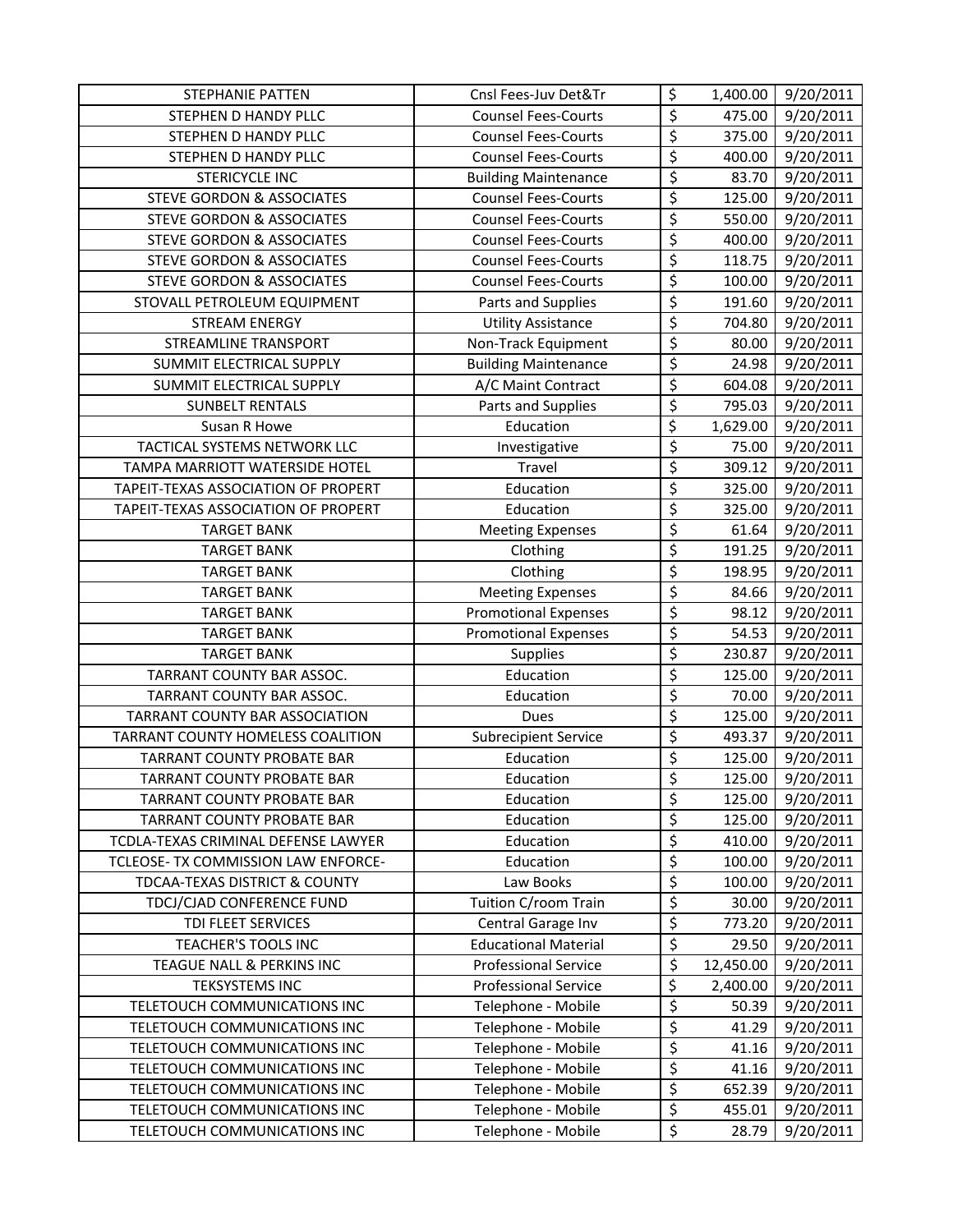| <b>STEPHANIE PATTEN</b>              | Cnsl Fees-Juv Det&Tr        | \$                              | 1,400.00  | 9/20/2011 |
|--------------------------------------|-----------------------------|---------------------------------|-----------|-----------|
| STEPHEN D HANDY PLLC                 | <b>Counsel Fees-Courts</b>  | \$                              | 475.00    | 9/20/2011 |
| STEPHEN D HANDY PLLC                 | <b>Counsel Fees-Courts</b>  | \$                              | 375.00    | 9/20/2011 |
| STEPHEN D HANDY PLLC                 | <b>Counsel Fees-Courts</b>  | \$                              | 400.00    | 9/20/2011 |
| <b>STERICYCLE INC</b>                | <b>Building Maintenance</b> | \$                              | 83.70     | 9/20/2011 |
| STEVE GORDON & ASSOCIATES            | <b>Counsel Fees-Courts</b>  | \$                              | 125.00    | 9/20/2011 |
| <b>STEVE GORDON &amp; ASSOCIATES</b> | <b>Counsel Fees-Courts</b>  | \$                              | 550.00    | 9/20/2011 |
| <b>STEVE GORDON &amp; ASSOCIATES</b> | <b>Counsel Fees-Courts</b>  | \$                              | 400.00    | 9/20/2011 |
| STEVE GORDON & ASSOCIATES            | <b>Counsel Fees-Courts</b>  | $\overline{\boldsymbol{\zeta}}$ | 118.75    | 9/20/2011 |
| <b>STEVE GORDON &amp; ASSOCIATES</b> | <b>Counsel Fees-Courts</b>  | \$                              | 100.00    | 9/20/2011 |
| STOVALL PETROLEUM EQUIPMENT          | Parts and Supplies          | \$                              | 191.60    | 9/20/2011 |
| <b>STREAM ENERGY</b>                 | <b>Utility Assistance</b>   | \$                              | 704.80    | 9/20/2011 |
| STREAMLINE TRANSPORT                 | Non-Track Equipment         | \$                              | 80.00     | 9/20/2011 |
| SUMMIT ELECTRICAL SUPPLY             | <b>Building Maintenance</b> | $\overline{\varsigma}$          | 24.98     | 9/20/2011 |
| SUMMIT ELECTRICAL SUPPLY             | A/C Maint Contract          | \$                              | 604.08    | 9/20/2011 |
| <b>SUNBELT RENTALS</b>               | Parts and Supplies          | \$                              | 795.03    | 9/20/2011 |
| Susan R Howe                         | Education                   | \$                              | 1,629.00  | 9/20/2011 |
| TACTICAL SYSTEMS NETWORK LLC         | Investigative               | \$                              | 75.00     | 9/20/2011 |
| TAMPA MARRIOTT WATERSIDE HOTEL       | Travel                      | \$                              | 309.12    | 9/20/2011 |
| TAPEIT-TEXAS ASSOCIATION OF PROPERT  | Education                   | \$                              | 325.00    | 9/20/2011 |
| TAPEIT-TEXAS ASSOCIATION OF PROPERT  | Education                   | \$                              | 325.00    | 9/20/2011 |
| <b>TARGET BANK</b>                   | <b>Meeting Expenses</b>     | $\overline{\mathcal{L}}$        | 61.64     | 9/20/2011 |
| <b>TARGET BANK</b>                   | Clothing                    | $\overline{\boldsymbol{\zeta}}$ | 191.25    | 9/20/2011 |
| <b>TARGET BANK</b>                   | Clothing                    | \$                              | 198.95    | 9/20/2011 |
| <b>TARGET BANK</b>                   | <b>Meeting Expenses</b>     | \$                              | 84.66     | 9/20/2011 |
| <b>TARGET BANK</b>                   | <b>Promotional Expenses</b> | \$                              | 98.12     | 9/20/2011 |
| <b>TARGET BANK</b>                   | <b>Promotional Expenses</b> | $\overline{\xi}$                | 54.53     | 9/20/2011 |
| <b>TARGET BANK</b>                   | Supplies                    | \$                              | 230.87    | 9/20/2011 |
| TARRANT COUNTY BAR ASSOC.            | Education                   | \$                              | 125.00    | 9/20/2011 |
| TARRANT COUNTY BAR ASSOC.            | Education                   | \$                              | 70.00     | 9/20/2011 |
| TARRANT COUNTY BAR ASSOCIATION       | Dues                        | \$                              | 125.00    | 9/20/2011 |
| TARRANT COUNTY HOMELESS COALITION    | <b>Subrecipient Service</b> | \$                              | 493.37    | 9/20/2011 |
| <b>TARRANT COUNTY PROBATE BAR</b>    | Education                   | \$                              | 125.00    | 9/20/2011 |
| TARRANT COUNTY PROBATE BAR           | Education                   | \$                              | 125.00    | 9/20/2011 |
| TARRANT COUNTY PROBATE BAR           | Education                   | \$                              | 125.00    | 9/20/2011 |
| TARRANT COUNTY PROBATE BAR           | Education                   | \$                              | 125.00    | 9/20/2011 |
| TCDLA-TEXAS CRIMINAL DEFENSE LAWYER  | Education                   | \$                              | 410.00    | 9/20/2011 |
| TCLEOSE- TX COMMISSION LAW ENFORCE-  | Education                   | \$                              | 100.00    | 9/20/2011 |
| TDCAA-TEXAS DISTRICT & COUNTY        | Law Books                   | \$                              | 100.00    | 9/20/2011 |
| TDCJ/CJAD CONFERENCE FUND            | Tuition C/room Train        | $\overline{\varsigma}$          | 30.00     | 9/20/2011 |
| TDI FLEET SERVICES                   | Central Garage Inv          | \$                              | 773.20    | 9/20/2011 |
| TEACHER'S TOOLS INC                  | <b>Educational Material</b> | \$                              | 29.50     | 9/20/2011 |
| TEAGUE NALL & PERKINS INC            | <b>Professional Service</b> | $\overline{\varsigma}$          | 12,450.00 | 9/20/2011 |
| <b>TEKSYSTEMS INC</b>                | <b>Professional Service</b> | \$                              | 2,400.00  | 9/20/2011 |
| TELETOUCH COMMUNICATIONS INC         | Telephone - Mobile          | \$                              | 50.39     | 9/20/2011 |
| TELETOUCH COMMUNICATIONS INC         | Telephone - Mobile          | \$                              | 41.29     | 9/20/2011 |
| TELETOUCH COMMUNICATIONS INC         | Telephone - Mobile          | \$                              | 41.16     | 9/20/2011 |
| TELETOUCH COMMUNICATIONS INC         | Telephone - Mobile          | \$                              | 41.16     | 9/20/2011 |
| TELETOUCH COMMUNICATIONS INC         | Telephone - Mobile          | \$                              | 652.39    | 9/20/2011 |
| TELETOUCH COMMUNICATIONS INC         | Telephone - Mobile          | \$                              | 455.01    | 9/20/2011 |
| TELETOUCH COMMUNICATIONS INC         | Telephone - Mobile          | \$                              | 28.79     | 9/20/2011 |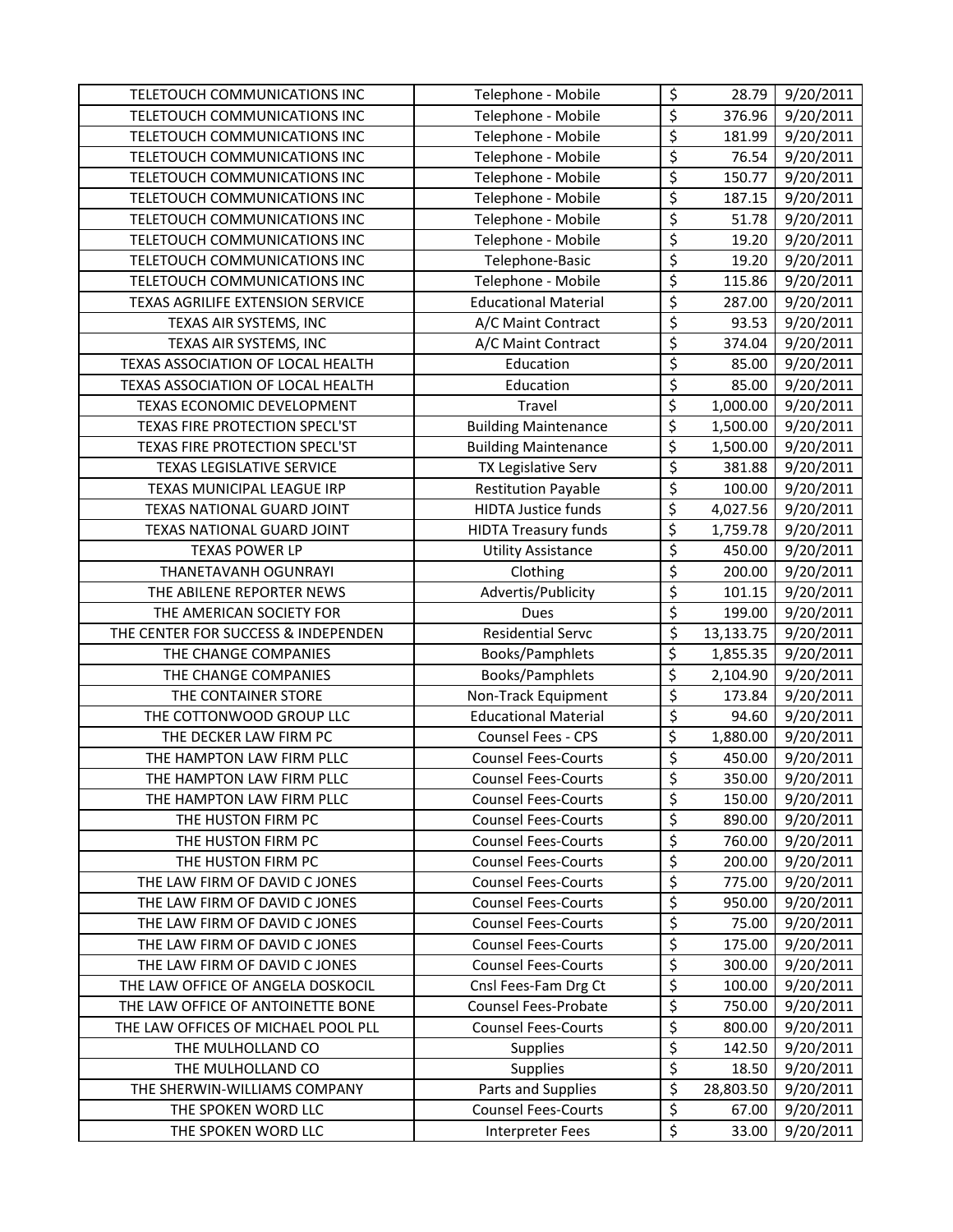| TELETOUCH COMMUNICATIONS INC        | Telephone - Mobile          | \$                       | 28.79     | 9/20/2011 |
|-------------------------------------|-----------------------------|--------------------------|-----------|-----------|
| TELETOUCH COMMUNICATIONS INC        | Telephone - Mobile          | \$                       | 376.96    | 9/20/2011 |
| TELETOUCH COMMUNICATIONS INC        | Telephone - Mobile          | \$                       | 181.99    | 9/20/2011 |
| TELETOUCH COMMUNICATIONS INC        | Telephone - Mobile          | \$                       | 76.54     | 9/20/2011 |
| TELETOUCH COMMUNICATIONS INC        | Telephone - Mobile          | \$                       | 150.77    | 9/20/2011 |
| TELETOUCH COMMUNICATIONS INC        | Telephone - Mobile          | $\overline{\mathcal{S}}$ | 187.15    | 9/20/2011 |
| TELETOUCH COMMUNICATIONS INC        | Telephone - Mobile          | $\overline{\xi}$         | 51.78     | 9/20/2011 |
| TELETOUCH COMMUNICATIONS INC        | Telephone - Mobile          | $\overline{\xi}$         | 19.20     | 9/20/2011 |
| TELETOUCH COMMUNICATIONS INC        | Telephone-Basic             | $\overline{\xi}$         | 19.20     | 9/20/2011 |
| TELETOUCH COMMUNICATIONS INC        | Telephone - Mobile          | $\overline{\varsigma}$   | 115.86    | 9/20/2011 |
| TEXAS AGRILIFE EXTENSION SERVICE    | <b>Educational Material</b> | \$                       | 287.00    | 9/20/2011 |
| TEXAS AIR SYSTEMS, INC              | A/C Maint Contract          | $\overline{\xi}$         | 93.53     | 9/20/2011 |
| TEXAS AIR SYSTEMS, INC              | A/C Maint Contract          | $\overline{\xi}$         | 374.04    | 9/20/2011 |
| TEXAS ASSOCIATION OF LOCAL HEALTH   | Education                   | $\overline{\xi}$         | 85.00     | 9/20/2011 |
| TEXAS ASSOCIATION OF LOCAL HEALTH   | Education                   | $\overline{\xi}$         | 85.00     | 9/20/2011 |
| TEXAS ECONOMIC DEVELOPMENT          | Travel                      | \$                       | 1,000.00  | 9/20/2011 |
| TEXAS FIRE PROTECTION SPECL'ST      | <b>Building Maintenance</b> | \$                       | 1,500.00  | 9/20/2011 |
| TEXAS FIRE PROTECTION SPECL'ST      | <b>Building Maintenance</b> | \$                       | 1,500.00  | 9/20/2011 |
| TEXAS LEGISLATIVE SERVICE           | TX Legislative Serv         | $\overline{\varsigma}$   | 381.88    | 9/20/2011 |
| TEXAS MUNICIPAL LEAGUE IRP          | <b>Restitution Payable</b>  | $\overline{\varsigma}$   | 100.00    | 9/20/2011 |
| TEXAS NATIONAL GUARD JOINT          | <b>HIDTA Justice funds</b>  | \$                       | 4,027.56  | 9/20/2011 |
| TEXAS NATIONAL GUARD JOINT          | <b>HIDTA Treasury funds</b> | \$                       | 1,759.78  | 9/20/2011 |
| <b>TEXAS POWER LP</b>               | <b>Utility Assistance</b>   | \$                       | 450.00    | 9/20/2011 |
| THANETAVANH OGUNRAYI                | Clothing                    | $\overline{\varsigma}$   | 200.00    | 9/20/2011 |
| THE ABILENE REPORTER NEWS           | Advertis/Publicity          | \$                       | 101.15    | 9/20/2011 |
| THE AMERICAN SOCIETY FOR            | Dues                        | \$                       | 199.00    | 9/20/2011 |
| THE CENTER FOR SUCCESS & INDEPENDEN | <b>Residential Servc</b>    | $\overline{\xi}$         | 13,133.75 | 9/20/2011 |
| THE CHANGE COMPANIES                | Books/Pamphlets             | \$                       | 1,855.35  | 9/20/2011 |
| THE CHANGE COMPANIES                | Books/Pamphlets             | \$                       | 2,104.90  | 9/20/2011 |
| THE CONTAINER STORE                 | Non-Track Equipment         | \$                       | 173.84    | 9/20/2011 |
| THE COTTONWOOD GROUP LLC            | <b>Educational Material</b> | $\overline{\xi}$         | 94.60     | 9/20/2011 |
| THE DECKER LAW FIRM PC              | Counsel Fees - CPS          | $\overline{\xi}$         | 1,880.00  | 9/20/2011 |
| THE HAMPTON LAW FIRM PLLC           | <b>Counsel Fees-Courts</b>  | \$                       | 450.00    | 9/20/2011 |
| THE HAMPTON LAW FIRM PLLC           | <b>Counsel Fees-Courts</b>  | \$                       | 350.00    | 9/20/2011 |
| THE HAMPTON LAW FIRM PLLC           | <b>Counsel Fees-Courts</b>  | \$                       | 150.00    | 9/20/2011 |
| THE HUSTON FIRM PC                  | <b>Counsel Fees-Courts</b>  | \$                       | 890.00    | 9/20/2011 |
| THE HUSTON FIRM PC                  | <b>Counsel Fees-Courts</b>  | \$                       | 760.00    | 9/20/2011 |
| THE HUSTON FIRM PC                  | <b>Counsel Fees-Courts</b>  | \$                       | 200.00    | 9/20/2011 |
| THE LAW FIRM OF DAVID C JONES       | <b>Counsel Fees-Courts</b>  | \$                       | 775.00    | 9/20/2011 |
| THE LAW FIRM OF DAVID C JONES       | <b>Counsel Fees-Courts</b>  | \$                       | 950.00    | 9/20/2011 |
| THE LAW FIRM OF DAVID C JONES       | <b>Counsel Fees-Courts</b>  | $\overline{\xi}$         | 75.00     | 9/20/2011 |
| THE LAW FIRM OF DAVID C JONES       | <b>Counsel Fees-Courts</b>  | \$                       | 175.00    | 9/20/2011 |
| THE LAW FIRM OF DAVID C JONES       | <b>Counsel Fees-Courts</b>  | \$                       | 300.00    | 9/20/2011 |
| THE LAW OFFICE OF ANGELA DOSKOCIL   | Cnsl Fees-Fam Drg Ct        | \$                       | 100.00    | 9/20/2011 |
| THE LAW OFFICE OF ANTOINETTE BONE   | Counsel Fees-Probate        | \$                       | 750.00    | 9/20/2011 |
| THE LAW OFFICES OF MICHAEL POOL PLL | <b>Counsel Fees-Courts</b>  | \$                       | 800.00    | 9/20/2011 |
| THE MULHOLLAND CO                   | <b>Supplies</b>             | \$                       | 142.50    | 9/20/2011 |
| THE MULHOLLAND CO                   | <b>Supplies</b>             | $\overline{\xi}$         | 18.50     | 9/20/2011 |
| THE SHERWIN-WILLIAMS COMPANY        | Parts and Supplies          | $\overline{\xi}$         | 28,803.50 | 9/20/2011 |
| THE SPOKEN WORD LLC                 | <b>Counsel Fees-Courts</b>  | \$                       | 67.00     | 9/20/2011 |
|                                     |                             | \$                       |           |           |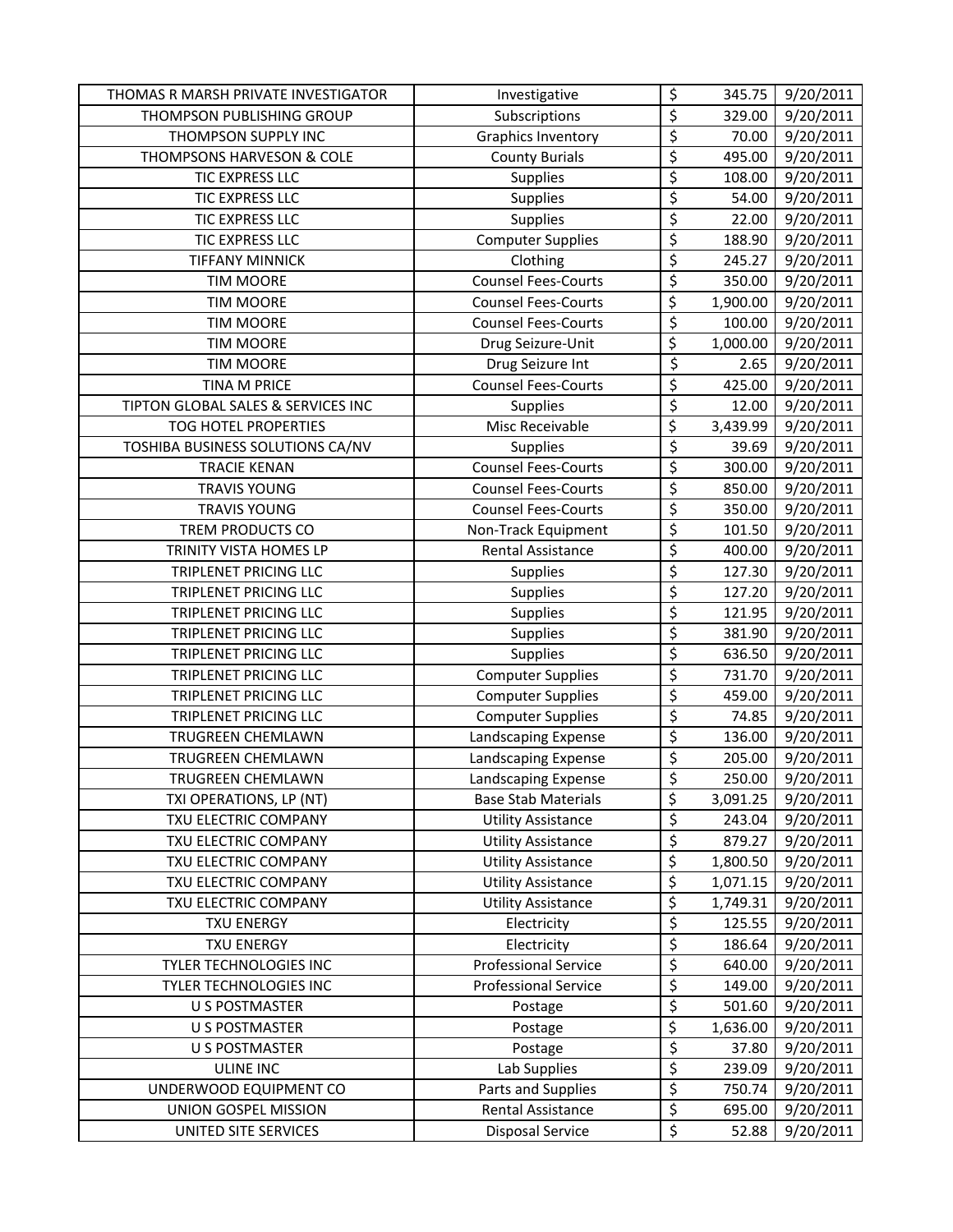| THOMAS R MARSH PRIVATE INVESTIGATOR | Investigative               | \$                      | 345.75   | 9/20/2011 |
|-------------------------------------|-----------------------------|-------------------------|----------|-----------|
| THOMPSON PUBLISHING GROUP           | Subscriptions               | \$                      | 329.00   | 9/20/2011 |
| THOMPSON SUPPLY INC                 | <b>Graphics Inventory</b>   | \$                      | 70.00    | 9/20/2011 |
| THOMPSONS HARVESON & COLE           | <b>County Burials</b>       | \$                      | 495.00   | 9/20/2011 |
| TIC EXPRESS LLC                     | <b>Supplies</b>             | \$                      | 108.00   | 9/20/2011 |
| TIC EXPRESS LLC                     | <b>Supplies</b>             | \$                      | 54.00    | 9/20/2011 |
| TIC EXPRESS LLC                     | <b>Supplies</b>             | \$                      | 22.00    | 9/20/2011 |
| <b>TIC EXPRESS LLC</b>              | <b>Computer Supplies</b>    | \$                      | 188.90   | 9/20/2011 |
| <b>TIFFANY MINNICK</b>              | Clothing                    | \$                      | 245.27   | 9/20/2011 |
| <b>TIM MOORE</b>                    | <b>Counsel Fees-Courts</b>  | \$                      | 350.00   | 9/20/2011 |
| <b>TIM MOORE</b>                    | <b>Counsel Fees-Courts</b>  | \$                      | 1,900.00 | 9/20/2011 |
| <b>TIM MOORE</b>                    | <b>Counsel Fees-Courts</b>  | \$                      | 100.00   | 9/20/2011 |
| <b>TIM MOORE</b>                    | Drug Seizure-Unit           | \$                      | 1,000.00 | 9/20/2011 |
| <b>TIM MOORE</b>                    | Drug Seizure Int            | \$                      | 2.65     | 9/20/2011 |
| <b>TINA M PRICE</b>                 | <b>Counsel Fees-Courts</b>  | \$                      | 425.00   | 9/20/2011 |
| TIPTON GLOBAL SALES & SERVICES INC  | Supplies                    | $\overline{\xi}$        | 12.00    | 9/20/2011 |
| TOG HOTEL PROPERTIES                | Misc Receivable             | \$                      | 3,439.99 | 9/20/2011 |
| TOSHIBA BUSINESS SOLUTIONS CA/NV    | <b>Supplies</b>             | $\overline{\varsigma}$  | 39.69    | 9/20/2011 |
| <b>TRACIE KENAN</b>                 | <b>Counsel Fees-Courts</b>  | \$                      | 300.00   | 9/20/2011 |
| <b>TRAVIS YOUNG</b>                 | <b>Counsel Fees-Courts</b>  | \$                      | 850.00   | 9/20/2011 |
| <b>TRAVIS YOUNG</b>                 | <b>Counsel Fees-Courts</b>  | \$                      | 350.00   | 9/20/2011 |
| TREM PRODUCTS CO                    | Non-Track Equipment         | \$                      | 101.50   | 9/20/2011 |
| TRINITY VISTA HOMES LP              | Rental Assistance           | \$                      | 400.00   | 9/20/2011 |
| TRIPLENET PRICING LLC               | Supplies                    | \$                      | 127.30   | 9/20/2011 |
| TRIPLENET PRICING LLC               | Supplies                    | \$                      | 127.20   | 9/20/2011 |
| <b>TRIPLENET PRICING LLC</b>        | <b>Supplies</b>             | \$                      | 121.95   | 9/20/2011 |
| TRIPLENET PRICING LLC               | <b>Supplies</b>             | \$                      | 381.90   | 9/20/2011 |
| TRIPLENET PRICING LLC               | <b>Supplies</b>             | \$                      | 636.50   | 9/20/2011 |
| TRIPLENET PRICING LLC               | <b>Computer Supplies</b>    | \$                      | 731.70   | 9/20/2011 |
| <b>TRIPLENET PRICING LLC</b>        | <b>Computer Supplies</b>    | \$                      | 459.00   | 9/20/2011 |
| TRIPLENET PRICING LLC               | <b>Computer Supplies</b>    | $\overline{\xi}$        | 74.85    | 9/20/2011 |
| TRUGREEN CHEMLAWN                   | Landscaping Expense         | \$                      | 136.00   | 9/20/2011 |
| TRUGREEN CHEMLAWN                   | Landscaping Expense         | \$                      | 205.00   | 9/20/2011 |
| <b>TRUGREEN CHEMLAWN</b>            | Landscaping Expense         | $\overline{\mathsf{S}}$ | 250.00   | 9/20/2011 |
| TXI OPERATIONS, LP (NT)             | <b>Base Stab Materials</b>  | \$                      | 3,091.25 | 9/20/2011 |
| TXU ELECTRIC COMPANY                | <b>Utility Assistance</b>   | \$                      | 243.04   | 9/20/2011 |
| TXU ELECTRIC COMPANY                | <b>Utility Assistance</b>   | \$                      | 879.27   | 9/20/2011 |
| TXU ELECTRIC COMPANY                | <b>Utility Assistance</b>   | $\overline{\xi}$        | 1,800.50 | 9/20/2011 |
| TXU ELECTRIC COMPANY                | <b>Utility Assistance</b>   | \$                      | 1,071.15 | 9/20/2011 |
| TXU ELECTRIC COMPANY                | <b>Utility Assistance</b>   | \$                      | 1,749.31 | 9/20/2011 |
| <b>TXU ENERGY</b>                   | Electricity                 | \$                      | 125.55   | 9/20/2011 |
| <b>TXU ENERGY</b>                   | Electricity                 | \$                      | 186.64   | 9/20/2011 |
| TYLER TECHNOLOGIES INC              | <b>Professional Service</b> | \$                      | 640.00   | 9/20/2011 |
| TYLER TECHNOLOGIES INC              | <b>Professional Service</b> | \$                      | 149.00   | 9/20/2011 |
| <b>U S POSTMASTER</b>               | Postage                     | \$                      | 501.60   | 9/20/2011 |
| <b>U S POSTMASTER</b>               | Postage                     | $\overline{\varsigma}$  | 1,636.00 | 9/20/2011 |
| <b>U S POSTMASTER</b>               | Postage                     | \$                      | 37.80    | 9/20/2011 |
| <b>ULINE INC</b>                    | Lab Supplies                | \$                      | 239.09   | 9/20/2011 |
| UNDERWOOD EQUIPMENT CO              | Parts and Supplies          | \$                      | 750.74   | 9/20/2011 |
| UNION GOSPEL MISSION                | Rental Assistance           | \$                      | 695.00   | 9/20/2011 |
| UNITED SITE SERVICES                | <b>Disposal Service</b>     | \$                      | 52.88    | 9/20/2011 |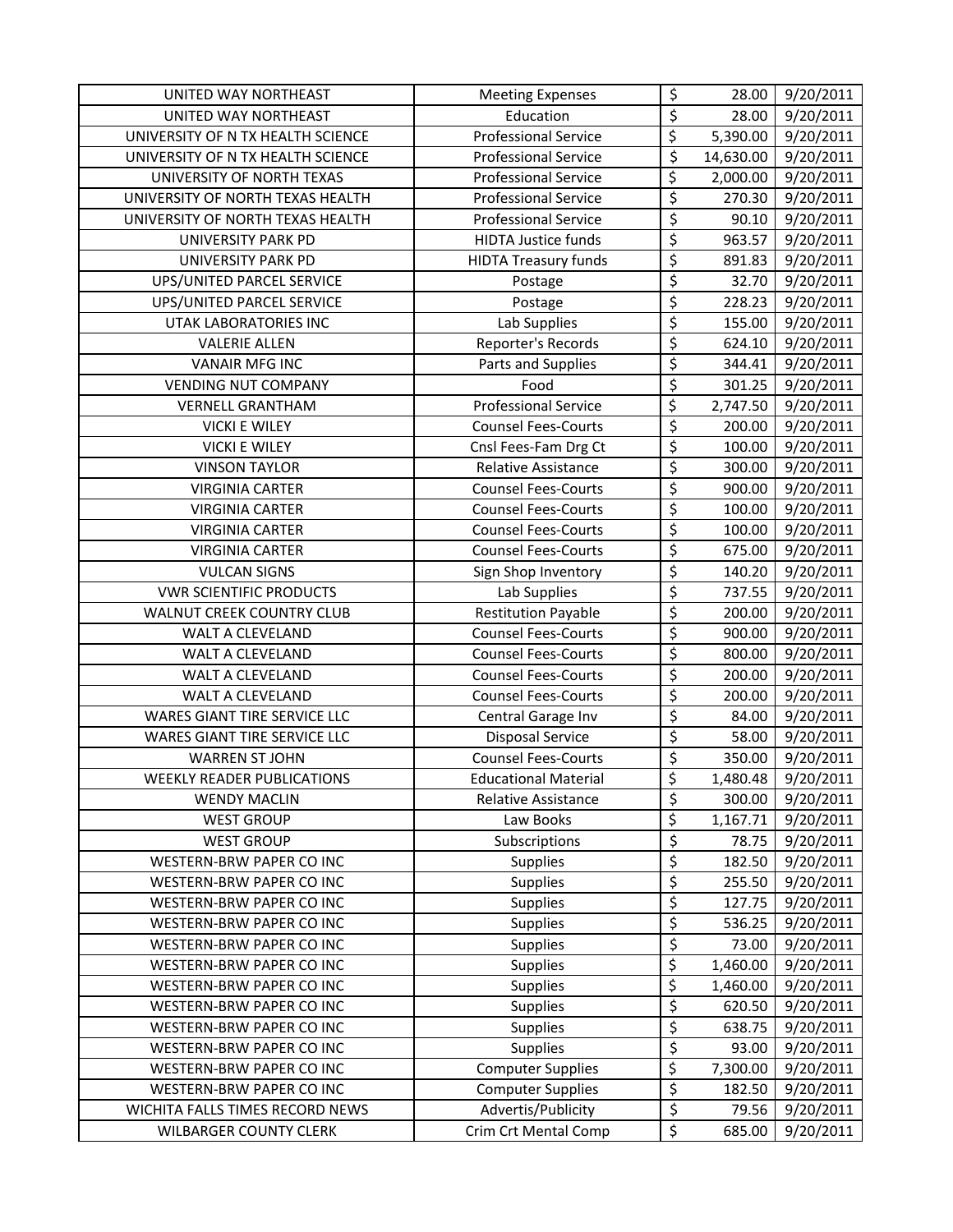| UNITED WAY NORTHEAST              | <b>Meeting Expenses</b>     | \$                       | 28.00     | 9/20/2011 |
|-----------------------------------|-----------------------------|--------------------------|-----------|-----------|
| UNITED WAY NORTHEAST              | Education                   | \$                       | 28.00     | 9/20/2011 |
| UNIVERSITY OF N TX HEALTH SCIENCE | <b>Professional Service</b> | \$                       | 5,390.00  | 9/20/2011 |
| UNIVERSITY OF N TX HEALTH SCIENCE | <b>Professional Service</b> | \$                       | 14,630.00 | 9/20/2011 |
| UNIVERSITY OF NORTH TEXAS         | <b>Professional Service</b> | $\overline{\xi}$         | 2,000.00  | 9/20/2011 |
| UNIVERSITY OF NORTH TEXAS HEALTH  | <b>Professional Service</b> | $\overline{\varsigma}$   | 270.30    | 9/20/2011 |
| UNIVERSITY OF NORTH TEXAS HEALTH  | <b>Professional Service</b> | \$                       | 90.10     | 9/20/2011 |
| UNIVERSITY PARK PD                | <b>HIDTA Justice funds</b>  | \$                       | 963.57    | 9/20/2011 |
| UNIVERSITY PARK PD                | <b>HIDTA Treasury funds</b> | $\overline{\xi}$         | 891.83    | 9/20/2011 |
| UPS/UNITED PARCEL SERVICE         | Postage                     | $\overline{\xi}$         | 32.70     | 9/20/2011 |
| UPS/UNITED PARCEL SERVICE         | Postage                     | \$                       | 228.23    | 9/20/2011 |
| <b>UTAK LABORATORIES INC</b>      | Lab Supplies                | $\overline{\varsigma}$   | 155.00    | 9/20/2011 |
| <b>VALERIE ALLEN</b>              | Reporter's Records          | $\overline{\mathcal{S}}$ | 624.10    | 9/20/2011 |
| <b>VANAIR MFG INC</b>             | Parts and Supplies          | \$                       | 344.41    | 9/20/2011 |
| <b>VENDING NUT COMPANY</b>        | Food                        | $\overline{\varsigma}$   | 301.25    | 9/20/2011 |
| <b>VERNELL GRANTHAM</b>           | <b>Professional Service</b> | \$                       | 2,747.50  | 9/20/2011 |
| <b>VICKI E WILEY</b>              | <b>Counsel Fees-Courts</b>  | $\overline{\varsigma}$   | 200.00    | 9/20/2011 |
| <b>VICKI E WILEY</b>              | Cnsl Fees-Fam Drg Ct        | $\overline{\xi}$         | 100.00    | 9/20/2011 |
| <b>VINSON TAYLOR</b>              | Relative Assistance         | $\overline{\varsigma}$   | 300.00    | 9/20/2011 |
| <b>VIRGINIA CARTER</b>            | <b>Counsel Fees-Courts</b>  | $\overline{\varsigma}$   | 900.00    | 9/20/2011 |
| <b>VIRGINIA CARTER</b>            | <b>Counsel Fees-Courts</b>  | $\overline{\varsigma}$   | 100.00    | 9/20/2011 |
| <b>VIRGINIA CARTER</b>            | <b>Counsel Fees-Courts</b>  | $\overline{\xi}$         | 100.00    | 9/20/2011 |
| <b>VIRGINIA CARTER</b>            | <b>Counsel Fees-Courts</b>  | \$                       | 675.00    | 9/20/2011 |
| <b>VULCAN SIGNS</b>               | Sign Shop Inventory         | $\overline{\varsigma}$   | 140.20    | 9/20/2011 |
| <b>VWR SCIENTIFIC PRODUCTS</b>    | Lab Supplies                | $\overline{\varsigma}$   | 737.55    | 9/20/2011 |
| WALNUT CREEK COUNTRY CLUB         | <b>Restitution Payable</b>  | $\overline{\xi}$         | 200.00    | 9/20/2011 |
| WALT A CLEVELAND                  | <b>Counsel Fees-Courts</b>  | $\overline{\xi}$         | 900.00    | 9/20/2011 |
| WALT A CLEVELAND                  | <b>Counsel Fees-Courts</b>  | \$                       | 800.00    | 9/20/2011 |
| WALT A CLEVELAND                  | <b>Counsel Fees-Courts</b>  | $\overline{\varsigma}$   | 200.00    | 9/20/2011 |
| WALT A CLEVELAND                  | <b>Counsel Fees-Courts</b>  | $\overline{\xi}$         | 200.00    | 9/20/2011 |
| WARES GIANT TIRE SERVICE LLC      | Central Garage Inv          | $\overline{\varsigma}$   | 84.00     | 9/20/2011 |
| WARES GIANT TIRE SERVICE LLC      | <b>Disposal Service</b>     | \$                       | 58.00     | 9/20/2011 |
| <b>WARREN ST JOHN</b>             | <b>Counsel Fees-Courts</b>  | $\overline{\varsigma}$   | 350.00    | 9/20/2011 |
| <b>WEEKLY READER PUBLICATIONS</b> | <b>Educational Material</b> | \$                       | 1,480.48  | 9/20/2011 |
| <b>WENDY MACLIN</b>               | Relative Assistance         | \$                       | 300.00    | 9/20/2011 |
| <b>WEST GROUP</b>                 | Law Books                   | \$                       | 1,167.71  | 9/20/2011 |
| <b>WEST GROUP</b>                 | Subscriptions               | $\overline{\xi}$         | 78.75     | 9/20/2011 |
| WESTERN-BRW PAPER CO INC          | <b>Supplies</b>             | \$                       | 182.50    | 9/20/2011 |
| WESTERN-BRW PAPER CO INC          | Supplies                    | $\overline{\varsigma}$   | 255.50    | 9/20/2011 |
| <b>WESTERN-BRW PAPER CO INC</b>   | Supplies                    | $\overline{\varsigma}$   | 127.75    | 9/20/2011 |
| WESTERN-BRW PAPER CO INC          | Supplies                    | \$                       | 536.25    | 9/20/2011 |
| WESTERN-BRW PAPER CO INC          | <b>Supplies</b>             | $\overline{\xi}$         | 73.00     | 9/20/2011 |
| WESTERN-BRW PAPER CO INC          | Supplies                    | $\overline{\varsigma}$   | 1,460.00  | 9/20/2011 |
| WESTERN-BRW PAPER CO INC          | Supplies                    | \$                       | 1,460.00  | 9/20/2011 |
| WESTERN-BRW PAPER CO INC          | Supplies                    | \$                       | 620.50    | 9/20/2011 |
| WESTERN-BRW PAPER CO INC          | Supplies                    | \$                       | 638.75    | 9/20/2011 |
| WESTERN-BRW PAPER CO INC          | <b>Supplies</b>             | $\overline{\xi}$         | 93.00     | 9/20/2011 |
| WESTERN-BRW PAPER CO INC          | <b>Computer Supplies</b>    | \$                       | 7,300.00  | 9/20/2011 |
| WESTERN-BRW PAPER CO INC          | <b>Computer Supplies</b>    | \$                       | 182.50    | 9/20/2011 |
| WICHITA FALLS TIMES RECORD NEWS   | Advertis/Publicity          | \$                       | 79.56     | 9/20/2011 |
| <b>WILBARGER COUNTY CLERK</b>     | Crim Crt Mental Comp        | \$                       | 685.00    | 9/20/2011 |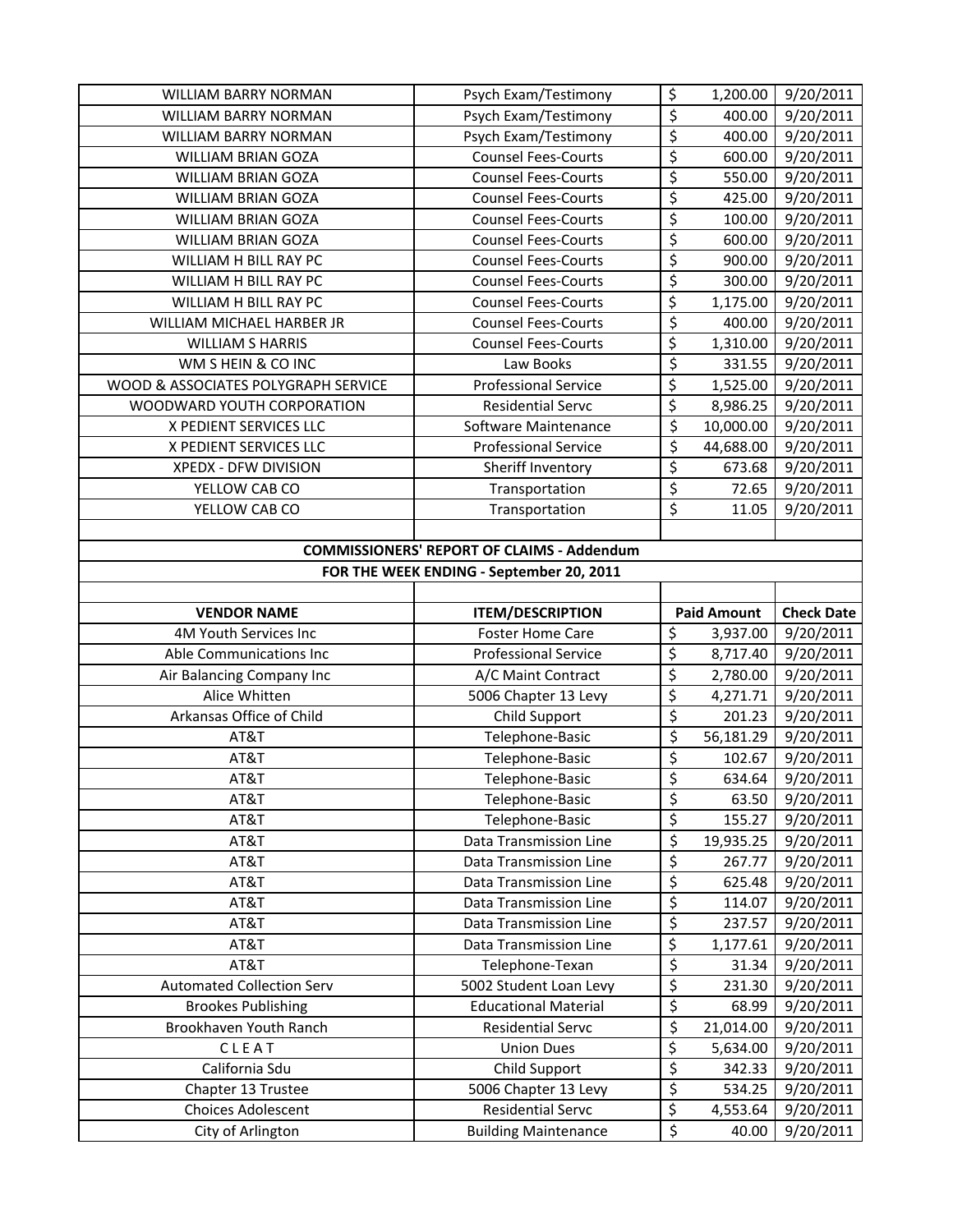| <b>WILLIAM BARRY NORMAN</b>                       | Psych Exam/Testimony                                    | \$                     | 1,200.00           | 9/20/2011              |  |
|---------------------------------------------------|---------------------------------------------------------|------------------------|--------------------|------------------------|--|
| <b>WILLIAM BARRY NORMAN</b>                       | Psych Exam/Testimony                                    | \$                     | 400.00             | 9/20/2011              |  |
| <b>WILLIAM BARRY NORMAN</b>                       | Psych Exam/Testimony                                    | \$                     | 400.00             | 9/20/2011              |  |
| <b>WILLIAM BRIAN GOZA</b>                         | <b>Counsel Fees-Courts</b>                              | \$                     | 600.00             | 9/20/2011              |  |
| <b>WILLIAM BRIAN GOZA</b>                         | <b>Counsel Fees-Courts</b>                              | $\overline{\xi}$       | 550.00             | 9/20/2011              |  |
| <b>WILLIAM BRIAN GOZA</b>                         | <b>Counsel Fees-Courts</b>                              | $\overline{\xi}$       | 425.00             | 9/20/2011              |  |
| <b>WILLIAM BRIAN GOZA</b>                         | <b>Counsel Fees-Courts</b>                              | \$                     | 100.00             | 9/20/2011              |  |
| <b>WILLIAM BRIAN GOZA</b>                         | <b>Counsel Fees-Courts</b>                              | \$                     | 600.00             | 9/20/2011              |  |
| WILLIAM H BILL RAY PC                             | <b>Counsel Fees-Courts</b>                              | \$                     | 900.00             | 9/20/2011              |  |
| WILLIAM H BILL RAY PC                             | <b>Counsel Fees-Courts</b>                              | $\overline{\xi}$       | 300.00             | 9/20/2011              |  |
| WILLIAM H BILL RAY PC                             | <b>Counsel Fees-Courts</b>                              | \$                     | 1,175.00           | 9/20/2011              |  |
| WILLIAM MICHAEL HARBER JR                         | <b>Counsel Fees-Courts</b>                              | $\overline{\xi}$       | 400.00             | 9/20/2011              |  |
| <b>WILLIAM S HARRIS</b>                           | <b>Counsel Fees-Courts</b>                              | \$                     | 1,310.00           | 9/20/2011              |  |
| WM S HEIN & CO INC                                | Law Books                                               | $\overline{\xi}$       | 331.55             | 9/20/2011              |  |
| WOOD & ASSOCIATES POLYGRAPH SERVICE               | <b>Professional Service</b>                             | \$                     | 1,525.00           | 9/20/2011              |  |
| WOODWARD YOUTH CORPORATION                        | <b>Residential Servc</b>                                | \$                     | 8,986.25           | 9/20/2011              |  |
| X PEDIENT SERVICES LLC                            | Software Maintenance                                    | $\overline{\varsigma}$ | 10,000.00          | 9/20/2011              |  |
| X PEDIENT SERVICES LLC                            | <b>Professional Service</b>                             | $\overline{\varsigma}$ | 44,688.00          | 9/20/2011              |  |
| XPEDX - DFW DIVISION                              | Sheriff Inventory                                       | $\overline{\xi}$       | 673.68             | 9/20/2011              |  |
| YELLOW CAB CO                                     | Transportation                                          | \$                     | 72.65              | 9/20/2011              |  |
| YELLOW CAB CO                                     | Transportation                                          | $\zeta$                | 11.05              | 9/20/2011              |  |
|                                                   |                                                         |                        |                    |                        |  |
| <b>COMMISSIONERS' REPORT OF CLAIMS - Addendum</b> |                                                         |                        |                    |                        |  |
|                                                   | FOR THE WEEK ENDING - September 20, 2011                |                        |                    |                        |  |
|                                                   |                                                         |                        |                    |                        |  |
|                                                   |                                                         |                        |                    |                        |  |
| <b>VENDOR NAME</b>                                | <b>ITEM/DESCRIPTION</b>                                 |                        | <b>Paid Amount</b> | <b>Check Date</b>      |  |
| 4M Youth Services Inc                             | <b>Foster Home Care</b>                                 | \$                     | 3,937.00           | 9/20/2011              |  |
| Able Communications Inc                           | <b>Professional Service</b>                             | \$                     | 8,717.40           | 9/20/2011              |  |
| Air Balancing Company Inc                         | A/C Maint Contract                                      | \$                     | 2,780.00           | 9/20/2011              |  |
| Alice Whitten                                     | 5006 Chapter 13 Levy                                    | \$                     | 4,271.71           | 9/20/2011              |  |
| Arkansas Office of Child                          | Child Support                                           | $\overline{\xi}$       | 201.23             | 9/20/2011              |  |
| AT&T                                              | Telephone-Basic                                         | \$                     | 56,181.29          | 9/20/2011              |  |
| AT&T                                              | Telephone-Basic                                         | \$                     | 102.67             | 9/20/2011              |  |
| AT&T                                              | Telephone-Basic                                         | $\zeta$                | 634.64             | 9/20/2011              |  |
| AT&T                                              | Telephone-Basic                                         | \$                     | 63.50              | 9/20/2011              |  |
| AT&T                                              | Telephone-Basic                                         | \$                     | 155.27             | 9/20/2011              |  |
| AT&T                                              | Data Transmission Line                                  | \$                     | 19,935.25          | 9/20/2011              |  |
| AT&T                                              | Data Transmission Line                                  | \$                     | 267.77             | 9/20/2011              |  |
| AT&T                                              | Data Transmission Line                                  | $\overline{\xi}$       | 625.48             | 9/20/2011              |  |
| AT&T                                              | Data Transmission Line                                  | $\overline{\xi}$       | 114.07             | 9/20/2011              |  |
| AT&T                                              | Data Transmission Line                                  | \$                     | 237.57             | 9/20/2011              |  |
| AT&T                                              | Data Transmission Line                                  | \$                     | 1,177.61           | 9/20/2011              |  |
| AT&T                                              | Telephone-Texan                                         | \$                     | 31.34              | 9/20/2011              |  |
| <b>Automated Collection Serv</b>                  | 5002 Student Loan Levy                                  | \$                     | 231.30             | 9/20/2011              |  |
| <b>Brookes Publishing</b>                         | <b>Educational Material</b>                             | \$                     | 68.99              | 9/20/2011              |  |
| Brookhaven Youth Ranch                            | <b>Residential Servc</b>                                | \$                     | 21,014.00          | 9/20/2011              |  |
| CLEAT                                             | <b>Union Dues</b>                                       | \$                     | 5,634.00           | 9/20/2011              |  |
| California Sdu                                    | Child Support                                           | $\overline{\xi}$       | 342.33             | 9/20/2011              |  |
| Chapter 13 Trustee                                | 5006 Chapter 13 Levy                                    | \$                     | 534.25             | 9/20/2011              |  |
| Choices Adolescent<br>City of Arlington           | <b>Residential Servc</b><br><b>Building Maintenance</b> | \$<br>\$               | 4,553.64<br>40.00  | 9/20/2011<br>9/20/2011 |  |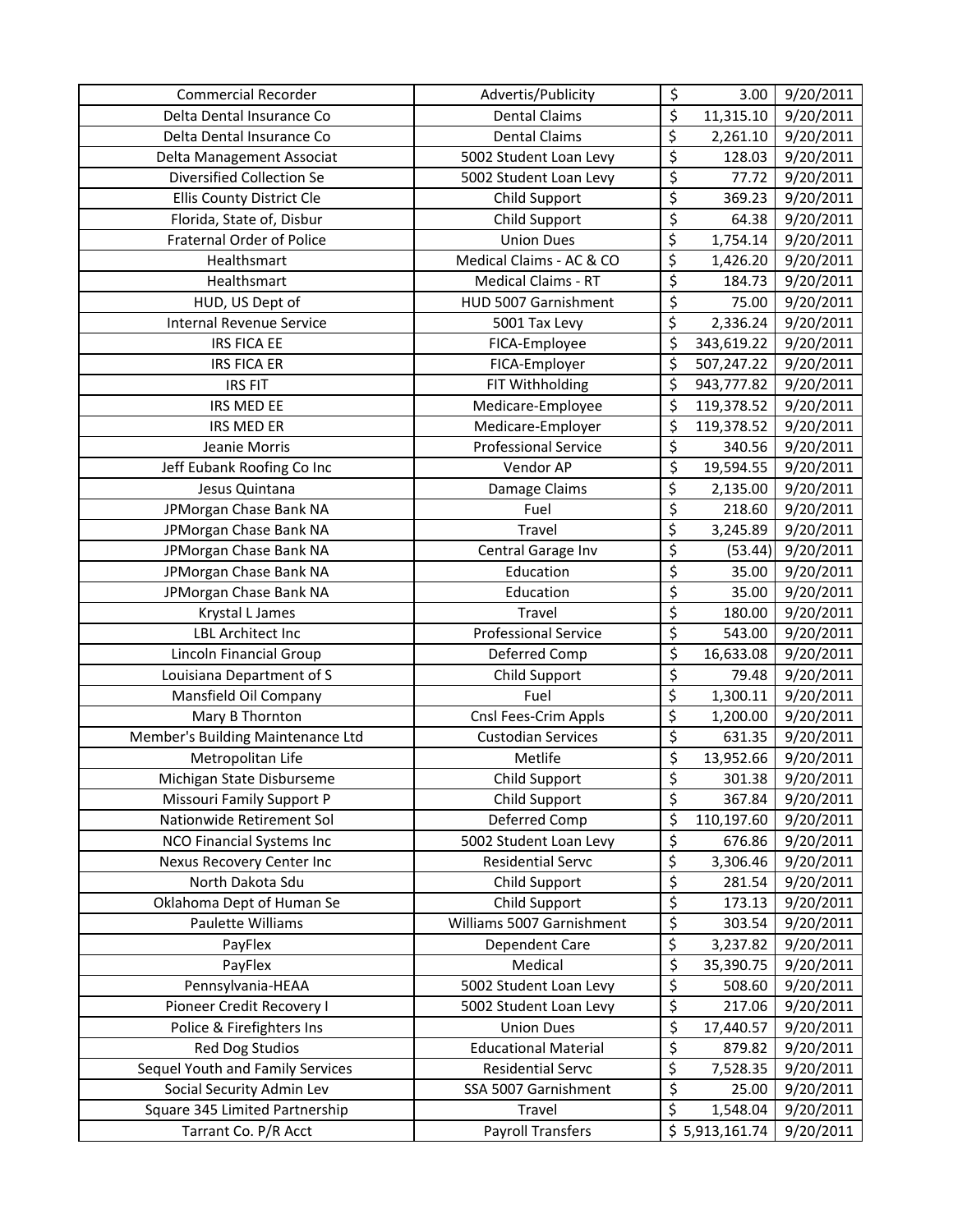| <b>Commercial Recorder</b>        | Advertis/Publicity          | \$                       | 3.00           | 9/20/2011              |
|-----------------------------------|-----------------------------|--------------------------|----------------|------------------------|
| Delta Dental Insurance Co         | <b>Dental Claims</b>        | \$                       | 11,315.10      | 9/20/2011              |
| Delta Dental Insurance Co         | <b>Dental Claims</b>        | \$                       | 2,261.10       | 9/20/2011              |
| Delta Management Associat         | 5002 Student Loan Levy      | \$                       | 128.03         | 9/20/2011              |
| Diversified Collection Se         | 5002 Student Loan Levy      | \$                       | 77.72          | 9/20/2011              |
| Ellis County District Cle         | Child Support               | \$                       | 369.23         | 9/20/2011              |
| Florida, State of, Disbur         | Child Support               | \$                       | 64.38          | 9/20/2011              |
| Fraternal Order of Police         | <b>Union Dues</b>           | \$                       | 1,754.14       | 9/20/2011              |
| Healthsmart                       | Medical Claims - AC & CO    | \$                       | 1,426.20       | 9/20/2011              |
| Healthsmart                       | <b>Medical Claims - RT</b>  | \$                       | 184.73         | 9/20/2011              |
| HUD, US Dept of                   | HUD 5007 Garnishment        | \$                       | 75.00          | 9/20/2011              |
| <b>Internal Revenue Service</b>   | 5001 Tax Levy               | \$                       | 2,336.24       | 9/20/2011              |
| <b>IRS FICA EE</b>                | FICA-Employee               | \$                       | 343,619.22     | 9/20/2011              |
| <b>IRS FICA ER</b>                | FICA-Employer               | \$                       | 507,247.22     | $\frac{1}{9}$ /20/2011 |
| <b>IRS FIT</b>                    | FIT Withholding             | \$                       | 943,777.82     | 9/20/2011              |
| IRS MED EE                        | Medicare-Employee           | \$                       | 119,378.52     | 9/20/2011              |
| <b>IRS MED ER</b>                 | Medicare-Employer           | \$                       | 119,378.52     | 9/20/2011              |
| Jeanie Morris                     | <b>Professional Service</b> | \$                       | 340.56         | 9/20/2011              |
| Jeff Eubank Roofing Co Inc        | Vendor AP                   | \$                       | 19,594.55      | 9/20/2011              |
| Jesus Quintana                    | Damage Claims               | \$                       | 2,135.00       | 9/20/2011              |
| JPMorgan Chase Bank NA            | Fuel                        | \$                       | 218.60         | 9/20/2011              |
| JPMorgan Chase Bank NA            | Travel                      | \$                       | 3,245.89       | 9/20/2011              |
| JPMorgan Chase Bank NA            | Central Garage Inv          | $\overline{\varsigma}$   | (53.44)        | 9/20/2011              |
| JPMorgan Chase Bank NA            | Education                   | $\overline{\mathcal{L}}$ | 35.00          | 9/20/2011              |
| JPMorgan Chase Bank NA            | Education                   | $\overline{\varsigma}$   | 35.00          | 9/20/2011              |
| Krystal L James                   | Travel                      | \$                       | 180.00         | 9/20/2011              |
| <b>LBL Architect Inc</b>          | <b>Professional Service</b> | \$                       | 543.00         | 9/20/2011              |
| Lincoln Financial Group           | Deferred Comp               | \$                       | 16,633.08      | 9/20/2011              |
| Louisiana Department of S         | Child Support               | \$                       | 79.48          | 9/20/2011              |
| Mansfield Oil Company             | Fuel                        | \$                       | 1,300.11       | 9/20/2011              |
| Mary B Thornton                   | Cnsl Fees-Crim Appls        | \$                       | 1,200.00       | 9/20/2011              |
| Member's Building Maintenance Ltd | <b>Custodian Services</b>   | \$                       | 631.35         | 9/20/2011              |
| Metropolitan Life                 | Metlife                     | \$                       | 13,952.66      | 9/20/2011              |
| Michigan State Disburseme         | Child Support               | \$                       | 301.38         | 9/20/2011              |
| Missouri Family Support P         | Child Support               | \$                       | 367.84         | 9/20/2011              |
| Nationwide Retirement Sol         | Deferred Comp               | \$                       | 110,197.60     | 9/20/2011              |
| NCO Financial Systems Inc         | 5002 Student Loan Levy      | \$                       | 676.86         | 9/20/2011              |
| Nexus Recovery Center Inc         | <b>Residential Servc</b>    | \$                       | 3,306.46       | 9/20/2011              |
| North Dakota Sdu                  | Child Support               | \$                       | 281.54         | 9/20/2011              |
| Oklahoma Dept of Human Se         | Child Support               | \$                       | 173.13         | 9/20/2011              |
| Paulette Williams                 | Williams 5007 Garnishment   | \$                       | 303.54         | 9/20/2011              |
| PayFlex                           | Dependent Care              | \$                       | 3,237.82       | 9/20/2011              |
| PayFlex                           | Medical                     | \$                       | 35,390.75      | 9/20/2011              |
| Pennsylvania-HEAA                 | 5002 Student Loan Levy      | \$                       | 508.60         | 9/20/2011              |
| Pioneer Credit Recovery I         | 5002 Student Loan Levy      | \$                       | 217.06         | 9/20/2011              |
| Police & Firefighters Ins         | <b>Union Dues</b>           | \$                       | 17,440.57      | 9/20/2011              |
| Red Dog Studios                   | <b>Educational Material</b> | \$                       | 879.82         | 9/20/2011              |
| Sequel Youth and Family Services  | <b>Residential Servc</b>    | \$                       | 7,528.35       | 9/20/2011              |
| Social Security Admin Lev         | SSA 5007 Garnishment        | \$                       | 25.00          | 9/20/2011              |
| Square 345 Limited Partnership    | Travel                      | \$                       | 1,548.04       | 9/20/2011              |
| Tarrant Co. P/R Acct              | Payroll Transfers           |                          | \$5,913,161.74 | 9/20/2011              |